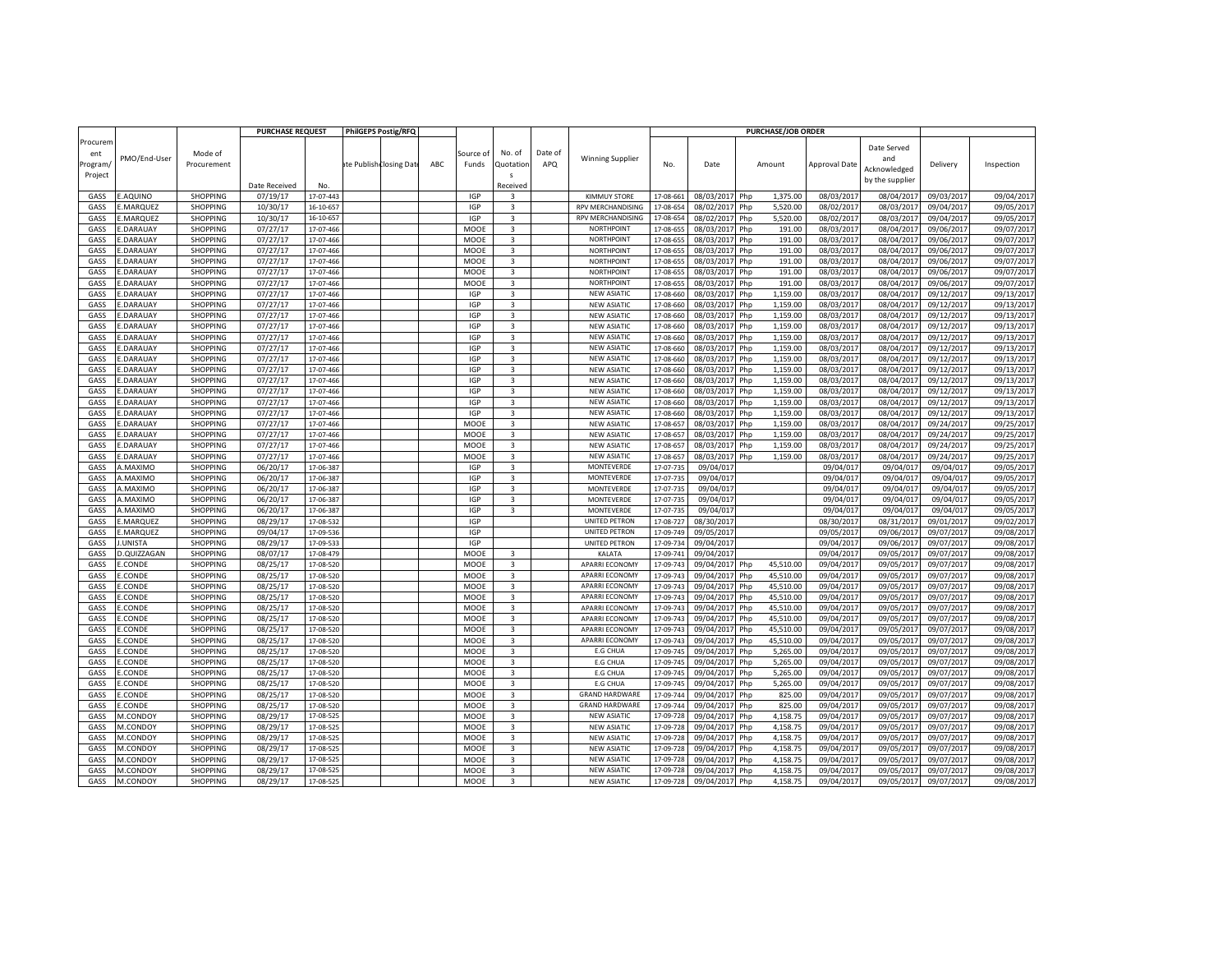|                                       |                              |                        | <b>PURCHASE REQUEST</b> |                        | <b>PhilGEPS Postig/RFQ</b> |     |                    |                                      |                |                                         |                        |                        | <b>PURCHASE/JOB ORDER</b>      |                        |                                                       |                        |                          |
|---------------------------------------|------------------------------|------------------------|-------------------------|------------------------|----------------------------|-----|--------------------|--------------------------------------|----------------|-----------------------------------------|------------------------|------------------------|--------------------------------|------------------------|-------------------------------------------------------|------------------------|--------------------------|
| Procurem<br>ent<br>rogram,<br>Project | PMO/End-User                 | Mode of<br>Procurement | Date Received           | No.                    | ste Publish Closing Dat    | ABC | Source of<br>Funds | No. of<br>Quotation<br>s<br>Received | Date of<br>APQ | <b>Winning Supplier</b>                 | No.                    | Date                   | Amount                         | <b>Approval Date</b>   | Date Served<br>and<br>Acknowledged<br>by the supplier | Delivery               | Inspection               |
| GASS                                  | .AQUINO                      | SHOPPING               | 07/19/17                | 17-07-443              |                            |     | <b>IGP</b>         | 3                                    |                | <b>KIMMUY STORE</b>                     | 17-08-661              | 08/03/2017             | 1,375.00<br>Php                | 08/03/2017             | 08/04/2017                                            | 09/03/201              | 09/04/2017               |
| GASS                                  | MARQUEZ                      | SHOPPING               | 10/30/17                | 16-10-657              |                            |     | IGP                | 3                                    |                | RPV MERCHANDISING                       | 17-08-65               | 08/02/201              | 5,520.00<br>Php                | 08/02/201              | 08/03/201                                             | 09/04/201              | 09/05/201                |
| GASS                                  | MARQUEZ                      | SHOPPING               | 10/30/17                | 16-10-657              |                            |     | <b>IGP</b>         | 3                                    |                | RPV MERCHANDISING                       | 17-08-654              | 08/02/2017             | 5,520.00<br>Php                | 08/02/2017             | 08/03/2017                                            | 09/04/2017             | 09/05/2017               |
| GASS                                  | E.DARAUAY                    | SHOPPING               | 07/27/17                | 17-07-466              |                            |     | MOOE               | 3                                    |                | <b>NORTHPOINT</b>                       | 17-08-65               | 08/03/2017             | Php<br>191.00                  | 08/03/2017             | 08/04/2017                                            | 09/06/2017             | 09/07/2017               |
|                                       | <b>.DARAUAY</b>              | SHOPPING               | 07/27/17                |                        |                            |     | MOOE               | 3                                    |                | <b>NORTHPOINT</b>                       |                        | 08/03/2017             | 191.00                         | 08/03/2017             | 08/04/2017                                            | 09/06/2017             | 09/07/2017               |
| GASS                                  |                              |                        |                         | 17-07-466              |                            |     |                    |                                      |                |                                         | 17-08-65               |                        | Php                            |                        |                                                       |                        |                          |
| GASS                                  | .DARAUAY                     | SHOPPING               | 07/27/17                | 17-07-466              |                            |     | MOOE               | 3                                    |                | <b>NORTHPOINT</b>                       | 17-08-65               | 08/03/201              | Php<br>191.00                  | 08/03/201              | 08/04/2017                                            | 09/06/2017             | 09/07/2017               |
| GASS                                  | <b>.DARAUAY</b>              | SHOPPING               | 07/27/17                | 17-07-466              |                            |     | MOOE               | 3                                    |                | <b>NORTHPOINT</b>                       | 17-08-655              | 08/03/2017             | Php<br>191.00                  | 08/03/201              | 08/04/2017                                            | 09/06/2017             | 09/07/2017               |
| GASS<br>GASS                          | <b>E.DARAUAY</b><br>.DARAUAY | SHOPPING<br>SHOPPING   | 07/27/17<br>07/27/17    | 17-07-466<br>17-07-466 |                            |     | MOOE<br>MOOE       | 3<br>3                               |                | <b>NORTHPOINT</b>                       | 17-08-65<br>17-08-65   | 08/03/201<br>08/03/201 | Php<br>191.00<br>Php<br>191.00 | 08/03/201<br>08/03/201 | 08/04/201<br>08/04/201                                | 09/06/201<br>09/06/201 | 09/07/2017<br>09/07/2017 |
| GASS                                  | .DARAUAY                     | SHOPPING               | 07/27/17                | 17-07-466              |                            |     | <b>IGP</b>         |                                      |                | <b>NORTHPOINT</b><br><b>NEW ASIATIC</b> |                        |                        | 1,159.00                       |                        | 08/04/2017                                            | 09/12/2017             | 09/13/2017               |
| GASS                                  | .DARAUAY                     | SHOPPING               | 07/27/17                | 17-07-466              |                            |     | IGP                | 3<br>3                               |                | <b>NEW ASIATIC</b>                      | 17-08-660<br>17-08-660 | 08/03/201<br>08/03/201 | Php<br>1,159.00<br>Php         | 08/03/201<br>08/03/201 | 08/04/201                                             | 09/12/201              | 09/13/201                |
| GASS                                  | .DARAUAY                     | SHOPPING               | 07/27/17                | 17-07-466              |                            |     | IGP                | 3                                    |                | <b>NEW ASIATIC</b>                      | 17-08-660              | 08/03/2017             | 1,159.00<br>Php                | 08/03/201              | 08/04/2017                                            | 09/12/201              | 09/13/2017               |
| GASS                                  | E.DARAUAY                    | SHOPPING               | 07/27/17                | 17-07-466              |                            |     | <b>IGP</b>         | 3                                    |                | <b>NEW ASIATIC</b>                      | 17-08-66               | 08/03/201              | Php<br>1,159.00                | 08/03/201              | 08/04/201                                             | 09/12/201              | 09/13/2017               |
| GASS                                  | <b>.DARAUAY</b>              | SHOPPING               | 07/27/17                | 17-07-466              |                            |     | <b>IGP</b>         | 3                                    |                | <b>NEW ASIATIC</b>                      | 17-08-660              | 08/03/2017             | 1,159.00<br>Php                | 08/03/2017             | 08/04/2017                                            | 09/12/2017             | 09/13/2017               |
| GASS                                  | <b>.DARAUAY</b>              | SHOPPING               | 07/27/17                | 17-07-466              |                            |     | <b>IGP</b>         | $\overline{3}$                       |                | <b>NEW ASIATIC</b>                      | 17-08-660              | 08/03/2017             | Php<br>1,159.00                | 08/03/201              | 08/04/201                                             | 09/12/2017             | 09/13/2017               |
| GASS                                  | <b>.DARAUAY</b>              | SHOPPING               | 07/27/17                | 17-07-466              |                            |     | <b>IGP</b>         | 3                                    |                | <b>NEW ASIATIC</b>                      | 17-08-660              | 08/03/2017             | Php<br>1,159.00                | 08/03/201              | 08/04/201                                             | 09/12/2017             | 09/13/2017               |
| GASS                                  | <b>E.DARAUAY</b>             | SHOPPING               | 07/27/17                | 17-07-466              |                            |     | <b>IGP</b>         | 3                                    |                | <b>NEW ASIATIO</b>                      | 17-08-660              | 08/03/201              | 1,159.00<br>Php                | 08/03/201              | 08/04/201                                             | 09/12/201              | 09/13/201                |
| GASS                                  | .DARAUAY                     | SHOPPING               | 07/27/17                | 17-07-466              |                            |     | IGP                | 3                                    |                | NEW ASIATIO                             | 17-08-66               | 08/03/201              | 1,159.00<br>Php                | 08/03/201              | 08/04/2017                                            | 09/12/2017             | 09/13/2017               |
| GASS                                  | .DARAUAY                     | SHOPPING               | 07/27/17                | 17-07-466              |                            |     | <b>IGP</b>         | 3                                    |                | <b>NEW ASIATIC</b>                      | 17-08-660              | 08/03/201              | 1,159.00<br>Php                | 08/03/201              | 08/04/2017                                            | 09/12/201              | 09/13/2017               |
| GASS                                  | .DARAUAY                     | SHOPPING               | 07/27/17                | 17-07-466              |                            |     | <b>IGP</b>         | 3                                    |                | <b>NEW ASIATIC</b>                      | 17-08-660              | 08/03/201              | 1,159.00<br>Php                | 08/03/201              | 08/04/201                                             | 09/12/201              | 09/13/201                |
| GASS                                  | .DARAUAY                     | SHOPPING               | 07/27/17                | 17-07-466              |                            |     | IGP                | $\overline{\mathbf{3}}$              |                | <b>NEW ASIATIC</b>                      | 17-08-660              | 08/03/2017             | 1,159.00<br>Php                | 08/03/201              | 08/04/2017                                            | 09/12/2017             | 09/13/2017               |
| GASS                                  | .DARAUAY                     | SHOPPING               | 07/27/17                | 17-07-466              |                            |     | MOOE               | 3                                    |                | <b>NEW ASIATIC</b>                      | 17-08-65               | 08/03/201              | Php<br>1,159.00                | 08/03/201              | 08/04/2017                                            | 09/24/201              | 09/25/2017               |
| GASS                                  | <b>.DARAUAY</b>              | SHOPPING               | 07/27/17                | 17-07-466              |                            |     | MOOE               | 3                                    |                | <b>NEW ASIATIC</b>                      | 17-08-657              | 08/03/2017             | 1,159.00<br>Php                | 08/03/2017             | 08/04/2017                                            | 09/24/2017             | 09/25/2017               |
| GASS                                  | .DARAUAY                     | SHOPPING               | 07/27/17                | 17-07-466              |                            |     | MOOE               | 3                                    |                | <b>NEW ASIATIC</b>                      | 17-08-657              | 08/03/201              | 1,159.00<br>Php                | 08/03/201              | 08/04/201                                             | 09/24/2017             | 09/25/2017               |
| GASS                                  | .DARAUAY                     | SHOPPING               | 07/27/17                | 17-07-466              |                            |     | MOOE               | $\overline{\mathbf{3}}$              |                | <b>NEW ASIATIC</b>                      | 17-08-657              | 08/03/2017             | 1,159.00<br>Php                | 08/03/201              | 08/04/201                                             | 09/24/2017             | 09/25/201                |
| GASS                                  | A.MAXIMO                     | SHOPPING               | 06/20/17                | 17-06-387              |                            |     | <b>IGP</b>         | 3                                    |                | MONTEVERDE                              | 17-07-735              | 09/04/01               |                                | 09/04/01               | 09/04/01                                              | 09/04/01               | 09/05/201                |
| GASS                                  | A.MAXIMO                     | SHOPPING               | 06/20/17                | 17-06-387              |                            |     | IGP                | 3                                    |                | MONTEVERDE                              | 17-07-735              | 09/04/01               |                                | 09/04/01               | 09/04/017                                             | 09/04/017              | 09/05/2017               |
| GASS                                  | .MAXIMO                      | SHOPPING               | 06/20/17                | 17-06-387              |                            |     | <b>IGP</b>         | 3                                    |                | MONTEVERDE                              | 17-07-73               | 09/04/01               |                                | 09/04/017              | 09/04/017                                             | 09/04/017              | 09/05/2017               |
| GASS                                  | A.MAXIMO                     | SHOPPING               | 06/20/17                | 17-06-387              |                            |     | IGP                | 3                                    |                | MONTEVERDE                              | 17-07-735              | 09/04/01               |                                | 09/04/01               | 09/04/01                                              | 09/04/017              | 09/05/201                |
| GASS                                  | A.MAXIMO                     | SHOPPING               | 06/20/17                | 17-06-387              |                            |     | IGP                | 3                                    |                | MONTEVERDE                              | 17-07-735              | 09/04/017              |                                | 09/04/01               | 09/04/01                                              | 09/04/017              | 09/05/2017               |
| GASS                                  | MARQUEZ                      | SHOPPING               | 08/29/17                | 17-08-532              |                            |     | <b>IGP</b>         |                                      |                | UNITED PETRON                           | 17-08-72               | 08/30/201              |                                | 08/30/201              | 08/31/2017                                            | 09/01/201              | 09/02/2017               |
| GASS                                  | .MARQUEZ                     | SHOPPING               | 09/04/17                | 17-09-536              |                            |     | <b>IGP</b>         |                                      |                | UNITED PETRON                           | 17-09-74               | 09/05/2017             |                                | 09/05/201              | 09/06/2017                                            | 09/07/2017             | 09/08/2017               |
| GASS                                  | UNISTA                       | SHOPPING               | 08/29/17                | 17-09-533              |                            |     | <b>IGP</b>         |                                      |                | UNITED PETRON                           | 17-09-73               | 09/04/201              |                                | 09/04/201              | 09/06/201                                             | 09/07/2017             | 09/08/2017               |
| GASS                                  | .QUIZZAGAN                   | SHOPPING               | 08/07/17                | 17-08-479              |                            |     | MOOE               | 3                                    |                | KALATA                                  | 17-09-74:              | 09/04/201              |                                | 09/04/201              | 09/05/201                                             | 09/07/2017             | 09/08/2017               |
| GASS                                  | .CONDE                       | SHOPPING               | 08/25/17                | 17-08-520              |                            |     | MOOE               | 3                                    |                | APARRI ECONOMY                          | 17-09-74               | 09/04/2017             | 45,510.00<br>Php               | 09/04/201              | 09/05/201                                             | 09/07/201              | 09/08/201                |
| GASS                                  | .CONDE                       | SHOPPING               | 08/25/17                | 17-08-520              |                            |     | MOOE               | 3                                    |                | <b>APARRI ECONOMY</b>                   | 17-09-74               | 09/04/201              | 45,510.00<br>Php               | 09/04/201              | 09/05/201                                             | 09/07/2017             | 09/08/2017               |
| GASS                                  | CONDE.                       | SHOPPING               | 08/25/17                | 17-08-520              |                            |     | MOOE               | 3                                    |                | <b>APARRI ECONOMY</b>                   | 17-09-74               | 09/04/2017             | 45,510.00<br>Php               | 09/04/2017             | 09/05/2017                                            | 09/07/2017             | 09/08/2017               |
| GASS                                  | CONDE                        | SHOPPING               | 08/25/17                | 17-08-520              |                            |     | MOOE               | 3                                    |                | <b>APARRI ECONOMY</b>                   | 17-09-74               | 09/04/2017             | 45,510.00<br>Php               | 09/04/201              | 09/05/201                                             | 09/07/2017             | 09/08/2017               |
| GASS                                  | CONDE                        | SHOPPING               | 08/25/17                | 17-08-520              |                            |     | MOOE               | 3                                    |                | APARRI ECONOMY                          | 17-09-74               | 09/04/2017             | Php<br>45,510.00               | 09/04/2017             | 09/05/2017                                            | 09/07/2017             | 09/08/2017               |
| GASS                                  | CONDE                        | SHOPPING               | 08/25/17                | 17-08-520              |                            |     | MOOE               | 3                                    |                | <b>APARRI ECONOMY</b>                   | 17-09-74               | 09/04/201              | Php<br>45,510.00               | 09/04/201              | 09/05/201                                             | 09/07/201              | 09/08/201                |
| GASS                                  | .CONDE                       | SHOPPING               | 08/25/17                | 17-08-520              |                            |     | MOOE               | 3                                    |                | APARRI ECONOMY                          | 17-09-74               | 09/04/2017             | 45,510.00<br>Php               | 09/04/2017             | 09/05/2017                                            | 09/07/2017             | 09/08/2017               |
| GASS                                  | .CONDE                       | SHOPPING               | 08/25/17                | 17-08-520              |                            |     | MOOE               | $\overline{3}$                       |                | <b>APARRI ECONOMY</b>                   | 17-09-74               | 09/04/201              | Php<br>45,510.00               | 09/04/201              | 09/05/201                                             | 09/07/2017             | 09/08/2017               |
| GASS                                  | .CONDE                       | SHOPPING               | 08/25/17                | 17-08-520              |                            |     | MOOE               | 3                                    |                | <b>E.G CHUA</b>                         | 17-09-745              | 09/04/2017             | 5,265.00<br>Php                | 09/04/201              | 09/05/201                                             | 09/07/2017             | 09/08/2017               |
| GASS                                  | .CONDE                       | SHOPPING               | 08/25/17                | 17-08-520              |                            |     | MOOE               | 3                                    |                | <b>E.G CHUA</b>                         | 17-09-74               | 09/04/201              | 5,265.00<br>Php                | 09/04/201              | 09/05/201                                             | 09/07/201              | 09/08/201                |
| GASS                                  | .CONDE                       | SHOPPING               | 08/25/17                | 17-08-520              |                            |     | MOOE               | 3                                    |                | <b>E.G CHUA</b>                         | 17-09-74               | 09/04/201              | 5,265.00<br>Php                | 09/04/201              | 09/05/2017                                            | 09/07/2017             | 09/08/2017               |
| GASS                                  | CONDE.                       | SHOPPING               | 08/25/17                | 17-08-520              |                            |     | MOOE               | 3                                    |                | E.G CHUA                                | 17-09-74               | 09/04/2017             | 5,265.00<br>Php                | 09/04/201              | 09/05/2017                                            | 09/07/2017             | 09/08/2017               |
| GASS                                  | CONDE.                       | SHOPPING               | 08/25/17                | 17-08-520              |                            |     | MOOE               | 3                                    |                | <b>GRAND HARDWARE</b>                   | 17-09-74               | 09/04/201              | 825.00<br>Php                  | 09/04/201              | 09/05/201                                             | 09/07/201              | 09/08/2017               |
| GASS                                  | CONDE                        | SHOPPING               | 08/25/17                | 17-08-520              |                            |     | MOOE               | 3                                    |                | <b>GRAND HARDWARE</b>                   | 17-09-74               | 09/04/2017             | Php<br>825.00                  | 09/04/201              | 09/05/2017                                            | 09/07/2017             | 09/08/2017               |
| GASS                                  | <b>M.CONDOY</b>              | SHOPPING               | 08/29/17                | 17-08-525              |                            |     | MOOE               | 3                                    |                | <b>NEW ASIATIC</b>                      | 17-09-72               | 09/04/201              | Php<br>4,158.75                | 09/04/201              | 09/05/201                                             | 09/07/201              | 09/08/201                |
| GASS                                  | M.CONDOY                     | SHOPPING               | 08/29/17                | 17-08-525              |                            |     | MOOE               | 3                                    |                | <b>NEW ASIATIC</b>                      | 17-09-72               | 09/04/2017             | 4,158.75<br>Php                | 09/04/201              | 09/05/2017                                            | 09/07/2017             | 09/08/2017               |
| GASS                                  | M.CONDOY                     | SHOPPING               | 08/29/17                | 17-08-525              |                            |     | MOOE               | $\overline{3}$                       |                | <b>NEW ASIATIO</b>                      | 17-09-72               | 09/04/201              | Php<br>4,158.75                | 09/04/201              | 09/05/201                                             | 09/07/2017             | 09/08/201                |
| GASS                                  | M.CONDOY                     | SHOPPING               | 08/29/17                | 17-08-525              |                            |     | MOOE               | 3                                    |                | <b>NEW ASIATIC</b>                      | 17-09-72               | 09/04/2017             | Php<br>4,158.75                | 09/04/201              | 09/05/201                                             | 09/07/2017             | 09/08/2017               |
| GASS                                  | M.CONDOY                     | SHOPPING               | 08/29/17                | 17-08-525              |                            |     | MOOE               | 3                                    |                | <b>NEW ASIATI</b>                       | 17-09-72               | 09/04/201              | 4,158.7<br>Php                 | 09/04/201              | 09/05/201                                             | 09/07/201              | 09/08/2017               |
| GASS                                  | <b>M.CONDOY</b>              | SHOPPING               | 08/29/17                | 17-08-525              |                            |     | MOOE               | 3                                    |                | <b>NEW ASIATI</b>                       | 17-09-72               | 09/04/201              | Php<br>4,158.7                 | 09/04/201              | 09/05/201                                             | 09/07/201              | 09/08/2017               |
| GASS                                  | M.CONDOY                     | <b>SHOPPING</b>        | 08/29/17                | 17-08-525              |                            |     | MOOE               | 3                                    |                | <b>NEW ASIATIC</b>                      | 17-09-728              | 09/04/2017             | Php<br>4,158.75                | 09/04/2017             | 09/05/2017                                            | 09/07/2017             | 09/08/2017               |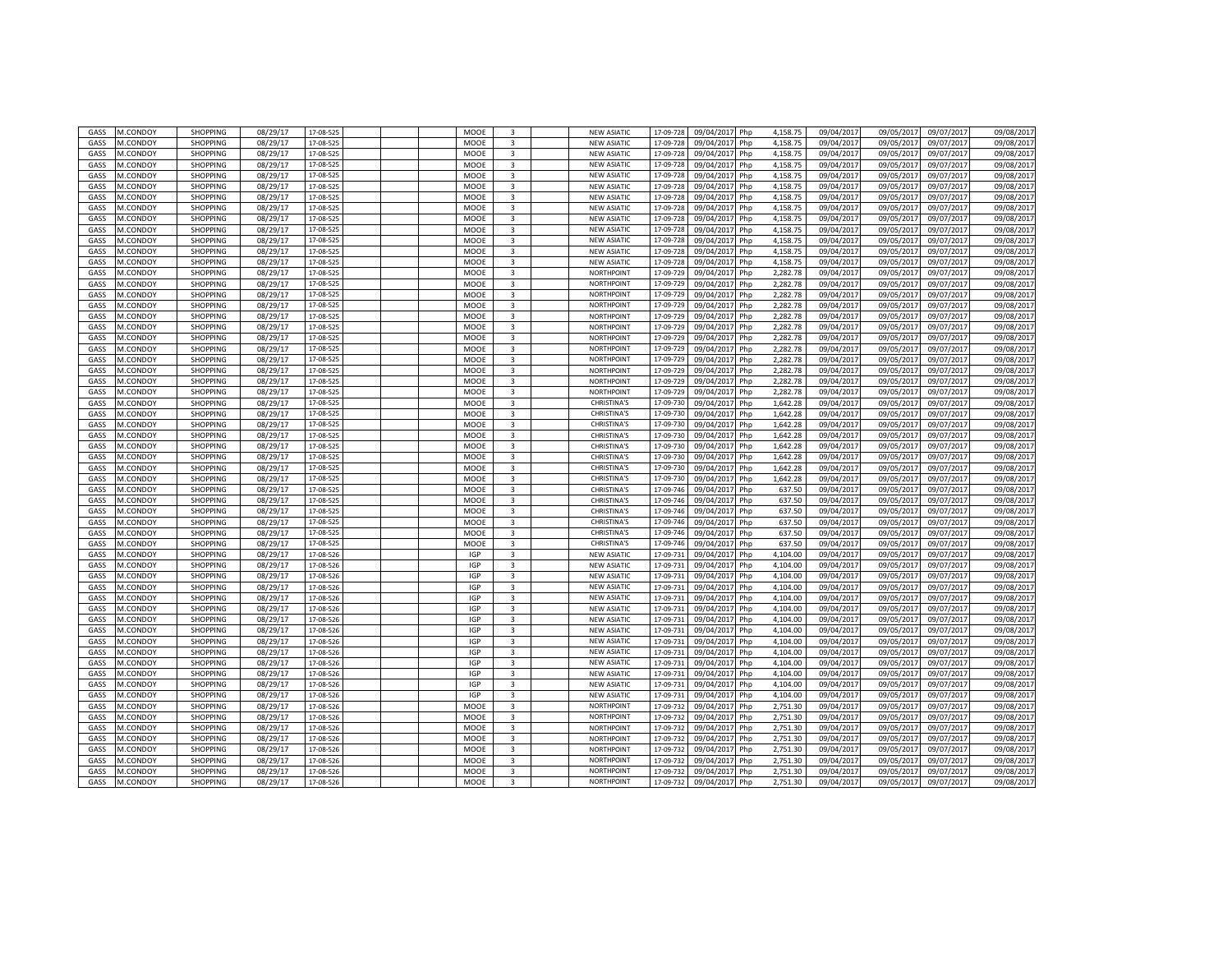| GASS        | M.CONDOY | <b>SHOPPING</b> | 08/29/17 | 17-08-525 |  | MOOE        | $\overline{3}$          | <b>NEW ASIATIC</b> | 17-09-728 | 09/04/201<br>Php  | 4,158.75 | 09/04/2017 | 09/05/201  | 09/07/201  | 09/08/2017 |
|-------------|----------|-----------------|----------|-----------|--|-------------|-------------------------|--------------------|-----------|-------------------|----------|------------|------------|------------|------------|
| GASS        | M.CONDOY | <b>SHOPPING</b> | 08/29/17 | 17-08-525 |  | MOOE        | 3                       | <b>NEW ASIATIC</b> | 17-09-728 | 09/04/2017<br>Php | 4,158.75 | 09/04/2017 | 09/05/201  | 09/07/2017 | 09/08/2017 |
| GASS        | M.CONDOY | <b>SHOPPING</b> | 08/29/17 | 17-08-52  |  | MOOE        | 3                       | <b>NEW ASIATIO</b> | 17-09-72  | 09/04/201<br>Php  | 4,158.75 | 09/04/201  | 09/05/201  | 09/07/201  | 09/08/2017 |
| GASS        | M.CONDOY | <b>SHOPPING</b> | 08/29/17 | 17-08-525 |  | MOOE        | 3                       | <b>NEW ASIATIO</b> | 17-09-72  | 09/04/201         | 4,158.75 | 09/04/201  | 09/05/201  | 09/07/201  | 09/08/2017 |
|             |          |                 |          |           |  |             |                         |                    |           | Php               |          |            |            |            |            |
| GASS        | M.CONDOY | <b>SHOPPING</b> | 08/29/17 | 17-08-525 |  | MOOE        | 3                       | <b>NEW ASIATIC</b> | 17-09-72  | 09/04/201<br>Php  | 4.158.75 | 09/04/2017 | 09/05/2017 | 09/07/2017 | 09/08/2017 |
| GASS        | M.CONDOY | SHOPPING        | 08/29/17 | 17-08-52  |  | MOOE        | $\overline{\mathbf{3}}$ | <b>NEW ASIATIC</b> | 17-09-72  | 09/04/201<br>Php  | 4,158.75 | 09/04/201  | 09/05/201  | 09/07/201  | 09/08/201  |
| GASS        | M.CONDOY | <b>SHOPPING</b> | 08/29/17 | 17-08-525 |  | MOOE        | $\overline{3}$          | <b>NEW ASIATIC</b> | 17-09-72  | 09/04/201<br>Php  | 4,158.75 | 09/04/201  | 09/05/201  | 09/07/201  | 09/08/2017 |
| GASS        | M.CONDOY | <b>SHOPPING</b> | 08/29/17 | 17-08-52  |  | MOOE        | $\overline{3}$          | <b>NEW ASIATIO</b> | 17-09-72  | 09/04/201<br>Php  | 4,158.75 | 09/04/201  | 09/05/201  | 09/07/201  | 09/08/201  |
| GASS        | M.CONDOY | <b>SHOPPING</b> | 08/29/17 | 17-08-525 |  | MOOE        | 3                       | <b>NEW ASIATIC</b> | 17-09-72  | 09/04/2017<br>Php | 4.158.75 | 09/04/2017 | 09/05/2017 | 09/07/2017 | 09/08/2017 |
| GASS        | M.CONDOY | <b>SHOPPING</b> | 08/29/17 | 17-08-525 |  | <b>MOOF</b> | 3                       | <b>NEW ASIATIC</b> | 17-09-72  | 09/04/201<br>Php  | 4.158.75 | 09/04/201  | 09/05/2017 | 09/07/2017 | 09/08/2017 |
| <b>GASS</b> | M.CONDOY | <b>SHOPPING</b> | 08/29/17 | 17-08-525 |  | MOOE        | 3                       | <b>NEW ASIATIC</b> | 17-09-72  | 09/04/201<br>Php  | 4.158.75 | 09/04/201  | 09/05/201  | 09/07/2017 | 09/08/2017 |
| <b>GASS</b> | M.CONDOY | <b>SHOPPING</b> | 08/29/17 | 17-08-52  |  | MOOE        | 3                       | <b>NEW ASIATIO</b> | 17-09-72  | 09/04/201<br>Php  | 4.158.75 | 09/04/201  | 09/05/201  | 09/07/201  | 09/08/2017 |
| GASS        | M.CONDOY | <b>SHOPPING</b> | 08/29/17 | 17-08-525 |  | MOOE        | $\overline{3}$          | <b>NEW ASIATIC</b> | 17-09-72  | 09/04/2017<br>Php | 4.158.75 | 09/04/201  | 09/05/2017 | 09/07/2017 | 09/08/2017 |
| GASS        | M.CONDOY | <b>SHOPPING</b> | 08/29/17 | 17-08-525 |  | MOOE        | 3                       | NORTHPOINT         | 17-09-72  | 09/04/201         | 2.282.78 | 09/04/201  | 09/05/2017 | 09/07/2017 | 09/08/2017 |
|             |          |                 |          |           |  |             |                         |                    |           | Php               |          |            |            |            |            |
| GASS        | M.CONDOY | <b>SHOPPING</b> | 08/29/17 | 17-08-52  |  | MOOE        | $\overline{3}$          | NORTHPOINT         | 17-09-72  | 09/04/201<br>Php  | 2.282.78 | 09/04/201  | 09/05/201  | 09/07/201  | 09/08/2017 |
| GASS        | M.CONDOY | <b>SHOPPING</b> | 08/29/17 | 17-08-52  |  | MOOE        | $\overline{3}$          | <b>NORTHPOINT</b>  | 17-09-72  | 09/04/201<br>Php  | 2,282.78 | 09/04/201  | 09/05/2017 | 09/07/201  | 09/08/2017 |
| GASS        | M.CONDOY | SHOPPING        | 08/29/17 | 17-08-52  |  | MOOE        | $\overline{3}$          | <b>NORTHPOINT</b>  | 17-09-72  | 09/04/201<br>Php  | 2,282.78 | 09/04/201  | 09/05/201  | 09/07/201  | 09/08/2017 |
| GASS        | M.CONDOY | <b>SHOPPING</b> | 08/29/17 | 17-08-525 |  | <b>MOOF</b> | $\overline{3}$          | NORTHPOINT         | 17-09-729 | 09/04/2017<br>Php | 2.282.78 | 09/04/2017 | 09/05/2017 | 09/07/2017 | 09/08/2017 |
| GASS        | M.CONDOY | <b>SHOPPING</b> | 08/29/17 | 17-08-525 |  | MOOE        | 3                       | <b>NORTHPOINT</b>  | 17-09-72  | 09/04/201<br>Php  | 2.282.78 | 09/04/201  | 09/05/201  | 09/07/201  | 09/08/2017 |
| GASS        | M.CONDOY | <b>SHOPPING</b> | 08/29/17 | 17-08-525 |  | MOOE        | 3                       | <b>NORTHPOINT</b>  | 17-09-729 | 09/04/201<br>Php  | 2.282.78 | 09/04/201  | 09/05/201  | 09/07/2017 | 09/08/2017 |
| <b>GASS</b> | M.CONDOY | <b>SHOPPING</b> | 08/29/17 | 17-08-525 |  | MOOE        | $\overline{\mathbf{3}}$ | NORTHPOINT         | 17-09-729 | 09/04/201<br>Php  | 2.282.78 | 09/04/201  | 09/05/201  | 09/07/201  | 09/08/2017 |
| GASS        | M.CONDOY | <b>SHOPPING</b> | 08/29/17 | 17-08-525 |  | MOOE        | $\overline{3}$          | <b>NORTHPOINT</b>  | 17-09-72  | 09/04/201<br>Php  | 2,282.78 | 09/04/201  | 09/05/201  | 09/07/2017 | 09/08/2017 |
| GASS        | M.CONDOY | <b>SHOPPING</b> | 08/29/17 | 17-08-525 |  | MOOE        | 3                       | NORTHPOINT         | 17-09-729 | 09/04/201<br>Php  | 2,282.78 | 09/04/2017 | 09/05/2017 | 09/07/2017 | 09/08/2017 |
| GASS        | M.CONDOY | <b>SHOPPING</b> | 08/29/17 | 17-08-525 |  | MOOE        | $\overline{3}$          | NORTHPOINT         | 17-09-72  | 09/04/201<br>Php  | 2,282.78 | 09/04/201  | 09/05/201  | 09/07/201  | 09/08/2017 |
| GASS        | M.CONDOY | <b>SHOPPING</b> | 08/29/17 | 17-08-525 |  | MOOE        | 3                       | <b>NORTHPOINT</b>  | 17-09-729 | 09/04/201<br>Php  | 2,282.78 | 09/04/201  | 09/05/201  | 09/07/201  | 09/08/2017 |
|             |          |                 |          |           |  |             |                         |                    |           |                   |          |            |            |            |            |
| GASS        | M.CONDOY | SHOPPING        | 08/29/17 | 17-08-525 |  | MOOE        | $\overline{3}$          | <b>CHRISTINA'S</b> | 17-09-730 | 09/04/201<br>Php  | 1,642.28 | 09/04/201  | 09/05/201  | 09/07/201  | 09/08/201  |
| GASS        | M.CONDOY | <b>SHOPPING</b> | 08/29/17 | 17-08-525 |  | MOOE        | $\overline{3}$          | <b>CHRISTINA'S</b> | 17-09-730 | 09/04/2017<br>Php | 1,642.28 | 09/04/2017 | 09/05/2017 | 09/07/2017 | 09/08/2017 |
| GASS        | M.CONDOY | <b>SHOPPING</b> | 08/29/17 | 17-08-525 |  | MOOE        | 3                       | <b>CHRISTINA'S</b> | 17-09-730 | 09/04/201<br>Php  | 1,642.28 | 09/04/201  | 09/05/201  | 09/07/201  | 09/08/2017 |
| GASS        | M.CONDOY | <b>SHOPPING</b> | 08/29/17 | 17-08-525 |  | MOOE        | 3                       | <b>CHRISTINA'S</b> | 17-09-730 | 09/04/201<br>Php  | 1,642.28 | 09/04/201  | 09/05/201  | 09/07/2017 | 09/08/2017 |
| GASS        | M.CONDOY | <b>SHOPPING</b> | 08/29/17 | 17-08-525 |  | MOOE        | 3                       | CHRISTINA'S        | 17-09-730 | 09/04/201<br>Php  | 1.642.28 | 09/04/201  | 09/05/201  | 09/07/201  | 09/08/2017 |
| GASS        | M.CONDOY | SHOPPING        | 08/29/17 | 17-08-525 |  | MOOE        | 3                       | CHRISTINA'S        | 17-09-730 | 09/04/2017<br>Php | 1,642.28 | 09/04/201  | 09/05/201  | 09/07/2017 | 09/08/2017 |
| GASS        | M.CONDOY | SHOPPING        | 08/29/17 | 17-08-525 |  | MOOE        | 3                       | <b>CHRISTINA'S</b> | 17-09-730 | 09/04/201<br>Php  | 1,642.28 | 09/04/2017 | 09/05/2017 | 09/07/2017 | 09/08/2017 |
| GASS        | M.CONDOY | <b>SHOPPING</b> | 08/29/17 | 17-08-525 |  | MOOE        | $\overline{3}$          | <b>CHRISTINA'S</b> | 17-09-730 | 09/04/201<br>Php  | 1.642.28 | 09/04/201  | 09/05/201  | 09/07/201  | 09/08/2017 |
| GASS        | M.CONDOY | <b>SHOPPING</b> | 08/29/17 | 17-08-525 |  | MOOE        | 3                       | CHRISTINA'S        | 17-09-746 | 09/04/201<br>Php  | 637.50   | 09/04/201  | 09/05/201  | 09/07/201  | 09/08/2017 |
| GASS        | M.CONDOY | <b>SHOPPING</b> | 08/29/17 | 17-08-52  |  | MOOE        | $\overline{3}$          | <b>CHRISTINA'S</b> | 17-09-74  | 09/04/201<br>Php  | 637.50   | 09/04/201  | 09/05/201  | 09/07/201  | 09/08/2017 |
| GASS        | M.CONDOY | <b>SHOPPING</b> | 08/29/17 | 17-08-525 |  | MOOE        | $\overline{3}$          | <b>CHRISTINA'S</b> | 17-09-746 | 09/04/2017<br>Php | 637.50   | 09/04/2017 | 09/05/2017 | 09/07/2017 | 09/08/2017 |
| GASS        | M.CONDOY | <b>SHOPPING</b> | 08/29/17 | 17-08-525 |  | MOOE        | $\overline{\mathbf{a}}$ | <b>CHRISTINA'S</b> | 17-09-74  | 09/04/201<br>Php  | 637.50   | 09/04/201  | 09/05/2017 | 09/07/201  | 09/08/2017 |
| GASS        | M.CONDOY | <b>SHOPPING</b> | 08/29/17 | 17-08-525 |  | MOOE        | 3                       | <b>CHRISTINA'S</b> | 17-09-74  | 09/04/201<br>Php  | 637.50   | 09/04/201  | 09/05/2017 | 09/07/2017 | 09/08/2017 |
|             |          |                 |          |           |  |             |                         |                    |           |                   |          |            |            |            |            |
| GASS        | M.CONDOY | <b>SHOPPING</b> | 08/29/17 | 17-08-525 |  | MOOE        | 3                       | <b>CHRISTINA'S</b> | 17-09-74  | 09/04/201<br>Php  | 637.50   | 09/04/201  | 09/05/201  | 09/07/201  | 09/08/2017 |
| GASS        | M.CONDOY | <b>SHOPPING</b> | 08/29/17 | 17-08-526 |  | <b>IGP</b>  | 3                       | <b>NEW ASIATIC</b> | 17-09-73  | 09/04/2017<br>Php | 4.104.00 | 09/04/2017 | 09/05/2017 | 09/07/2017 | 09/08/2017 |
| GASS        | M.CONDOY | SHOPPING        | 08/29/17 | 17-08-526 |  | IGP         | 3                       | <b>NEW ASIATIC</b> | 17-09-73  | 09/04/201<br>Php  | 4,104.00 | 09/04/2017 | 09/05/2017 | 09/07/2017 | 09/08/2017 |
| GASS        | M.CONDOY | <b>SHOPPING</b> | 08/29/17 | 17-08-526 |  | <b>IGP</b>  | $\overline{3}$          | <b>NEW ASIATIC</b> | 17-09-73  | 09/04/201<br>Php  | 4.104.00 | 09/04/201  | 09/05/201  | 09/07/201  | 09/08/2017 |
| GASS        | M.CONDOY | <b>SHOPPING</b> | 08/29/17 | 17-08-526 |  | <b>IGP</b>  | 3                       | <b>NEW ASIATIC</b> | 17-09-73  | 09/04/201<br>Php  | 4,104.00 | 09/04/201  | 09/05/2017 | 09/07/201  | 09/08/2017 |
| GASS        | M.CONDOY | <b>SHOPPING</b> | 08/29/17 | 17-08-52  |  | IGP         | $\overline{3}$          | <b>NEW ASIATIC</b> | 17-09-73  | 09/04/201<br>Php  | 4,104.00 | 09/04/201  | 09/05/201  | 09/07/201  | 09/08/2017 |
| GASS        | M.CONDOY | <b>SHOPPING</b> | 08/29/17 | 17-08-526 |  | IGP         | $\overline{3}$          | <b>NEW ASIATIC</b> | 17-09-73: | 09/04/2017<br>Php | 4,104.00 | 09/04/2017 | 09/05/2017 | 09/07/2017 | 09/08/2017 |
| GASS        | M.CONDOY | <b>SHOPPING</b> | 08/29/17 | 17-08-526 |  | <b>IGP</b>  | $\overline{3}$          | <b>NEW ASIATIC</b> | 17-09-73  | 09/04/201<br>Php  | 4,104.00 | 09/04/201  | 09/05/201  | 09/07/201  | 09/08/2017 |
| GASS        | M.CONDOY | <b>SHOPPING</b> | 08/29/17 | 17-08-526 |  | <b>IGP</b>  | 3                       | <b>NEW ASIATIC</b> | 17-09-73: | 09/04/2017<br>Php | 4.104.00 | 09/04/2017 | 09/05/201  | 09/07/2017 | 09/08/2017 |
| GASS        | M.CONDOY | <b>SHOPPING</b> | 08/29/17 | 17-08-526 |  | <b>IGP</b>  | 3                       | <b>NEW ASIATIO</b> | 17-09-73  | 09/04/201<br>Php  | 4.104.00 | 09/04/201  | 09/05/201  | 09/07/201  | 09/08/2017 |
| GASS        | M.CONDOY | <b>SHOPPING</b> | 08/29/17 | 17-08-526 |  | <b>IGP</b>  | 3                       | <b>NEW ASIATIC</b> | 17-09-73  | 09/04/2017<br>Php | 4.104.00 | 09/04/2017 | 09/05/2017 | 09/07/2017 | 09/08/2017 |
| GASS        | M.CONDOY | <b>SHOPPING</b> | 08/29/17 | 17-08-526 |  | IGP         | 3                       | <b>NEW ASIATIC</b> | 17-09-73  | 09/04/201<br>Php  | 4,104.00 | 09/04/2017 | 09/05/2017 | 09/07/2017 | 09/08/2017 |
|             |          |                 | 08/29/17 |           |  | <b>IGP</b>  | 3                       | <b>NEW ASIATIC</b> |           |                   |          | 09/04/2017 | 09/05/201  |            | 09/08/2017 |
| GASS        | M.CONDOY | <b>SHOPPING</b> |          | 17-08-526 |  |             |                         |                    | 17-09-73  | 09/04/201<br>Php  | 4,104.00 |            |            | 09/07/2017 |            |
| GASS        | M.CONDOY | <b>SHOPPING</b> | 08/29/17 | 17-08-526 |  | IGP         | 3                       | <b>NEW ASIATIO</b> | 17-09-73  | 09/04/201<br>Php  | 4,104.00 | 09/04/201  | 09/05/201  | 09/07/201  | 09/08/2017 |
| GASS        | M.CONDOY | <b>SHOPPING</b> | 08/29/17 | 17-08-526 |  | <b>IGP</b>  | 3                       | <b>NEW ASIATIC</b> | 17-09-73  | 09/04/201<br>Php  | 4,104.00 | 09/04/201  | 09/05/201  | 09/07/201  | 09/08/2017 |
| GASS        | M.CONDOY | <b>SHOPPING</b> | 08/29/17 | 17-08-526 |  | MOOE        | $\overline{3}$          | NORTHPOINT         | 17-09-73  | 09/04/2017<br>Php | 2,751.30 | 09/04/2017 | 09/05/201  | 09/07/2017 | 09/08/2017 |
| GASS        | M.CONDOY | <b>SHOPPING</b> | 08/29/17 | 17-08-52  |  | MOOE        | 3                       | NORTHPOINT         | 17-09-73  | 09/04/201<br>Php  | 2,751.30 | 09/04/201  | 09/05/201  | 09/07/201  | 09/08/201  |
| GASS        | M.CONDOY | <b>SHOPPING</b> | 08/29/17 | 17-08-526 |  | MOOE        | $\overline{3}$          | <b>NORTHPOINT</b>  | 17-09-73  | 09/04/201<br>Php  | 2,751.30 | 09/04/201  | 09/05/201  | 09/07/2017 | 09/08/2017 |
| GASS        | M.CONDOY | <b>SHOPPING</b> | 08/29/17 | 17-08-526 |  | MOOE        | 3                       | NORTHPOINT         | 17-09-73  | 09/04/201<br>Php  | 2,751.30 | 09/04/201  | 09/05/201  | 09/07/201  | 09/08/2017 |
| GASS        | M.CONDOY | <b>SHOPPING</b> | 08/29/17 | 17-08-526 |  | MOOE        | 3                       | <b>NORTHPOINT</b>  | 17-09-73  | 09/04/2017<br>Php | 2,751.30 | 09/04/201  | 09/05/201  | 09/07/2017 | 09/08/2017 |
| GASS        | M.CONDOY | <b>SHOPPING</b> | 08/29/17 | 17-08-526 |  | MOOE        | 3                       | <b>NORTHPOINT</b>  | 17-09-73  | 09/04/201<br>Php  | 2,751.30 | 09/04/201  | 09/05/201  | 09/07/201  | 09/08/201  |
| GASS        | M.CONDOY | <b>SHOPPING</b> | 08/29/17 | 17-08-526 |  | MOOE        | $\overline{3}$          | <b>NORTHPOINT</b>  | 17-09-73  | 09/04/201<br>Php  | 2.751.30 | 09/04/201  | 09/05/201  | 09/07/201  | 09/08/2017 |
| GASS        | M.CONDOY | <b>SHOPPING</b> | 08/29/17 | 17-08-526 |  | MOOE        | 3                       | NORTHPOINT         | 17-09-732 | 09/04/2017<br>Php | 2,751.30 | 09/04/2017 | 09/05/2017 | 09/07/2017 | 09/08/2017 |
|             |          |                 |          |           |  |             |                         |                    |           |                   |          |            |            |            |            |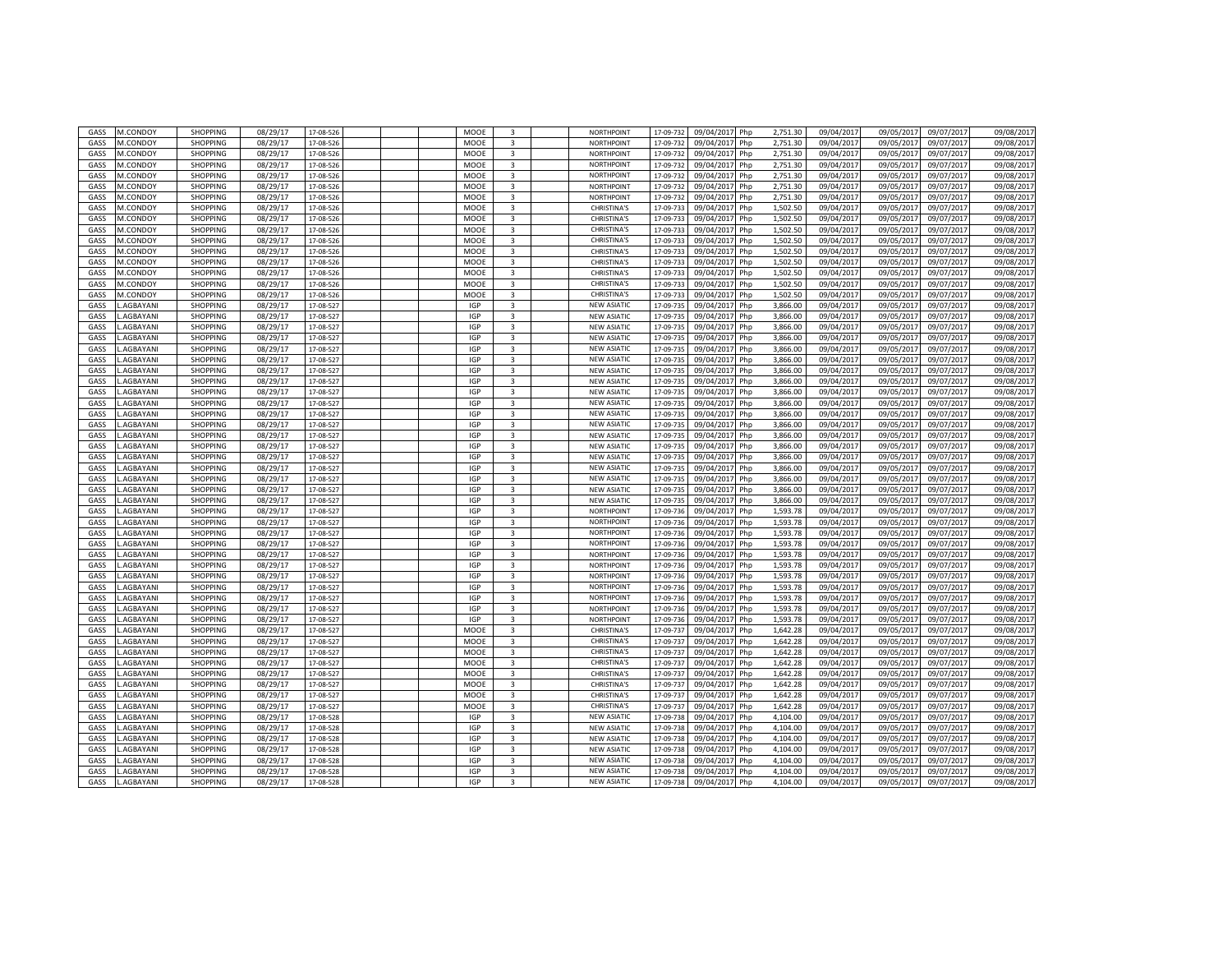| GASS        | M.CONDOY        | <b>SHOPPING</b> | 08/29/17 | 17-08-526 |  | MOOE        | $\overline{3}$          | NORTHPOINT         | 17-09-732 | 09/04/201<br>Php  | 2,751.30 | 09/04/2017 | 09/05/201  | 09/07/201  | 09/08/2017 |
|-------------|-----------------|-----------------|----------|-----------|--|-------------|-------------------------|--------------------|-----------|-------------------|----------|------------|------------|------------|------------|
| GASS        | M.CONDOY        | <b>SHOPPING</b> | 08/29/17 | 17-08-526 |  | MOOE        | 3                       | NORTHPOINT         | 17-09-732 | 09/04/2017<br>Php | 2,751.30 | 09/04/2017 | 09/05/201  | 09/07/2017 | 09/08/2017 |
|             |                 |                 |          |           |  |             |                         |                    |           |                   |          |            |            |            |            |
| GASS        | M.CONDOY        | <b>SHOPPING</b> | 08/29/17 | 17-08-526 |  | MOOE        | 3                       | NORTHPOINT         | 17-09-73  | 09/04/201<br>Php  | 2,751.30 | 09/04/201  | 09/05/201  | 09/07/201  | 09/08/2017 |
| GASS        | M.CONDOY        | <b>SHOPPING</b> | 08/29/17 | 17-08-526 |  | MOOE        | 3                       | <b>NORTHPOINT</b>  | 17-09-73  | 09/04/201<br>Php  | 2,751.30 | 09/04/201  | 09/05/201  | 09/07/201  | 09/08/2017 |
| GASS        | M.CONDOY        | <b>SHOPPING</b> | 08/29/17 | 17-08-526 |  | MOOE        | 3                       | NORTHPOINT         | 17-09-73  | 09/04/201<br>Php  | 2.751.30 | 09/04/2017 | 09/05/2017 | 09/07/2017 | 09/08/2017 |
| GASS        | M.CONDOY        | SHOPPING        | 08/29/17 | 17-08-526 |  | MOOE        | $\overline{\mathbf{3}}$ | <b>NORTHPOINT</b>  | 17-09-73  | 09/04/201<br>Php  | 2,751.30 | 09/04/201  | 09/05/201  | 09/07/201  | 09/08/201  |
| GASS        | M.CONDOY        | <b>SHOPPING</b> | 08/29/17 | 17-08-526 |  | MOOE        | $\overline{3}$          | <b>NORTHPOINT</b>  | 17-09-73  | 09/04/201<br>Php  | 2,751.30 | 09/04/201  | 09/05/201  | 09/07/201  | 09/08/2017 |
| GASS        | M.CONDOY        | <b>SHOPPING</b> | 08/29/17 | 17-08-526 |  | MOOE        | $\overline{3}$          | <b>CHRISTINA'S</b> | 17-09-73  | 09/04/201<br>Php  | 1,502.50 | 09/04/201  | 09/05/201  | 09/07/201  | 09/08/2017 |
| GASS        | M.CONDOY        | <b>SHOPPING</b> | 08/29/17 | 17-08-526 |  | MOOE        | 3                       | <b>CHRISTINA'S</b> | 17-09-73  | 09/04/2017<br>Php | 1,502.50 | 09/04/2017 | 09/05/2017 | 09/07/2017 | 09/08/2017 |
|             |                 |                 |          |           |  |             |                         |                    |           |                   |          |            |            |            |            |
| GASS        | M.CONDOY        | <b>SHOPPING</b> | 08/29/17 | 17-08-526 |  | <b>MOOF</b> | 3                       | <b>CHRISTINA'S</b> | 17-09-73  | 09/04/201<br>Php  | 1.502.50 | 09/04/2017 | 09/05/2017 | 09/07/2017 | 09/08/2017 |
| <b>GASS</b> | M.CONDOY        | <b>SHOPPING</b> | 08/29/17 | 17-08-526 |  | MOOE        | 3                       | <b>CHRISTINA'S</b> | 17-09-73  | 09/04/201<br>Php  | 1.502.50 | 09/04/201  | 09/05/201  | 09/07/2017 | 09/08/2017 |
| <b>GASS</b> | M.CONDOY        | <b>SHOPPING</b> | 08/29/17 | 17-08-526 |  | MOOE        | 3                       | CHRISTINA'S        | 17-09-733 | 09/04/201<br>Php  | 1.502.50 | 09/04/201  | 09/05/201  | 09/07/201  | 09/08/2017 |
| GASS        | M.CONDOY        | <b>SHOPPING</b> | 08/29/17 | 17-08-526 |  | MOOE        | $\overline{3}$          | <b>CHRISTINA'S</b> | 17-09-73  | 09/04/2017<br>Php | 1.502.50 | 09/04/201  | 09/05/2017 | 09/07/2017 | 09/08/2017 |
| GASS        | M.CONDOY        | <b>SHOPPING</b> | 08/29/17 | 17-08-526 |  | MOOE        | 3                       | <b>CHRISTINA'S</b> | 17-09-73  | 09/04/201<br>Php  | 1.502.50 | 09/04/2017 | 09/05/2017 | 09/07/2017 | 09/08/2017 |
| GASS        | M.CONDOY        | <b>SHOPPING</b> | 08/29/17 | 17-08-526 |  | MOOE        | $\overline{3}$          | <b>CHRISTINA'S</b> | 17-09-73  | 09/04/201<br>Php  | 1.502.50 | 09/04/201  | 09/05/201  | 09/07/201  | 09/08/2017 |
| GASS        | M.CONDOY        | <b>SHOPPING</b> | 08/29/17 |           |  | MOOE        | $\overline{3}$          | <b>CHRISTINA'S</b> |           | 09/04/201         | 1,502.50 | 09/04/201  | 09/05/2017 | 09/07/201  | 09/08/2017 |
|             |                 |                 |          | 17-08-526 |  |             |                         |                    | 17-09-73  | Php               |          |            |            |            |            |
| GASS        | <b>AGBAYANI</b> | <b>SHOPPING</b> | 08/29/17 | 17-08-52  |  | <b>IGP</b>  | $\overline{3}$          | <b>NEW ASIATIO</b> | 17-09-73  | 09/04/201<br>Php  | 3,866.00 | 09/04/201  | 09/05/201  | 09/07/201  | 09/08/2017 |
| GASS        | AGBAYANI.       | <b>SHOPPING</b> | 08/29/17 | 17-08-527 |  | IGP         | $\overline{3}$          | <b>NEW ASIATIC</b> | 17-09-735 | 09/04/2017<br>Php | 3.866.00 | 09/04/2017 | 09/05/2017 | 09/07/2017 | 09/08/2017 |
| GASS        | <b>AGBAYANI</b> | <b>SHOPPING</b> | 08/29/17 | 17-08-52  |  | <b>IGP</b>  | $\overline{3}$          | <b>NEW ASIATIC</b> | 17-09-73  | 09/04/201<br>Php  | 3,866.00 | 09/04/201  | 09/05/201  | 09/07/2017 | 09/08/2017 |
| GASS        | <b>AGBAYANI</b> | <b>SHOPPING</b> | 08/29/17 | 17-08-52  |  | <b>IGP</b>  | $\overline{3}$          | <b>NEW ASIATIC</b> | 17-09-73  | 09/04/201<br>Php  | 3.866.00 | 09/04/201  | 09/05/201  | 09/07/2017 | 09/08/2017 |
| GASS        | <b>AGBAYANI</b> | <b>SHOPPING</b> | 08/29/17 | 17-08-52  |  | <b>IGP</b>  | $\overline{\mathbf{3}}$ | <b>NEW ASIATIO</b> | 17-09-73  | 09/04/201<br>Php  | 3.866.00 | 09/04/201  | 09/05/201  | 09/07/201  | 09/08/2017 |
| GASS        | <b>AGBAYANI</b> | <b>SHOPPING</b> | 08/29/17 | 17-08-527 |  | <b>IGP</b>  | $\overline{3}$          | <b>NEW ASIATIC</b> | 17-09-73  | 09/04/2017<br>Php | 3,866.00 | 09/04/201  | 09/05/201  | 09/07/2017 | 09/08/2017 |
|             |                 |                 |          |           |  |             |                         |                    |           |                   |          |            |            |            |            |
| GASS        | <b>AGBAYANI</b> | <b>SHOPPING</b> | 08/29/17 | 17-08-527 |  | <b>IGP</b>  | 3                       | <b>NEW ASIATIC</b> | 17-09-73  | 09/04/201<br>Php  | 3,866.00 | 09/04/2017 | 09/05/2017 | 09/07/2017 | 09/08/2017 |
| GASS        | <b>AGBAYANI</b> | <b>SHOPPING</b> | 08/29/17 | 17-08-52  |  | <b>IGP</b>  | $\overline{3}$          | <b>NEW ASIATIC</b> | 17-09-73  | 09/04/201<br>Php  | 3,866.00 | 09/04/201  | 09/05/201  | 09/07/201  | 09/08/2017 |
| GASS        | <b>AGBAYANI</b> | <b>SHOPPING</b> | 08/29/17 | 17-08-52  |  | <b>IGP</b>  | $\overline{3}$          | <b>NEW ASIATIC</b> | 17-09-73  | 09/04/201<br>Php  | 3,866.00 | 09/04/201  | 09/05/201  | 09/07/201  | 09/08/2017 |
| GASS        | <b>AGBAYANI</b> | <b>SHOPPING</b> | 08/29/17 | 17-08-52  |  | IGP         | $\overline{3}$          | <b>NEW ASIATIO</b> | 17-09-73  | 09/04/201<br>Php  | 3,866.00 | 09/04/201  | 09/05/201  | 09/07/201  | 09/08/2017 |
| GASS        | AGBAYANI.       | <b>SHOPPING</b> | 08/29/17 | 17-08-527 |  | IGP         | $\overline{3}$          | <b>NEW ASIATIC</b> | 17-09-73  | 09/04/2017<br>Php | 3,866.00 | 09/04/2017 | 09/05/2017 | 09/07/2017 | 09/08/2017 |
| GASS        | <b>AGBAYANI</b> | <b>SHOPPING</b> | 08/29/17 | 17-08-52  |  | <b>IGP</b>  | 3                       | <b>NEW ASIATIC</b> | 17-09-73  | 09/04/201<br>Php  | 3,866.00 | 09/04/201  | 09/05/201  | 09/07/201  | 09/08/2017 |
| GASS        | <b>AGBAYANI</b> | <b>SHOPPING</b> | 08/29/17 | 17-08-52  |  | <b>IGP</b>  | 3                       | <b>NEW ASIATIC</b> | 17-09-73  | 09/04/201<br>Php  | 3.866.00 | 09/04/201  | 09/05/201  | 09/07/2017 | 09/08/2017 |
|             |                 |                 |          |           |  |             |                         |                    |           |                   |          |            |            |            |            |
| GASS        | <b>AGBAYANI</b> | <b>SHOPPING</b> | 08/29/17 | 17-08-527 |  | <b>IGP</b>  | 3                       | <b>NEW ASIATIO</b> | 17-09-73  | 09/04/201<br>Php  | 3.866.00 | 09/04/201  | 09/05/201  | 09/07/201  | 09/08/2017 |
| GASS        | <b>AGBAYANI</b> | <b>SHOPPING</b> | 08/29/17 | 17-08-527 |  | <b>IGP</b>  | 3                       | <b>NEW ASIATIC</b> | 17-09-73  | 09/04/201<br>Php  | 3,866.00 | 09/04/201  | 09/05/201  | 09/07/2017 | 09/08/2017 |
| GASS        | <b>AGBAYANI</b> | <b>SHOPPING</b> | 08/29/17 | 17-08-527 |  | <b>IGP</b>  | 3                       | <b>NEW ASIATIC</b> | 17-09-73  | 09/04/201<br>Php  | 3,866.00 | 09/04/2017 | 09/05/2017 | 09/07/2017 | 09/08/2017 |
| GASS        | <b>AGBAYANI</b> | <b>SHOPPING</b> | 08/29/17 | 17-08-52  |  | <b>IGP</b>  | $\overline{3}$          | <b>NEW ASIATIC</b> | 17-09-73  | 09/04/201<br>Php  | 3,866.00 | 09/04/201  | 09/05/201  | 09/07/201  | 09/08/2017 |
| GASS        | <b>AGBAYANI</b> | <b>SHOPPING</b> | 08/29/17 | 17-08-52  |  | <b>IGP</b>  | 3                       | <b>NEW ASIATIC</b> | 17-09-73  | 09/04/201<br>Php  | 3,866.00 | 09/04/201  | 09/05/201  | 09/07/201  | 09/08/2017 |
| GASS        | <b>AGBAYANI</b> | <b>SHOPPING</b> | 08/29/17 | 17-08-52  |  | IGP         | $\overline{3}$          | <b>NEW ASIATIO</b> | 17-09-73  | 09/04/201<br>Php  | 3,866.00 | 09/04/201  | 09/05/201  | 09/07/201  | 09/08/2017 |
| GASS        | AGBAYANI.       | <b>SHOPPING</b> | 08/29/17 | 17-08-527 |  | IGP         | $\overline{3}$          | NORTHPOINT         | 17-09-73  | 09/04/2017<br>Php | 1,593.78 | 09/04/2017 | 09/05/2017 | 09/07/2017 | 09/08/2017 |
|             |                 |                 |          |           |  |             |                         |                    |           |                   |          |            |            |            |            |
| GASS        | .AGBAYANI       | <b>SHOPPING</b> | 08/29/17 | 17-08-52  |  | <b>IGP</b>  | $\overline{3}$          | NORTHPOINT         | 17-09-73  | 09/04/201<br>Php  | 1.593.78 | 09/04/201  | 09/05/2017 | 09/07/201  | 09/08/2017 |
| GASS        | <b>AGBAYANI</b> | <b>SHOPPING</b> | 08/29/17 | 17-08-52  |  | <b>IGP</b>  | 3                       | <b>NORTHPOINT</b>  | 17-09-73  | 09/04/201<br>Php  | 1.593.78 | 09/04/201  | 09/05/2017 | 09/07/2017 | 09/08/2017 |
| GASS        | <b>AGBAYANI</b> | <b>SHOPPING</b> | 08/29/17 | 17-08-52  |  | <b>IGP</b>  | 3                       | NORTHPOINT         | 17-09-73  | 09/04/201<br>Php  | 1.593.78 | 09/04/201  | 09/05/201  | 09/07/201  | 09/08/2017 |
| GASS        | <b>AGBAYANI</b> | <b>SHOPPING</b> | 08/29/17 | 17-08-527 |  | <b>IGP</b>  | 3                       | <b>NORTHPOINT</b>  | 17-09-736 | 09/04/2017<br>Php | 1.593.78 | 09/04/2017 | 09/05/2017 | 09/07/2017 | 09/08/2017 |
| GASS        | <b>AGBAYANI</b> | SHOPPING        | 08/29/17 | 17-08-527 |  | <b>IGP</b>  | 3                       | NORTHPOINT         | 17-09-73  | 09/04/201<br>Php  | 1,593.78 | 09/04/2017 | 09/05/2017 | 09/07/2017 | 09/08/2017 |
| GASS        | <b>AGBAYANI</b> | <b>SHOPPING</b> | 08/29/17 | 17-08-52  |  | <b>IGP</b>  | $\overline{3}$          | <b>NORTHPOINT</b>  | 17-09-73  | 09/04/201<br>Php  | 1,593.78 | 09/04/201  | 09/05/201  | 09/07/201  | 09/08/2017 |
| GASS        | <b>AGBAYANI</b> | <b>SHOPPING</b> | 08/29/17 | 17-08-52  |  | <b>IGP</b>  | 3                       | <b>NORTHPOINT</b>  | 17-09-736 | 09/04/201<br>Php  | 1,593.78 | 09/04/201  | 09/05/2017 | 09/07/201  | 09/08/2017 |
|             |                 |                 |          |           |  |             | $\overline{3}$          |                    |           |                   |          |            |            |            |            |
| GASS        | <b>AGBAYANI</b> | <b>SHOPPING</b> | 08/29/17 | 17-08-52  |  | IGP         |                         | <b>NORTHPOINT</b>  | 17-09-73  | 09/04/201<br>Php  | 1,593.78 | 09/04/201  | 09/05/201  | 09/07/201  | 09/08/2017 |
| GASS        | AGBAYANI.       | <b>SHOPPING</b> | 08/29/17 | 17-08-527 |  | IGP         | $\overline{3}$          | <b>NORTHPOINT</b>  | 17-09-736 | 09/04/2017<br>Php | 1,593.78 | 09/04/2017 | 09/05/2017 | 09/07/2017 | 09/08/2017 |
| GASS        | <b>AGBAYANI</b> | <b>SHOPPING</b> | 08/29/17 | 17-08-52  |  | <b>IGP</b>  | $\overline{3}$          | NORTHPOINT         | 17-09-73  | 09/04/201<br>Php  | 1,593.78 | 09/04/201  | 09/05/201  | 09/07/201  | 09/08/2017 |
| GASS        | <b>AGBAYANI</b> | <b>SHOPPING</b> | 08/29/17 | 17-08-52  |  | MOOE        | 3                       | <b>CHRISTINA'S</b> | 17-09-737 | 09/04/2017<br>Php | 1,642.28 | 09/04/2017 | 09/05/201  | 09/07/2017 | 09/08/2017 |
| GASS        | <b>AGBAYANI</b> | <b>SHOPPING</b> | 08/29/17 | 17-08-52  |  | MOOE        | 3                       | CHRISTINA'S        | 17-09-73  | 09/04/201<br>Php  | 1,642.28 | 09/04/201  | 09/05/201  | 09/07/201  | 09/08/2017 |
| GASS        | <b>AGBAYANI</b> | <b>SHOPPING</b> | 08/29/17 | 17-08-527 |  | MOOE        | 3                       | CHRISTINA'S        | 17-09-73  | 09/04/2017<br>Php | 1,642.28 | 09/04/2017 | 09/05/2017 | 09/07/2017 | 09/08/2017 |
| GASS        | <b>AGBAYANI</b> | <b>SHOPPING</b> | 08/29/17 | 17-08-527 |  | MOOE        | 3                       | <b>CHRISTINA'S</b> | 17-09-73  | 09/04/201<br>Php  | 1,642.28 | 09/04/2017 | 09/05/2017 | 09/07/2017 | 09/08/2017 |
|             |                 |                 |          |           |  |             |                         |                    |           |                   |          |            |            |            |            |
| GASS        | <b>AGBAYANI</b> | <b>SHOPPING</b> | 08/29/17 | 17-08-527 |  | MOOE        | 3                       | <b>CHRISTINA'S</b> | 17-09-73  | 09/04/201<br>Php  | 1,642.28 | 09/04/2017 | 09/05/201  | 09/07/2017 | 09/08/2017 |
| GASS        | <b>AGBAYANI</b> | <b>SHOPPING</b> | 08/29/17 | 17-08-52  |  | MOOE        | 3                       | CHRISTINA'S        | 17-09-73  | 09/04/201<br>Php  | 1,642.28 | 09/04/201  | 09/05/201  | 09/07/201  | 09/08/2017 |
| GASS        | <b>AGBAYANI</b> | <b>SHOPPING</b> | 08/29/17 | 17-08-52  |  | MOOE        | 3                       | CHRISTINA'S        | 17-09-73  | 09/04/201<br>Php  | 1,642.28 | 09/04/201  | 09/05/201  | 09/07/201  | 09/08/2017 |
| GASS        | <b>AGBAYANI</b> | <b>SHOPPING</b> | 08/29/17 | 17-08-52  |  | MOOE        | $\overline{3}$          | <b>CHRISTINA'S</b> | 17-09-73  | 09/04/2017<br>Php | 1,642.28 | 09/04/2017 | 09/05/201  | 09/07/2017 | 09/08/2017 |
| GASS        | <b>AGBAYANI</b> | <b>SHOPPING</b> | 08/29/17 | 17-08-52  |  | IGP         | 3                       | <b>NEW ASIATIC</b> | 17-09-73  | 09/04/201<br>Php  | 4,104.00 | 09/04/201  | 09/05/201  | 09/07/201  | 09/08/2017 |
| GASS        | <b>AGBAYANI</b> | <b>SHOPPING</b> | 08/29/17 | 17-08-528 |  | <b>IGP</b>  | 3                       | <b>NEW ASIATIC</b> | 17-09-73  | 09/04/201<br>Php  | 4,104.00 | 09/04/201  | 09/05/201  | 09/07/2017 | 09/08/2017 |
| GASS        | <b>AGBAYANI</b> | <b>SHOPPING</b> | 08/29/17 | 17-08-52  |  | <b>IGP</b>  | $\overline{3}$          | <b>NEW ASIATIO</b> | 17-09-73  | 09/04/201<br>Php  | 4,104.00 | 09/04/201  | 09/05/201  | 09/07/201  | 09/08/2017 |
|             |                 |                 |          |           |  |             |                         |                    |           |                   |          |            |            |            |            |
| GASS        | AGBAYANI.       | <b>SHOPPING</b> | 08/29/17 | 17-08-528 |  | <b>IGP</b>  | $\overline{3}$          | <b>NEW ASIATIC</b> | 17-09-73  | 09/04/2017<br>Php | 4.104.00 | 09/04/201  | 09/05/201  | 09/07/2017 | 09/08/2017 |
| GASS        | .AGBAYANI       | <b>SHOPPING</b> | 08/29/17 | 17-08-528 |  | IGP         | 3                       | <b>NEW ASIATIC</b> | 17-09-73  | 09/04/201<br>Php  | 4,104.00 | 09/04/201  | 09/05/201  | 09/07/201  | 09/08/2017 |
| GASS        | <b>AGBAYANI</b> | <b>SHOPPING</b> | 08/29/17 | 17-08-528 |  | <b>IGP</b>  | $\overline{3}$          | <b>NEW ASIATIO</b> | 17-09-73  | 09/04/201<br>Php  | 4.104.00 | 09/04/201  | 09/05/201  | 09/07/201  | 09/08/2017 |
| GASS        | .AGBAYANI       | <b>SHOPPING</b> | 08/29/17 | 17-08-528 |  | <b>IGP</b>  | 3                       | <b>NEW ASIATIC</b> | 17-09-738 | 09/04/2017<br>Php | 4,104.00 | 09/04/2017 | 09/05/2017 | 09/07/2017 | 09/08/2017 |
|             |                 |                 |          |           |  |             |                         |                    |           |                   |          |            |            |            |            |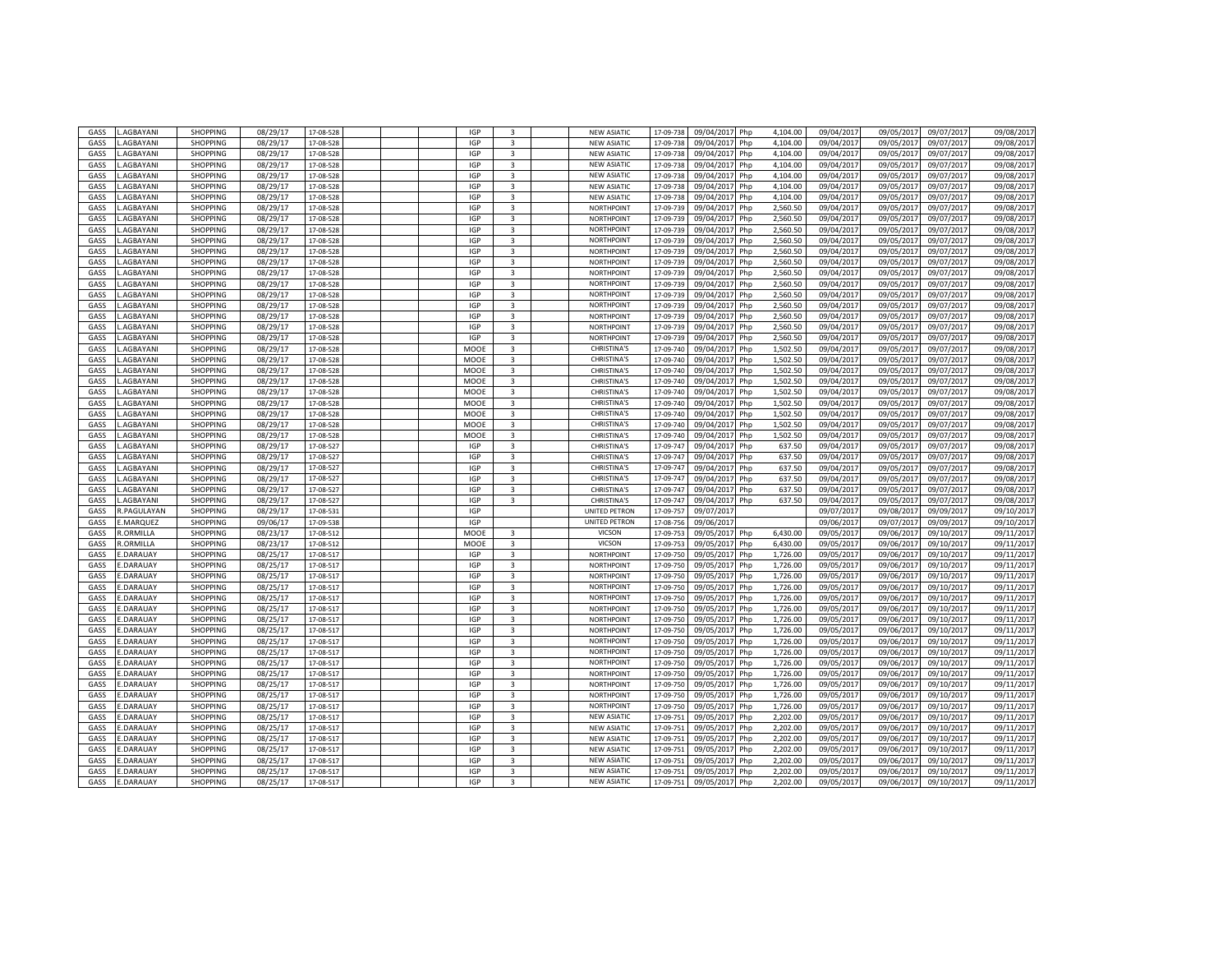| GASS        | AGBAYANI           | SHOPPING        | 08/29/17 | 17-08-528 |  | <b>IGP</b> | $\overline{3}$          | <b>NEW ASIATIC</b>   | 17-09-738             | 09/04/201<br>Php  | 4,104.00 | 09/04/201  | 09/05/201  | 09/07/201  | 09/08/2017 |
|-------------|--------------------|-----------------|----------|-----------|--|------------|-------------------------|----------------------|-----------------------|-------------------|----------|------------|------------|------------|------------|
| GASS        | <b>AGBAYANI</b>    | <b>SHOPPING</b> | 08/29/17 | 17-08-528 |  | <b>IGP</b> | $\overline{3}$          | <b>NEW ASIATIC</b>   | 17-09-738             | 09/04/2017<br>Php | 4,104.00 | 09/04/2017 | 09/05/2017 | 09/07/2017 | 09/08/2017 |
| GASS        | <b>AGBAYANI</b>    | <b>SHOPPING</b> | 08/29/17 | 17-08-528 |  | <b>IGP</b> | $\overline{\mathbf{3}}$ | <b>NEW ASIATIC</b>   | 17-09-73              | 09/04/201<br>Php  | 4,104.00 | 09/04/2017 | 09/05/201  | 09/07/2017 | 09/08/2017 |
| GASS        | <b>AGBAYANI</b>    | <b>SHOPPING</b> | 08/29/17 | 17-08-528 |  | IGP        | 3                       | <b>NEW ASIATIC</b>   | 17-09-738             | 09/04/2017<br>Php | 4,104.00 | 09/04/201  | 09/05/201  | 09/07/2017 | 09/08/2017 |
|             |                    |                 |          |           |  |            |                         |                      |                       |                   |          |            |            |            |            |
| GASS        | <b>AGBAYANI</b>    | <b>SHOPPING</b> | 08/29/17 | 17-08-52  |  | IGP        | 3                       | <b>NEW ASIATIC</b>   | 17-09-73              | 09/04/201<br>Php  | 4,104.00 | 09/04/201  | 09/05/201  | 09/07/201  | 09/08/2017 |
| GASS        | <b>AGBAYANI</b>    | SHOPPING        | 08/29/17 | 17-08-528 |  | IGP        | $\overline{\mathbf{3}}$ | <b>NEW ASIATIC</b>   | 17-09-73              | 09/04/201<br>Php  | 4,104.00 | 09/04/201  | 09/05/201  | 09/07/201  | 09/08/2017 |
| GASS        | <b>AGBAYANI</b>    | <b>SHOPPING</b> | 08/29/17 | 17-08-528 |  | <b>IGP</b> | $\overline{\mathbf{3}}$ | <b>NEW ASIATIC</b>   | 17-09-73              | 09/04/201<br>Php  | 4,104.00 | 09/04/2017 | 09/05/2017 | 09/07/2017 | 09/08/2017 |
| GASS        | <b>AGBAYANI</b>    | SHOPPING        | 08/29/17 | 17-08-52  |  | <b>IGP</b> | $\overline{3}$          | NORTHPOINT           | 17-09-73              | 09/04/201<br>Php  | 2,560.50 | 09/04/201  | 09/05/201  | 09/07/201  | 09/08/2017 |
| GASS        | .AGBAYANI          | SHOPPING        | 08/29/17 | 17-08-528 |  | <b>IGP</b> | $\overline{3}$          | NORTHPOINT           | 17-09-739             | 09/04/201<br>Php  | 2,560.50 | 09/04/2017 | 09/05/201  | 09/07/2017 | 09/08/2017 |
| GASS        | <b>AGBAYANI</b>    | SHOPPING        | 08/29/17 | 17-08-52  |  | <b>IGP</b> | $\overline{3}$          | NORTHPOINT           | 17-09-73              | 09/04/201<br>Php  | 2,560.50 | 09/04/201  | 09/05/201  | 09/07/201  | 09/08/2017 |
| GASS        | AGBAYANI.          | <b>SHOPPING</b> | 08/29/17 | 17-08-528 |  | <b>IGP</b> | 3                       | NORTHPOINT           | 17-09-73              | 09/04/2017<br>Php | 2,560.50 | 09/04/2017 | 09/05/2017 | 09/07/2017 | 09/08/2017 |
| GASS        | <b>AGBAYANI</b>    | <b>SHOPPING</b> | 08/29/17 | 17-08-528 |  | <b>IGP</b> | $\overline{3}$          | <b>NORTHPOINT</b>    | 17-09-73              | 09/04/201<br>Php  | 2,560.50 | 09/04/201  | 09/05/201  | 09/07/2017 | 09/08/2017 |
| GASS        | <b>AGBAYANI</b>    | SHOPPING        | 08/29/17 | 17-08-528 |  | <b>IGP</b> | 3                       | NORTHPOINT           | 17-09-739             | 09/04/2017<br>Php | 2,560.50 | 09/04/201  | 09/05/201  | 09/07/2017 | 09/08/2017 |
| GASS        | <b>AGBAYANI</b>    | <b>SHOPPING</b> | 08/29/17 | 17-08-528 |  | IGP        | 3                       | <b>NORTHPOINT</b>    | 17-09-73              | 09/04/201<br>Php  | 2,560.50 | 09/04/201  | 09/05/201  | 09/07/201  | 09/08/2017 |
| GASS        | AGBAYANI           | <b>SHOPPING</b> | 08/29/17 | 17-08-528 |  | <b>IGP</b> | $\overline{\mathbf{3}}$ | <b>NORTHPOINT</b>    | 17-09-73              | 09/04/201<br>Php  | 2,560.50 | 09/04/201  | 09/05/201  | 09/07/201  | 09/08/2017 |
| GASS        | <b>AGBAYANI</b>    | <b>SHOPPING</b> | 08/29/17 | 17-08-528 |  | IGP        | 3                       | <b>NORTHPOINT</b>    | 17-09-73              | 09/04/201<br>Php  | 2,560.50 | 09/04/201  | 09/05/2017 | 09/07/201  | 09/08/2017 |
|             |                    |                 |          |           |  | IGP        | 3                       | <b>NORTHPOINT</b>    |                       |                   | 2,560.50 |            | 09/05/201  |            |            |
| GASS        | AGBAYANI           | <b>SHOPPING</b> | 08/29/17 | 17-08-52  |  |            |                         |                      | 17-09-73              | 09/04/201<br>Php  |          | 09/04/201  |            | 09/07/201  | 09/08/2017 |
| GASS        | <b>AGBAYANI</b>    | <b>SHOPPING</b> | 08/29/17 | 17-08-528 |  | <b>IGP</b> | $\overline{3}$          | NORTHPOINT           | 17-09-739             | 09/04/2017<br>Php | 2,560.50 | 09/04/2017 | 09/05/201  | 09/07/2017 | 09/08/2017 |
| GASS        | <b>AGBAYANI</b>    | <b>SHOPPING</b> | 08/29/17 | 17-08-52  |  | <b>IGP</b> | $\overline{3}$          | NORTHPOINT           | 17-09-73              | 09/04/201<br>Php  | 2,560.50 | 09/04/201  | 09/05/201  | 09/07/201  | 09/08/2017 |
| GASS        | <b>AGBAYANI</b>    | <b>SHOPPING</b> | 08/29/17 | 17-08-528 |  | <b>IGP</b> | 3                       | <b>NORTHPOINT</b>    | 17-09-739             | 09/04/2017<br>Php | 2,560.50 | 09/04/2017 | 09/05/201  | 09/07/2017 | 09/08/2017 |
| GASS        | <b>AGBAYANI</b>    | <b>SHOPPING</b> | 08/29/17 | 17-08-52  |  | MOOE       | 3                       | <b>CHRISTINA'S</b>   | 17-09-740             | 09/04/201<br>Php  | 1,502.50 | 09/04/201  | 09/05/201  | 09/07/201  | 09/08/2017 |
| GASS        | <b>AGBAYANI</b>    | <b>SHOPPING</b> | 08/29/17 | 17-08-528 |  | MOOE       | 3                       | <b>CHRISTINA'S</b>   | 17-09-740             | 09/04/2017<br>Php | 1,502.50 | 09/04/201  | 09/05/201  | 09/07/2017 | 09/08/2017 |
| GASS        | <b>AGBAYANI</b>    | <b>SHOPPING</b> | 08/29/17 | 17-08-528 |  | MOOE       | 3                       | <b>CHRISTINA'S</b>   | 17-09-740             | 09/04/201<br>Php  | 1,502.50 | 09/04/2017 | 09/05/2017 | 09/07/2017 | 09/08/2017 |
| GASS        | AGBAYANI           | <b>SHOPPING</b> | 08/29/17 | 17-08-528 |  | MOOE       | $\overline{\mathbf{3}}$ | <b>CHRISTINA'S</b>   | 17-09-740             | 09/04/201<br>Php  | 1,502.50 | 09/04/2017 | 09/05/201  | 09/07/2017 | 09/08/2017 |
| GASS        | <b>AGBAYANI</b>    | <b>SHOPPING</b> | 08/29/17 | 17-08-528 |  | MOOE       | 3                       | <b>CHRISTINA'S</b>   | 17-09-740             | 09/04/201<br>Php  | 1,502.50 | 09/04/201  | 09/05/201  | 09/07/201  | 09/08/2017 |
| GASS        | <b>AGBAYANI</b>    | <b>SHOPPING</b> | 08/29/17 | 17-08-528 |  | MOOE       | 3                       | <b>CHRISTINA'S</b>   | 17-09-740             | 09/04/201<br>Php  | 1,502.50 | 09/04/201  | 09/05/201  | 09/07/201  | 09/08/2017 |
| GASS        | AGBAYANI.          | <b>SHOPPING</b> | 08/29/17 | 17-08-528 |  | MOOE       | 3                       | <b>CHRISTINA'S</b>   | 17-09-740             | 09/04/2017<br>Php | 1,502.50 | 09/04/2017 | 09/05/201  | 09/07/2017 | 09/08/2017 |
| GASS        | <b>AGBAYANI</b>    | <b>SHOPPING</b> | 08/29/17 | 17-08-52  |  | MOOE       | 3                       | <b>CHRISTINA'S</b>   | 17-09-74              | 09/04/201<br>Php  | 1,502.50 | 09/04/201  | 09/05/201  | 09/07/201  | 09/08/2017 |
| GASS        | <b>AGBAYANI</b>    | <b>SHOPPING</b> | 08/29/17 | 17-08-528 |  | MOOE       | $\overline{3}$          | <b>CHRISTINA'S</b>   | 17-09-740             | 09/04/201<br>Php  | 1,502.50 | 09/04/2017 | 09/05/201  | 09/07/2017 | 09/08/2017 |
| GASS        | <b>AGBAYANI</b>    | <b>SHOPPING</b> | 08/29/17 | 17-08-527 |  | <b>IGP</b> | $\overline{\mathbf{3}}$ | CHRISTINA'S          | 17-09-747             | 09/04/201<br>Php  | 637.50   | 09/04/201  | 09/05/201  | 09/07/201  | 09/08/2017 |
| GASS        | <b>AGBAYANI</b>    | <b>SHOPPING</b> | 08/29/17 | 17-08-527 |  | IGP        | 3                       | CHRISTINA'S          |                       | 09/04/2017        | 637.50   | 09/04/201  | 09/05/201  | 09/07/2017 | 09/08/2017 |
|             |                    |                 |          | 17-08-527 |  | <b>IGP</b> |                         |                      | 17-09-74<br>17-09-747 | Php               |          |            |            |            |            |
| GASS        | <b>AGBAYANI</b>    | SHOPPING        | 08/29/17 |           |  |            | 3                       | <b>CHRISTINA'S</b>   |                       | 09/04/201<br>Php  | 637.50   | 09/04/2017 | 09/05/2017 | 09/07/2017 | 09/08/2017 |
| GASS        | <b>AGBAYANI</b>    | <b>SHOPPING</b> | 08/29/17 | 17-08-52  |  | <b>IGP</b> | $\overline{3}$          | <b>CHRISTINA'S</b>   | 17-09-74              | 09/04/201<br>Php  | 637.50   | 09/04/201  | 09/05/201  | 09/07/201  | 09/08/2017 |
| GASS        | <b>AGBAYANI</b>    | <b>SHOPPING</b> | 08/29/17 | 17-08-52  |  | <b>IGP</b> | 3                       | <b>CHRISTINA'S</b>   | 17-09-74              | 09/04/201<br>Php  | 637.50   | 09/04/201  | 09/05/201  | 09/07/201  | 09/08/2017 |
| GASS        | <b>AGBAYANI</b>    | <b>SHOPPING</b> | 08/29/17 | 17-08-52  |  | <b>IGP</b> | $\overline{3}$          | <b>CHRISTINA'S</b>   | 17-09-74              | 09/04/201<br>Php  | 637.50   | 09/04/201  | 09/05/201  | 09/07/201  | 09/08/2017 |
| GASS        | <b>R.PAGULAYAN</b> | <b>SHOPPING</b> | 08/29/17 | 17-08-531 |  | IGP        |                         | <b>UNITED PETRON</b> | 17-09-757             | 09/07/2017        |          | 09/07/2017 | 09/08/2017 | 09/09/2017 | 09/10/2017 |
| GASS        | <b>MARQUEZ</b>     | <b>SHOPPING</b> | 09/06/17 | 17-09-538 |  | <b>IGP</b> |                         | UNITED PETRON        | 17-08-75              | 09/06/201         |          | 09/06/2017 | 09/07/2017 | 09/09/2017 | 09/10/2017 |
| GASS        | <b>.ORMILLA</b>    | <b>SHOPPING</b> | 08/23/17 | 17-08-512 |  | MOOE       | $\overline{3}$          | VICSON               | 17-09-753             | 09/05/2017<br>Php | 6.430.00 | 09/05/201  | 09/06/201  | 09/10/2017 | 09/11/2017 |
| <b>GASS</b> | R.ORMILLA          | <b>SHOPPING</b> | 08/23/17 | 17-08-512 |  | MOOE       | 3                       | VICSON               | 17-09-753             | 09/05/201<br>Php  | 6.430.00 | 09/05/201  | 09/06/201  | 09/10/201  | 09/11/2017 |
| GASS        | .DARAUAY           | <b>SHOPPING</b> | 08/25/17 | 17-08-517 |  | <b>IGP</b> | $\overline{3}$          | <b>NORTHPOINT</b>    | 17-09-750             | 09/05/2017<br>Php | 1.726.00 | 09/05/2017 | 09/06/201  | 09/10/2017 | 09/11/2017 |
| GASS        | .DARAUAY           | <b>SHOPPING</b> | 08/25/17 | 17-08-517 |  | <b>IGP</b> | 3                       | NORTHPOINT           | 17-09-750             | 09/05/201<br>Php  | 1,726.00 | 09/05/2017 | 09/06/2017 | 09/10/2017 | 09/11/2017 |
| GASS        | DARAUAY            | <b>SHOPPING</b> | 08/25/17 | 17-08-51  |  | <b>IGP</b> | $\overline{3}$          | <b>NORTHPOINT</b>    | 17-09-75              | 09/05/201<br>Php  | 1,726.00 | 09/05/201  | 09/06/201  | 09/10/201  | 09/11/2017 |
| GASS        | .DARAUAY           | <b>SHOPPING</b> | 08/25/17 | 17-08-51  |  | <b>IGP</b> | 3                       | NORTHPOINT           | 17-09-750             | 09/05/201<br>Php  | 1,726.00 | 09/05/201  | 09/06/201  | 09/10/201  | 09/11/2017 |
| GASS        | .DARAUAY           | SHOPPING        | 08/25/17 | 17-08-51  |  | IGP        | $\overline{3}$          | <b>NORTHPOINT</b>    | 17-09-750             | 09/05/201<br>Php  | 1,726.00 | 09/05/201  | 09/06/201  | 09/10/201  | 09/11/2017 |
| GASS        | .DARAUAY           | <b>SHOPPING</b> | 08/25/17 | 17-08-517 |  | <b>IGP</b> | $\overline{3}$          | NORTHPOINT           | 17-09-750             | 09/05/2017<br>Php | 1,726.00 | 09/05/2017 | 09/06/2017 | 09/10/2017 | 09/11/2017 |
| GASS        | .DARAUAY           | SHOPPING        | 08/25/17 | 17-08-517 |  | <b>IGP</b> | 3                       | NORTHPOINT           | 17-09-750             | 09/05/201<br>Php  | 1,726.00 | 09/05/2017 | 09/06/2017 | 09/10/2017 | 09/11/2017 |
|             |                    |                 |          |           |  |            | $\overline{3}$          |                      |                       |                   |          |            |            |            |            |
| GASS        | .DARAUAY           | <b>SHOPPING</b> | 08/25/17 | 17-08-517 |  | IGP        |                         | NORTHPOINT           | 17-09-750             | 09/05/201<br>Php  | 1,726.00 | 09/05/201  | 09/06/201  | 09/10/2017 | 09/11/2017 |
| GASS        | .DARAUAY           | <b>SHOPPING</b> | 08/25/17 | 17-08-51  |  | IGP        | 3                       | NORTHPOINT           | 17-09-750             | 09/05/201<br>Php  | 1,726.00 | 09/05/201  | 09/06/201  | 09/10/201  | 09/11/2017 |
| GASS        | .DARAUAY           | <b>SHOPPING</b> | 08/25/17 | 17-08-517 |  | IGP        | $\overline{3}$          | <b>NORTHPOINT</b>    | 17-09-750             | 09/05/201<br>Php  | 1,726.00 | 09/05/2017 | 09/06/201  | 09/10/2017 | 09/11/2017 |
| GASS        | .DARAUAY           | <b>SHOPPING</b> | 08/25/17 | 17-08-517 |  | IGP        | 3                       | NORTHPOINT           | 17-09-750             | 09/05/201<br>Php  | 1,726.00 | 09/05/2017 | 09/06/2017 | 09/10/2017 | 09/11/2017 |
| GASS        | <b>DARAUAY</b>     | SHOPPING        | 08/25/17 | 17-08-51  |  | <b>IGP</b> | $\overline{3}$          | <b>NORTHPOINT</b>    | 17-09-75              | 09/05/201<br>Php  | 1,726.00 | 09/05/201  | 09/06/201  | 09/10/201  | 09/11/2017 |
| GASS        | .DARAUAY           | <b>SHOPPING</b> | 08/25/17 | 17-08-517 |  | <b>IGP</b> | $\overline{3}$          | NORTHPOINT           | 17-09-750             | 09/05/2017<br>Php | 1,726.00 | 09/05/2017 | 09/06/201  | 09/10/2017 | 09/11/2017 |
| GASS        | .DARAUAY           | SHOPPING        | 08/25/17 | 17-08-51  |  | IGP        | $\overline{\mathbf{3}}$ | <b>NORTHPOINT</b>    | 17-09-75              | 09/05/201<br>Php  | 1,726.00 | 09/05/201  | 09/06/201  | 09/10/201  | 09/11/2017 |
| GASS        | .DARAUAY           | <b>SHOPPING</b> | 08/25/17 | 17-08-517 |  | <b>IGP</b> | $\overline{\mathbf{3}}$ | NORTHPOINT           | 17-09-750             | 09/05/2017<br>Php | 1,726.00 | 09/05/2017 | 09/06/201  | 09/10/2017 | 09/11/2017 |
| GASS        | .DARAUAY           | SHOPPING        | 08/25/17 | 17-08-51  |  | <b>IGP</b> | $\overline{3}$          | <b>NEW ASIATIC</b>   | 17-09-75              | 09/05/201<br>Php  | 2,202.00 | 09/05/201  | 09/06/201  | 09/10/201  | 09/11/2017 |
| GASS        | .DARAUAY           | <b>SHOPPING</b> | 08/25/17 | 17-08-517 |  | IGP        | $\overline{\mathbf{3}}$ | <b>NEW ASIATIC</b>   | 17-09-75              | 09/05/201<br>Php  | 2,202.00 | 09/05/2017 | 09/06/201  | 09/10/201  | 09/11/2017 |
| GASS        | .DARAUAY           | <b>SHOPPING</b> | 08/25/17 | 17-08-517 |  | IGP        | $\overline{3}$          | <b>NEW ASIATIC</b>   | 17-09-75              | 09/05/201<br>Php  | 2,202.00 | 09/05/201  | 09/06/201  | 09/10/201  | 09/11/2017 |
| GASS        | <b>DARAUAY</b>     | <b>SHOPPING</b> | 08/25/17 | 17-08-517 |  | IGP        | $\overline{3}$          | <b>NEW ASIATIO</b>   | 17-09-75              | 09/05/201<br>Php  | 2,202.00 | 09/05/201  | 09/06/201  | 09/10/201  | 09/11/2017 |
| GASS        | <b>DARAUAY</b>     | <b>SHOPPING</b> | 08/25/17 | 17-08-51  |  | IGP        | 3                       | <b>NEW ASIATIO</b>   | 17-09-75              | 09/05/201<br>Php  | 2,202.00 | 09/05/201  | 09/06/201  | 09/10/201  | 09/11/2017 |
| GASS        | .DARAUAY           | <b>SHOPPING</b> | 08/25/17 | 17-08-517 |  | <b>IGP</b> | 3                       | <b>NEW ASIATIC</b>   | 17-09-75              | 09/05/201<br>Php  | 2,202.00 | 09/05/201  | 09/06/201  | 09/10/201  |            |
|             |                    |                 |          |           |  |            |                         |                      |                       |                   |          |            |            |            | 09/11/2017 |
| GASS        | .DARAUAY           | <b>SHOPPING</b> | 08/25/17 | 17-08-517 |  | <b>IGP</b> | $\overline{3}$          | <b>NEW ASIATIC</b>   | 17-09-751             | Php<br>09/05/2017 | 2,202.00 | 09/05/2017 | 09/06/2017 | 09/10/2017 | 09/11/2017 |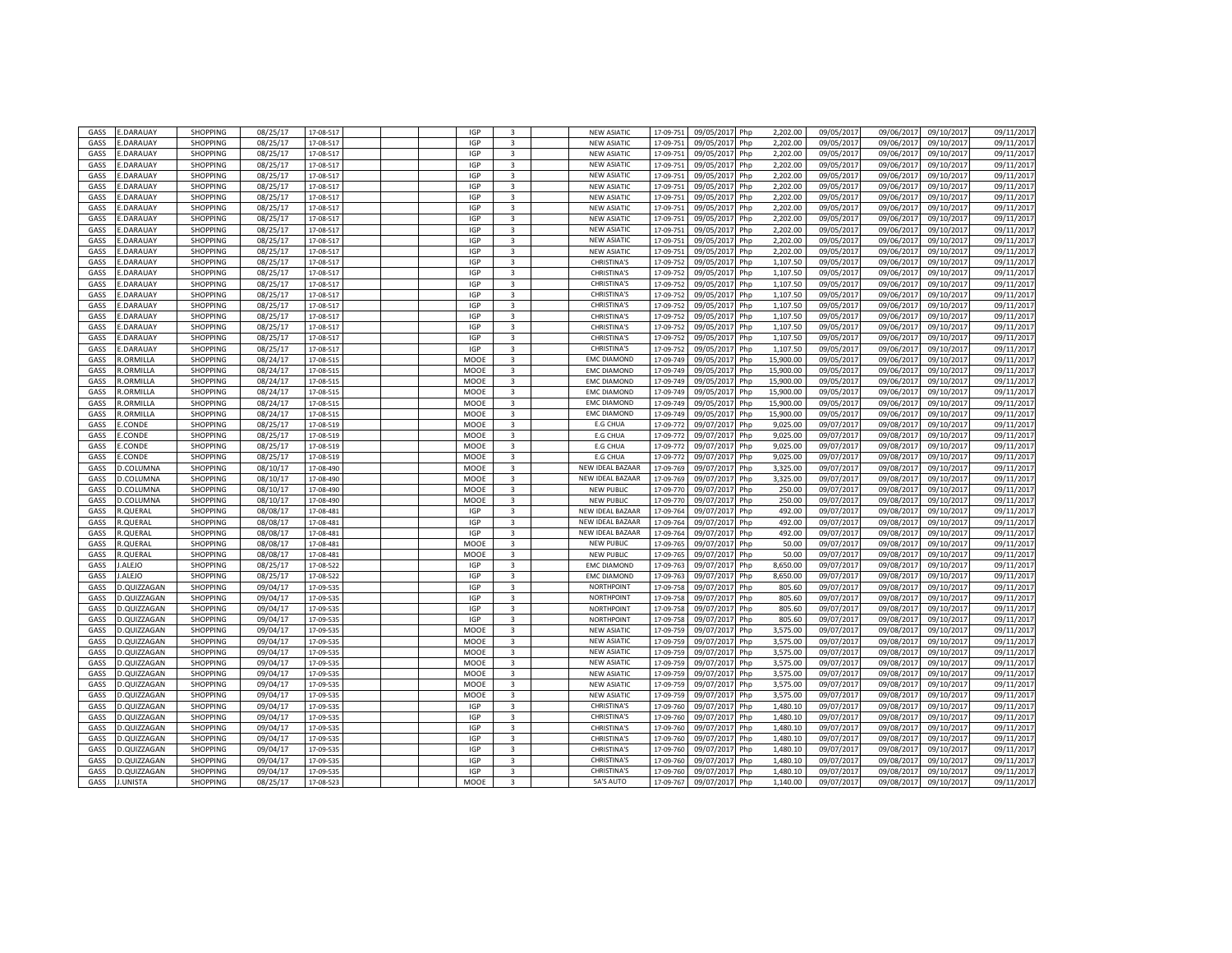| GASS         | .DARAUAY                       | SHOPPING                           | 08/25/17             | 17-08-517             |  | <b>IGP</b>         | $\overline{3}$          | <b>NEW ASIATIC</b>              | 17-09-75               | 09/05/2017<br>Php                     | 2,202.00             | 09/05/201               | 09/06/201               | 09/10/201               | 09/11/2017               |
|--------------|--------------------------------|------------------------------------|----------------------|-----------------------|--|--------------------|-------------------------|---------------------------------|------------------------|---------------------------------------|----------------------|-------------------------|-------------------------|-------------------------|--------------------------|
| GASS         | .DARAUAY                       | <b>SHOPPING</b>                    | 08/25/17             | 17-08-517             |  | <b>IGP</b>         | $\overline{3}$          | <b>NEW ASIATIC</b>              | 17-09-75:              | 09/05/2017<br>Php                     | 2,202.00             | 09/05/2017              | 09/06/2017              | 09/10/2017              | 09/11/2017               |
| GASS         | .DARAUAY                       | <b>SHOPPING</b>                    | 08/25/17             | 17-08-517             |  | <b>IGP</b>         | $\overline{\mathbf{3}}$ | <b>NEW ASIATIC</b>              | 17-09-75               | 09/05/201<br>Php                      | 2,202.00             | 09/05/2017              | 09/06/201               | 09/10/2017              | 09/11/2017               |
| GASS         | .DARAUAY                       | <b>SHOPPING</b>                    | 08/25/17             | 17-08-517             |  | IGP                | 3                       | <b>NEW ASIATIC</b>              | 17-09-75               | 09/05/2017<br>Php                     | 2,202.00             | 09/05/201               | 09/06/201               | 09/10/2017              | 09/11/2017               |
| <b>GASS</b>  | .DARAUAY                       | <b>SHOPPING</b>                    | 08/25/17             | 17-08-51              |  | IGP                | 3                       | <b>NEW ASIATIC</b>              | 17-09-75               | 09/05/201<br>Php                      | 2,202.00             | 09/05/201               | 09/06/201               | 09/10/201               | 09/11/2017               |
|              |                                |                                    |                      |                       |  |                    |                         |                                 |                        |                                       |                      |                         |                         |                         |                          |
| GASS         | .DARAUAY                       | SHOPPING                           | 08/25/17             | 17-08-517             |  | IGP                | $\overline{\mathbf{3}}$ | <b>NEW ASIATIC</b>              | 17-09-75               | 09/05/201<br>Php                      | 2,202.00             | 09/05/201               | 09/06/201               | 09/10/201               | 09/11/2017               |
| GASS         | .DARAUAY                       | SHOPPING                           | 08/25/17             | 17-08-517             |  | <b>IGP</b>         | 3                       | <b>NEW ASIATIC</b>              | 17-09-75               | 09/05/201<br>Php                      | 2,202.00             | 09/05/2017              | 09/06/2017              | 09/10/201               | 09/11/2017               |
| GASS         | <b>DARAUAY</b>                 | SHOPPING                           | 08/25/17             | 17-08-51              |  | <b>IGP</b>         | $\overline{\mathbf{3}}$ | <b>NEW ASIATIC</b>              | 17-09-75               | 09/05/201<br>Php                      | 2,202.00             | 09/05/201               | 09/06/201               | 09/10/201               | 09/11/2017               |
| GASS         | DARAUAY                        | SHOPPING                           | 08/25/17             | 17-08-517             |  | <b>IGP</b>         | $\overline{3}$          | <b>NEW ASIATIC</b>              | 17-09-75               | Php<br>09/05/2017                     | 2,202.00             | 09/05/2017              | 09/06/201               | 09/10/2017              | 09/11/2017               |
| GASS         | .DARAUAY                       | <b>SHOPPING</b>                    | 08/25/17             | 17-08-51              |  | <b>IGP</b>         | $\overline{3}$          | <b>NEW ASIATIC</b>              | 17-09-75               | 09/05/201<br>Php                      | 2,202.00             | 09/05/201               | 09/06/201               | 09/10/201               | 09/11/2017               |
| GASS         | <b>DARAUAY</b>                 | <b>SHOPPING</b>                    | 08/25/17             | 17-08-517             |  | <b>IGP</b>         | 3                       | <b>NEW ASIATIC</b>              | 17-09-75:              |                                       | 2,202.00             | 09/05/2017              | 09/06/201               |                         | 09/11/2017               |
|              |                                |                                    |                      |                       |  |                    |                         |                                 |                        | 09/05/2017<br>Php                     |                      |                         |                         | 09/10/2017              |                          |
| GASS         | .DARAUAY                       | <b>SHOPPING</b>                    | 08/25/17             | 17-08-517             |  | <b>IGP</b>         | $\overline{\mathbf{3}}$ | <b>NEW ASIATIO</b>              | 17-09-75               | 09/05/201<br>Php                      | 2.202.00             | 09/05/201               | 09/06/201               | 09/10/201               | 09/11/2017               |
| GASS         | .DARAUAY                       | <b>SHOPPING</b>                    | 08/25/17             | 17-08-517             |  | IGP                | 3                       | <b>CHRISTINA'S</b>              | 17-09-75               | 09/05/2017<br>Php                     | 1,107.50             | 09/05/2017              | 09/06/201               | 09/10/2017              | 09/11/2017               |
| GASS         | <b>DARAUAY</b>                 | <b>SHOPPING</b>                    | 08/25/17             | 17-08-517             |  | <b>IGP</b>         | 3                       | <b>CHRISTINA'S</b>              | 17-09-75               | 09/05/201<br>Php                      | 1,107.50             | 09/05/2017              | 09/06/2017              | 09/10/2017              | 09/11/2017               |
| GASS         | <b>DARAUAY</b>                 | <b>SHOPPING</b>                    | 08/25/17             | 17-08-517             |  | <b>IGP</b>         | 3                       | <b>CHRISTINA'S</b>              | 17-09-75               | 09/05/201<br>Php                      | 1,107.50             | 09/05/201               | 09/06/201               | 09/10/2017              | 09/11/2017               |
| GASS         | .DARAUAY                       | <b>SHOPPING</b>                    | 08/25/17             | 17-08-517             |  | <b>IGP</b>         | 3                       | <b>CHRISTINA'S</b>              | 17-09-75               | 09/05/201<br>Php                      | 1,107.50             | 09/05/201               | 09/06/201               | 09/10/201               | 09/11/2017               |
|              |                                |                                    | 08/25/17             |                       |  | IGP                | $\overline{3}$          | <b>CHRISTINA'S</b>              |                        |                                       |                      |                         | 09/06/201               |                         | 09/11/2017               |
| GASS         | .DARAUAY                       | <b>SHOPPING</b>                    |                      | 17-08-517             |  |                    |                         |                                 | 17-09-75               | 09/05/201<br>Php                      | 1,107.50             | 09/05/201               |                         | 09/10/201               |                          |
| GASS         | .DARAUAY                       | <b>SHOPPING</b>                    | 08/25/17             | 17-08-517             |  | IGP                | $\overline{3}$          | CHRISTINA'S                     | 17-09-75               | 09/05/2017<br>Php                     | 1,107.50             | 09/05/2017              | 09/06/2017              | 09/10/2017              | 09/11/2017               |
| GASS         | .DARAUAY                       | <b>SHOPPING</b>                    | 08/25/17             | 17-08-51              |  | <b>IGP</b>         | 3                       | <b>CHRISTINA'S</b>              | 17-09-75               | 09/05/201<br>Php                      | 1,107.50             | 09/05/201               | 09/06/201               | 09/10/201               | 09/11/2017               |
| GASS         | .DARAUAY                       | <b>SHOPPING</b>                    | 08/25/17             | 17-08-517             |  | <b>IGP</b>         | 3                       | <b>CHRISTINA'S</b>              | 17-09-75               | 09/05/2017<br>Php                     | 1.107.50             | 09/05/2017              | 09/06/201               | 09/10/2017              | 09/11/2017               |
| GASS         | .DARAUAY                       | <b>SHOPPING</b>                    | 08/25/17             | 17-08-517             |  | <b>IGP</b>         | 3                       | CHRISTINA'S                     | 17-09-75               | 09/05/201<br>Php                      | 1.107.50             | 09/05/201               | 09/06/201               | 09/10/201               | 09/11/2017               |
| GASS         | .ORMILLA                       | <b>SHOPPING</b>                    | 08/24/17             | 17-08-515             |  | MOOE               | 3                       | <b>EMC DIAMOND</b>              | 17-09-74               | 09/05/201<br>Php                      | 15,900.00            | 09/05/201               | 09/06/201               | 09/10/201               | 09/11/2017               |
|              | .ORMILLA                       |                                    | 08/24/17             |                       |  |                    |                         | <b>EMC DIAMOND</b>              |                        |                                       |                      |                         |                         |                         |                          |
| GASS         |                                | <b>SHOPPING</b>                    |                      | 17-08-515             |  | MOOE               | 3                       |                                 | 17-09-749              | 09/05/201<br>Php                      | 15,900.00            | 09/05/2017              | 09/06/2017              | 09/10/2017              | 09/11/2017               |
| GASS         | .ORMILLA                       | <b>SHOPPING</b>                    | 08/24/17             | 17-08-515             |  | MOOE               | $\overline{3}$          | <b>EMC DIAMOND</b>              | 17-09-74               | 09/05/201<br>Php                      | 15,900.00            | 09/05/201               | 09/06/201               | 09/10/201               | 09/11/2017               |
| GASS         | .ORMILLA                       | <b>SHOPPING</b>                    | 08/24/17             | 17-08-515             |  | MOOE               | 3                       | <b>EMC DIAMOND</b>              | 17-09-749              | 09/05/201<br>Php                      | 15,900.00            | 09/05/201               | 09/06/201               | 09/10/201               | 09/11/2017               |
| GASS         | .ORMILLA                       | SHOPPING                           | 08/24/17             | 17-08-515             |  | MOOE               | $\overline{3}$          | <b>EMC DIAMOND</b>              | 17-09-74               | 09/05/201<br>Php                      | 15,900.00            | 09/05/201               | 09/06/201               | 09/10/201               | 09/11/2017               |
| GASS         | <b>.ORMILLA</b>                | <b>SHOPPING</b>                    | 08/24/17             | 17-08-515             |  | MOOE               | 3                       | <b>EMC DIAMOND</b>              | 17-09-74               | 09/05/2017<br>Php                     | 15,900.00            | 09/05/2017              | 09/06/2017              | 09/10/2017              | 09/11/2017               |
| GASS         | CONDE                          | <b>SHOPPING</b>                    | 08/25/17             | 17-08-519             |  | MOOE               | $\overline{3}$          | <b>E.G CHUA</b>                 | 17-09-77               | 09/07/201<br>Php                      | 9.025.00             | 09/07/2017              | 09/08/201               | 09/10/2017              | 09/11/2017               |
| GASS         | .CONDE                         | <b>SHOPPING</b>                    | 08/25/17             | 17-08-519             |  | MOOE               | 3                       | <b>E.G CHUA</b>                 | 17-09-77               | 09/07/201<br>Php                      | 9,025.00             | 09/07/201               | 09/08/201               | 09/10/2017              | 09/11/2017               |
|              |                                |                                    |                      |                       |  |                    |                         |                                 |                        |                                       |                      |                         |                         |                         |                          |
| <b>GASS</b>  | .CONDE                         | <b>SHOPPING</b>                    | 08/25/17             | 17-08-519             |  | MOOE               | 3                       | <b>E.G CHUA</b>                 | 17-09-77               | 09/07/201<br>Php                      | 9,025.00             | 09/07/201               | 09/08/201               | 09/10/201               | 09/11/2017               |
| GASS         | .CONDE                         | SHOPPING                           | 08/25/17             | 17-08-519             |  | MOOE               | $\overline{3}$          | <b>E.G CHUA</b>                 | 17-09-77               | 09/07/201<br>Php                      | 9,025.00             | 09/07/201               | 09/08/201               | 09/10/201               | 09/11/2017               |
| GASS         | D.COLUMNA                      | SHOPPING                           | 08/10/17             | 17-08-490             |  | MOOE               | 3                       | NEW IDEAL BAZAAR                | 17-09-769              | 09/07/201<br>Php                      | 3,325.00             | 09/07/2017              | 09/08/2017              | 09/10/201               | 09/11/2017               |
| GASS         | D.COLUMNA                      | SHOPPING                           | 08/10/17             | 17-08-490             |  | MOOE               | $\overline{3}$          | <b>NEW IDEAL BAZAAR</b>         | 17-09-76               | 09/07/201<br>Php                      | 3,325.00             | 09/07/201               | 09/08/201               | 09/10/201               | 09/11/2017               |
| GASS         | <b>D.COLUMNA</b>               | <b>SHOPPING</b>                    | 08/10/17             | 17-08-490             |  | MOOE               | $\overline{3}$          | <b>NEW PUBLIC</b>               | 17-09-770              | 09/07/2017<br>Php                     | 250.00               | 09/07/2017              | 09/08/201               | 09/10/2017              | 09/11/2017               |
| GASS         | D.COLUMNA                      | <b>SHOPPING</b>                    |                      |                       |  | MOOE               | 3                       | <b>NEW PUBLIC</b>               | 17-09-77               | 09/07/201                             | 250.00               | 09/07/201               |                         | 09/10/201               |                          |
|              |                                |                                    | 08/10/17             | 17-08-490             |  |                    |                         |                                 |                        | Php                                   |                      |                         | 09/08/201               |                         | 09/11/2017               |
| GASS         | R.QUERAL                       | <b>SHOPPING</b>                    | 08/08/17             | 17-08-481             |  | <b>IGP</b>         | 3                       | NEW IDEAL BAZAAR                | 17-09-764              | 09/07/2017<br>Php                     | 492.00               | 09/07/2017              | 09/08/201               | 09/10/2017              | 09/11/2017               |
| GASS         | R.QUERAL                       | SHOPPING                           | 08/08/17             | 17-08-481             |  | <b>IGP</b>         | $\overline{\mathbf{3}}$ | NEW IDEAL BAZAAR                | 17-09-764              | 09/07/201<br>Php                      | 492.00               | 09/07/201               | 09/08/201               | 09/10/201               | 09/11/2017               |
| GASS         | <b>.QUERAL</b>                 | <b>SHOPPING</b>                    | 08/08/17             | 17-08-481             |  | <b>IGP</b>         | 3                       | NEW IDEAL BAZAAR                | 17-09-764              | 09/07/201<br>Php                      | 492.00               | 09/07/2017              | 09/08/201               | 09/10/201               | 09/11/2017               |
| GASS         | <b>.QUERAL</b>                 | <b>SHOPPING</b>                    | 08/08/17             | 17-08-481             |  | MOOE               | 3                       | <b>NEW PUBLIC</b>               | 17-09-765              | 09/07/201<br>Php                      | 50.00                | 09/07/2017              | 09/08/201               | 09/10/2017              | 09/11/2017               |
| GASS         | .QUERAL                        | SHOPPING                           | 08/08/17             | 17-08-481             |  | MOOE               | $\overline{\mathbf{3}}$ | <b>NEW PUBLIC</b>               | 17-09-76               | 09/07/201<br>Php                      | 50.00                | 09/07/201               | 09/08/201               | 09/10/201               | 09/11/2017               |
| GASS         | .ALEJO                         | <b>SHOPPING</b>                    | 08/25/17             | 17-08-522             |  | IGP                | 3                       | <b>EMC DIAMOND</b>              | 17-09-76               | Php<br>09/07/201                      | 8,650.00             | 09/07/201               | 09/08/201               | 09/10/201               | 09/11/2017               |
|              |                                |                                    |                      |                       |  |                    |                         |                                 |                        |                                       |                      |                         |                         |                         |                          |
| GASS         | ALEJO                          | <b>SHOPPING</b>                    | 08/25/17             | 17-08-522             |  | <b>IGP</b>         | $\overline{3}$          | <b>EMC DIAMOND</b>              | 17-09-763              | 09/07/201<br>Php                      | 8,650.00             | 09/07/201               | 09/08/201               | 09/10/201               | 09/11/2017               |
| GASS         | D.QUIZZAGAN                    | <b>SHOPPING</b>                    | 09/04/17             | 17-09-535             |  | IGP                | $\overline{3}$          | NORTHPOINT                      | 17-09-758              | 09/07/2017<br>Php                     | 805.60               | 09/07/2017              | 09/08/201               | 09/10/2017              | 09/11/2017               |
| GASS         | D.QUIZZAGAN                    | <b>SHOPPING</b>                    | 09/04/17             | 17-09-535             |  | <b>IGP</b>         | 3                       | <b>NORTHPOINT</b>               | 17-09-75               | 09/07/201<br>Php                      | 805.60               | 09/07/2017              | 09/08/201               | 09/10/201               | 09/11/2017               |
| GASS         | D.QUIZZAGAN                    | <b>SHOPPING</b>                    | 09/04/17             | 17-09-535             |  | <b>IGP</b>         | 3                       | <b>NORTHPOINT</b>               | 17-09-75               | 09/07/2017<br>Php                     | 805.60               | 09/07/201               | 09/08/201               | 09/10/201               | 09/11/2017               |
| GASS         | D.QUIZZAGAN                    | <b>SHOPPING</b>                    | 09/04/17             | 17-09-535             |  | <b>IGP</b>         | 3                       | <b>NORTHPOINT</b>               | 17-09-75               | 09/07/201<br>Php                      | 805.60               | 09/07/201               | 09/08/201               | 09/10/201               | 09/11/2017               |
| GASS         | D.QUIZZAGAN                    | <b>SHOPPING</b>                    | 09/04/17             | 17-09-535             |  | MOOE               | 3                       | <b>NEW ASIATIO</b>              | 17-09-75               | 09/07/201<br>Php                      | 3,575.00             | 09/07/2017              | 09/08/201               | 09/10/201               | 09/11/2017               |
|              |                                |                                    |                      |                       |  |                    |                         | <b>NEW ASIATIC</b>              |                        |                                       | 3.575.00             |                         | 09/08/2017              | 09/10/2017              | 09/11/2017               |
| GASS         | D.QUIZZAGAN                    | <b>SHOPPING</b>                    | 09/04/17             | 17-09-535             |  | MOOE               | 3                       |                                 | 17-09-75               | 09/07/201<br>Php                      |                      | 09/07/2017              |                         |                         |                          |
| GASS         | D.QUIZZAGAN                    | <b>SHOPPING</b>                    | 09/04/17             | 17-09-535             |  | MOOE               | $\overline{3}$          | <b>NEW ASIATIO</b>              | 17-09-75               | 09/07/201<br>Php                      | 3,575.00             | 09/07/201               | 09/08/201               | 09/10/201               | 09/11/2017               |
| GASS         | D.QUIZZAGAN                    | <b>SHOPPING</b>                    | 09/04/17             | 17-09-535             |  | MOOE               | 3                       | <b>NEW ASIATIC</b>              | 17-09-75               | 09/07/201<br>Php                      | 3,575.00             | 09/07/201               | 09/08/201               | 09/10/201               | 09/11/2017               |
| GASS         | D.QUIZZAGAN                    | SHOPPING                           | 09/04/17             | 17-09-535             |  | MOOE               | $\overline{3}$          | <b>NEW ASIATIC</b>              | 17-09-75               | 09/07/201<br>Php                      | 3,575.00             | 09/07/201               | 09/08/201               | 09/10/201               | 09/11/2017               |
| GASS         | D.QUIZZAGAN                    | SHOPPING                           | 09/04/17             | 17-09-535             |  | MOOE               | 3                       | <b>NEW ASIATIC</b>              | 17-09-75               | 09/07/2017<br>Php                     | 3,575.00             | 09/07/2017              | 09/08/2017              | 09/10/2017              | 09/11/2017               |
| GASS         | D.QUIZZAGAN                    | <b>SHOPPING</b>                    | 09/04/17             | 17-09-535             |  | MOOE               | $\overline{\mathbf{3}}$ | <b>NEW ASIATIC</b>              | 17-09-75               | 09/07/201<br>Php                      | 3,575.00             | 09/07/201               | 09/08/201               | 09/10/2017              | 09/11/2017               |
| GASS         | D.QUIZZAGAN                    | <b>SHOPPING</b>                    | 09/04/17             | 17-09-535             |  | IGP                | $\overline{\mathbf{3}}$ | <b>CHRISTINA'S</b>              | 17-09-760              | 09/07/2017<br>Php                     | 1,480.10             | 09/07/201               | 09/08/201               | 09/10/2017              | 09/11/2017               |
|              |                                |                                    |                      |                       |  |                    |                         |                                 |                        |                                       |                      |                         |                         |                         |                          |
| <b>GASS</b>  | D.QUIZZAGAN                    | <b>SHOPPING</b>                    | 09/04/17             | 17-09-53              |  | IGP                | 3                       | <b>CHRISTINA'S</b>              | 17-09-760              | 09/07/201<br>Php                      | 1,480.10             | 09/07/201               | 09/08/201               | 09/10/201               | 09/11/2017               |
| GASS         | D.QUIZZAGAN                    | SHOPPING                           | 09/04/17             | 17-09-535             |  | <b>IGP</b>         | $\overline{\mathbf{3}}$ | <b>CHRISTINA'S</b>              | 17-09-760              | 09/07/201<br>Php                      | 1,480.10             | 09/07/2017              | 09/08/2017              | 09/10/201               | 09/11/2017               |
| GASS         | D.QUIZZAGAN                    | <b>SHOPPING</b>                    | 09/04/17             | 17-09-535             |  | <b>IGP</b>         | $\overline{3}$          | <b>CHRISTINA'S</b>              | 17-09-760              | 09/07/201<br>Php                      | 1,480.10             | 09/07/201               | 09/08/201               | 09/10/201               | 09/11/2017               |
|              |                                |                                    |                      |                       |  |                    |                         |                                 |                        |                                       |                      |                         |                         |                         |                          |
|              |                                |                                    |                      |                       |  |                    | $\overline{3}$          | <b>CHRISTINA'S</b>              |                        |                                       |                      |                         |                         |                         |                          |
| GASS         | .QUIZZAGAN                     | SHOPPING                           | 09/04/17             | 17-09-53              |  | <b>IGP</b>         |                         |                                 | 17-09-76               | 09/07/201<br>Php                      | 1,480.10             | 09/07/201               | 09/08/201               | 09/10/201               | 09/11/2017               |
| GASS         | D.QUIZZAGAN                    | <b>SHOPPING</b>                    | 09/04/17             | 17-09-535             |  | <b>IGP</b>         | $\overline{3}$          | <b>CHRISTINA'S</b>              | 17-09-760              | Php<br>09/07/2017                     | 1,480.10             | 09/07/2017              | 09/08/201               | 09/10/201               | 09/11/2017               |
| GASS<br>GASS | D.QUIZZAGAN<br><b>I.UNISTA</b> | <b>SHOPPING</b><br><b>SHOPPING</b> | 09/04/17<br>08/25/17 | 17-09-53<br>17-08-523 |  | <b>IGP</b><br>MOOE | $\overline{3}$<br>3     | <b>CHRISTINA'S</b><br>5A'S AUTO | 17-09-760<br>17-09-767 | 09/07/201<br>Php<br>09/07/2017<br>Php | 1,480.10<br>1,140.00 | 09/07/201<br>09/07/2017 | 09/08/201<br>09/08/2017 | 09/10/201<br>09/10/2017 | 09/11/2017<br>09/11/2017 |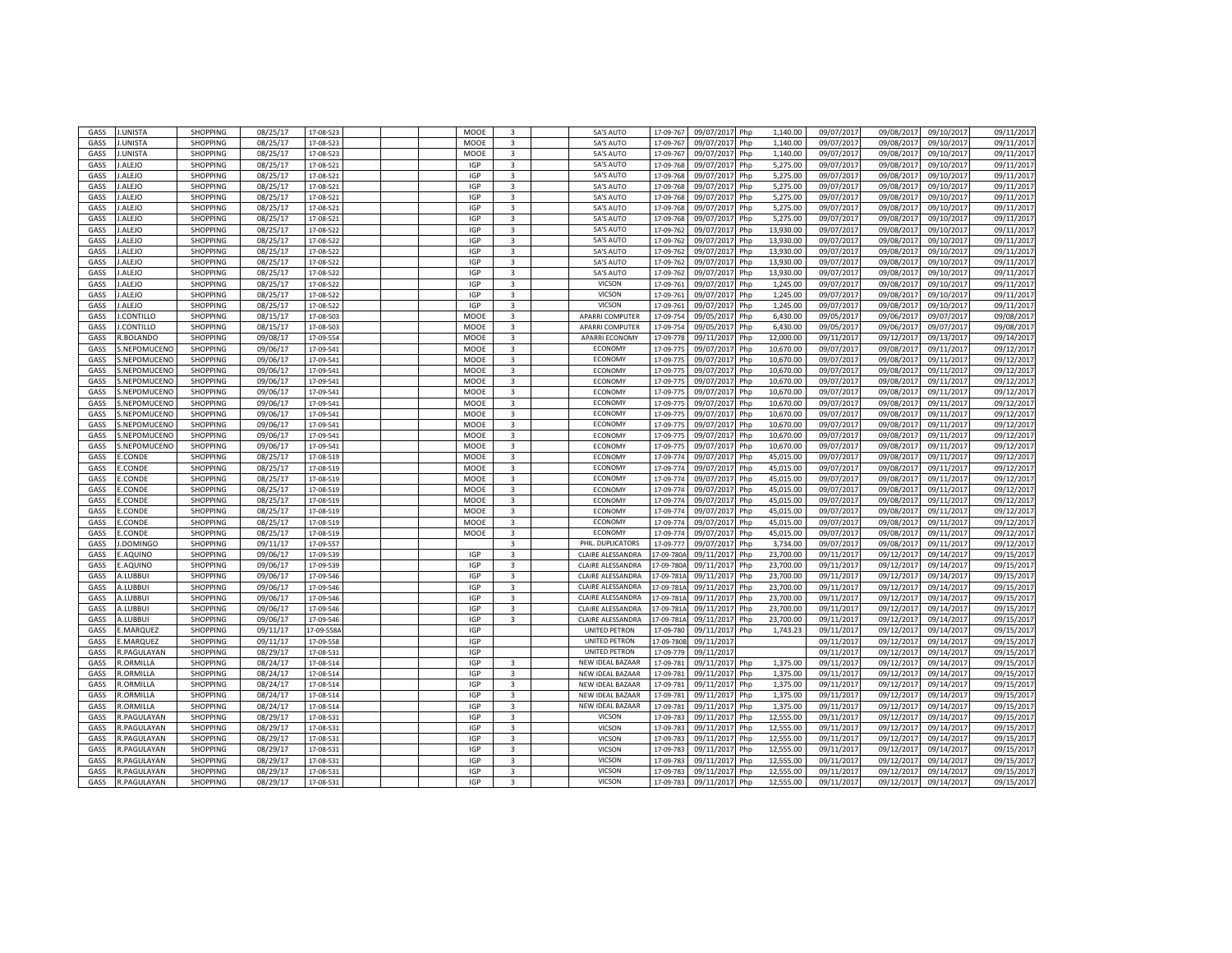| GASS | <b>J.UNISTA</b>   | <b>SHOPPING</b>             | 08/25/17 | 17-08-523 |  | MOOE       | $\overline{3}$          | 5A'S AUTO               | 17-09-767      | 09/07/201<br>Php  | 1,140.00  | 09/07/2017 | 09/08/201  | 09/10/201  | 09/11/2017 |
|------|-------------------|-----------------------------|----------|-----------|--|------------|-------------------------|-------------------------|----------------|-------------------|-----------|------------|------------|------------|------------|
| GASS | .UNISTA           | <b>SHOPPING</b>             | 08/25/17 | 17-08-523 |  | MOOE       | 3                       | 5A'S AUTO               | 17-09-767      | 09/07/2017<br>Php | 1,140.00  | 09/07/2017 | 09/08/201  | 09/10/2017 | 09/11/2017 |
| GASS | .UNISTA           | SHOPPING                    | 08/25/17 | 17-08-523 |  | MOOE       | 3                       | 5A'S AUTO               | 17-09-76       | 09/07/201<br>Php  | 1,140.00  | 09/07/201  | 09/08/201  | 09/10/201  | 09/11/2017 |
| GASS | ALEJO             | <b>SHOPPING</b>             | 08/25/17 | 17-08-52  |  | <b>IGP</b> | $\overline{3}$          | 5A'S AUTO               | 17-09-76       | 09/07/201<br>Php  | 5,275.00  | 09/07/201  | 09/08/201  | 09/10/201  | 09/11/2017 |
| GASS | ALEJO             | <b>SHOPPING</b>             | 08/25/17 | 17-08-521 |  | <b>IGP</b> | 3                       | 5A'S AUTO               | 17-09-768      | 09/07/201         | 5,275.00  | 09/07/2017 | 09/08/2017 | 09/10/2017 | 09/11/2017 |
|      |                   | SHOPPING                    |          |           |  |            | $\overline{\mathbf{3}}$ |                         |                | Php               |           |            |            |            |            |
| GASS | ALEJO             |                             | 08/25/17 | 17-08-521 |  | <b>IGP</b> |                         | 5A'S AUTO               | 17-09-768      | 09/07/201<br>Php  | 5,275.00  | 09/07/2017 | 09/08/201  | 09/10/201  | 09/11/201  |
| GASS | ALEJO             | SHOPPING                    | 08/25/17 | 17-08-521 |  | <b>IGP</b> | $\overline{\mathbf{3}}$ | 5A'S AUTO               | 17-09-768      | 09/07/201<br>Php  | 5,275.00  | 09/07/2017 | 09/08/201  | 09/10/201  | 09/11/2017 |
| GASS | ALEJO             | SHOPPING                    | 08/25/17 | 17-08-521 |  | <b>IGP</b> | $\overline{\mathbf{3}}$ | 5A'S AUTO               | 17-09-768      | 09/07/201<br>Php  | 5,275.00  | 09/07/201  | 09/08/201  | 09/10/201  | 09/11/2017 |
| GASS | ALEJO             | <b>SHOPPING</b>             | 08/25/17 | 17-08-521 |  | <b>IGP</b> | $\overline{3}$          | <b>5A'S AUTO</b>        | 17-09-768      | 09/07/2017<br>Php | 5,275.00  | 09/07/2017 | 09/08/201  | 09/10/2017 | 09/11/2017 |
| GASS | ALEJO             | <b>SHOPPING</b>             | 08/25/17 | 17-08-522 |  | <b>IGP</b> | $\overline{\mathbf{3}}$ | 5A'S AUTO               | 17-09-76       | 09/07/201<br>Php  | 13.930.00 | 09/07/2017 | 09/08/201  | 09/10/201  | 09/11/2017 |
| GASS | .ALEJO            | SHOPPING                    | 08/25/17 | 17-08-522 |  | <b>IGP</b> | 3                       | 5A'S AUTO               | 17-09-762      | 09/07/2017<br>Php | 13,930.00 | 09/07/2017 | 09/08/201  | 09/10/2017 | 09/11/2017 |
| GASS | ALEJO             | SHOPPING                    | 08/25/17 | 17-08-52  |  | <b>IGP</b> | 3                       | 5A'S AUTO               | 17-09-76       | 09/07/201<br>Php  | 13,930.00 | 09/07/201  | 09/08/201  | 09/10/201  | 09/11/2017 |
| GASS | .ALEJO            | <b>SHOPPING</b>             | 08/25/17 | 17-08-522 |  | <b>IGP</b> | 3                       | 5A'S AUTO               | 17-09-76       | 09/07/201<br>Php  | 13,930.00 | 09/07/201  | 09/08/201  | 09/10/201  | 09/11/2017 |
| GASS | ALEJO             | <b>SHOPPING</b>             | 08/25/17 | 17-08-522 |  | <b>IGP</b> | 3                       | 5A'S AUTO               | 17-09-76       | 09/07/201<br>Php  | 13,930.00 | 09/07/2017 | 09/08/201  | 09/10/2017 | 09/11/2017 |
| GASS | .ALEJO            | <b>SHOPPING</b>             | 08/25/17 | 17-08-522 |  | <b>IGP</b> | $\overline{\mathbf{3}}$ | VICSON                  | 17-09-76       | 09/07/201<br>Php  | 1,245.00  | 09/07/2017 | 09/08/201  | 09/10/201  | 09/11/2017 |
| GASS | ALEJO             | <b>SHOPPING</b>             | 08/25/17 | 17-08-522 |  | IGP        | 3                       | VICSON                  | 17-09-761      | 09/07/2017<br>Php | 1,245.00  | 09/07/2017 | 09/08/201  | 09/10/2017 | 09/11/2017 |
| GASS | .ALEJO            | SHOPPING                    | 08/25/17 | 17-08-522 |  | <b>IGP</b> | $\overline{3}$          | VICSON                  | 17-09-76       | 09/07/201<br>Php  | 1,245.00  | 09/07/2017 | 09/08/201  | 09/10/201  | 09/11/2017 |
| GASS | .CONTILLO         | <b>SHOPPING</b>             | 08/15/17 | 17-08-503 |  | MOOE       | 3                       | APARRI COMPUTER         | 17-09-754      | 09/05/2017<br>Php | 6,430.00  | 09/05/2017 | 09/06/201  | 09/07/2017 | 09/08/2017 |
| GASS | .CONTILLO         | <b>SHOPPING</b>             | 08/15/17 | 17-08-50  |  | MOOE       | $\overline{\mathbf{3}}$ | <b>APARRI COMPUTER</b>  | 17-09-754      | 09/05/201<br>Php  | 6,430.00  | 09/05/201  | 09/06/201  | 09/07/201  | 09/08/2017 |
|      |                   |                             |          |           |  | MOOE       |                         |                         |                |                   |           |            |            |            |            |
| GASS | .BOLANDO          | <b>SHOPPING</b>             | 09/08/17 | 17-09-554 |  |            | 3                       | <b>APARRI ECONOMY</b>   | 17-09-778      | 09/11/2017<br>Php | 12,000.00 | 09/11/2017 | 09/12/201  | 09/13/201  | 09/14/2017 |
| GASS | .NEPOMUCENO       | SHOPPING                    | 09/06/17 | 17-09-541 |  | MOOE       | $\overline{\mathbf{3}}$ | ECONOMY                 | 17-09-77       | 09/07/201<br>Php  | 10,670.00 | 09/07/2017 | 09/08/201  | 09/11/201  | 09/12/2017 |
| GASS | .NEPOMUCENO       | SHOPPING                    | 09/06/17 | 17-09-541 |  | MOOE       | 3                       | ECONOMY                 | 17-09-77       | 09/07/201<br>Php  | 10,670.00 | 09/07/201  | 09/08/201  | 09/11/201  | 09/12/2017 |
| GASS | .NEPOMUCENC       | SHOPPING                    | 09/06/17 | 17-09-541 |  | MOOE       | 3                       | <b>ECONOMY</b>          | 17-09-77       | 09/07/201<br>Php  | 10,670.00 | 09/07/2017 | 09/08/2017 | 09/11/201  | 09/12/2017 |
| GASS | .NEPOMUCENO       | SHOPPING                    | 09/06/17 | 17-09-541 |  | MOOE       | 3                       | <b>ECONOMY</b>          | 17-09-77       | 09/07/201<br>Php  | 10,670.00 | 09/07/2017 | 09/08/201  | 09/11/201  | 09/12/2017 |
| GASS | NEPOMUCENC        | <b>SHOPPING</b>             | 09/06/17 | 17-09-541 |  | MOOE       | $\overline{3}$          | <b>ECONOMY</b>          | 17-09-77       | 09/07/2017<br>Php | 10,670.00 | 09/07/2017 | 09/08/201  | 09/11/201  | 09/12/2017 |
| GASS | NEPOMUCENO        | <b>SHOPPING</b>             | 09/06/17 | 17-09-54  |  | MOOE       | $\overline{\mathbf{3}}$ | ECONOMY                 | 17-09-77       | 09/07/201<br>Php  | 10,670.00 | 09/07/2017 | 09/08/201  | 09/11/201  | 09/12/2017 |
| GASS | NEPOMUCENO        | <b>SHOPPING</b>             | 09/06/17 | 17-09-541 |  | MOOE       | 3                       | ECONOMY                 | 17-09-775      | 09/07/2017<br>Php | 10,670.00 | 09/07/2017 | 09/08/201  | 09/11/201  | 09/12/2017 |
| GASS | NEPOMUCENO        | <b>SHOPPING</b>             | 09/06/17 | 17-09-541 |  | MOOE       | $\overline{3}$          | ECONOMY                 | 17-09-77       | 09/07/201<br>Php  | 10,670.00 | 09/07/2017 | 09/08/201  | 09/11/201  | 09/12/2017 |
| GASS | .NEPOMUCENC       | SHOPPING                    | 09/06/17 | 17-09-541 |  | MOOE       | 3                       | ECONOMY                 | 17-09-77       | 09/07/2017<br>Php | 10,670.00 | 09/07/2017 | 09/08/201  | 09/11/201  | 09/12/2017 |
| GASS | .NEPOMUCENO       | <b>SHOPPING</b>             | 09/06/17 | 17-09-541 |  | MOOE       | $\overline{3}$          | <b>ECONOMY</b>          | 17-09-77       | 09/07/201<br>Php  | 10,670.00 | 09/07/2017 | 09/08/201  | 09/11/201  | 09/12/2017 |
| GASS | CONDE             | <b>SHOPPING</b>             | 08/25/17 | 17-08-519 |  | MOOE       | 3                       | ECONOMY                 | 17-09-77       | 09/07/201<br>Php  | 45,015.00 | 09/07/201  | 09/08/201  | 09/11/201  | 09/12/2017 |
| GASS | CONDE             | <b>SHOPPING</b>             | 08/25/17 | 17-08-519 |  | MOOE       | 3                       | ECONOMY                 | 17-09-77       | 09/07/201<br>Php  | 45,015.00 | 09/07/201  | 09/08/201  | 09/11/201  | 09/12/2017 |
| GASS | CONDE             | SHOPPING                    | 08/25/17 | 17-08-519 |  | MOOE       | 3                       | ECONOMY                 | 17-09-77       | 09/07/201<br>Php  | 45,015.00 | 09/07/201  | 09/08/201  | 09/11/201  | 09/12/201  |
| GASS | CONDE.            | <b>SHOPPING</b>             | 08/25/17 | 17-08-519 |  | MOOF       | $\overline{3}$          | <b>ECONOMY</b>          | 17-09-774      | 09/07/2017<br>Php | 45,015.00 | 09/07/2017 | 09/08/201  | 09/11/2017 | 09/12/2017 |
|      |                   |                             |          |           |  |            |                         | ECONOMY                 |                |                   |           |            |            |            |            |
| GASS | CONDE             | <b>SHOPPING</b>             | 08/25/17 | 17-08-519 |  | MOOE       | $\overline{\mathbf{3}}$ |                         | $17 - 09 - 77$ | 09/07/201<br>Php  | 45,015.00 | 09/07/2017 | 09/08/201  | 09/11/201  | 09/12/2017 |
| GASS | CONDE.            | <b>SHOPPING</b>             | 08/25/17 | 17-08-519 |  | MOOE       | $\overline{\mathbf{3}}$ | ECONOMY                 | 17-09-774      | 09/07/2017<br>Php | 45,015.00 | 09/07/2017 | 09/08/201  | 09/11/201  | 09/12/2017 |
| GASS | CONDE.            | <b>SHOPPING</b>             | 08/25/17 | 17-08-519 |  | MOOE       | $\overline{3}$          | ECONOMY                 | $17 - 09 - 77$ | 09/07/201<br>Php  | 45.015.00 | 09/07/201  | 09/08/201  | 09/11/201  | 09/12/2017 |
| GASS | CONDE.            | <b>SHOPPING</b>             | 08/25/17 | 17-08-519 |  | MOOE       | 3                       | ECONOMY                 | 17-09-77       | 09/07/201<br>Php  | 45,015.00 | 09/07/2017 | 09/08/201  | 09/11/201  | 09/12/2017 |
| GASS | .DOMINGO          | <b>SHOPPING</b>             | 09/11/17 | 17-09-557 |  |            | 3                       | PHIL. DUPLICATORS       | 17-09-77       | 09/07/201<br>Php  | 3.734.00  | 09/07/2017 | 09/08/2017 | 09/11/201  | 09/12/2017 |
| GASS | AQUINO            | <b>SHOPPING</b>             | 09/06/17 | 17-09-539 |  | <b>IGP</b> | $\overline{3}$          | CLAIRE ALESSANDRA       | 17-09-780      | 09/11/201<br>Php  | 23,700.00 | 09/11/201  | 09/12/201  | 09/14/201  | 09/15/2017 |
| GASS | AQUINO            | <b>SHOPPING</b>             | 09/06/17 | 17-09-539 |  | <b>IGP</b> | 3                       | CLAIRE ALESSANDRA       | 17-09-780      | 09/11/201<br>Php  | 23,700.00 | 09/11/201  | 09/12/201  | 09/14/201  | 09/15/2017 |
| GASS | LUBBUI            | SHOPPING                    | 09/06/17 | 17-09-546 |  | IGP        | $\overline{3}$          | CLAIRE ALESSANDRA       | 17-09-781      | 09/11/201<br>Php  | 23,700.00 | 09/11/201  | 09/12/201  | 09/14/201  | 09/15/201  |
| GASS | <b>LUBBUI</b>     | SHOPPING                    | 09/06/17 | 17-09-546 |  | <b>IGP</b> | $\overline{3}$          | CLAIRE ALESSANDRA       | 17-09-781      | 09/11/2017<br>Php | 23,700.00 | 09/11/2017 | 09/12/201  | 09/14/2017 | 09/15/2017 |
| GASS | LUBBUI            | SHOPPING                    | 09/06/17 | 17-09-546 |  | <b>IGP</b> | $\overline{\mathbf{3}}$ | CLAIRE ALESSANDRA       | 17-09-781      | 09/11/201<br>Php  | 23,700.00 | 09/11/2017 | 09/12/201  | 09/14/201  | 09/15/2017 |
| GASS | .LUBBUI           | <b>SHOPPING</b>             | 09/06/17 | 17-09-546 |  | <b>IGP</b> | 3                       | CLAIRE ALESSANDRA       | 17-09-781      | 09/11/2017<br>Php | 23,700.00 | 09/11/201  | 09/12/201  | 09/14/201  | 09/15/2017 |
| GASS | <b>LUBBUI</b>     | SHOPPING                    | 09/06/17 | 17-09-546 |  | <b>IGP</b> | 3                       | CLAIRE ALESSANDRA       | 17-09-781      | 09/11/201<br>Php  | 23,700.00 | 09/11/201  | 09/12/201  | 09/14/201  | 09/15/2017 |
| GASS | .MARQUEZ          | SHOPPING                    | 09/11/17 | 17-09-558 |  | IGP        |                         | UNITED PETRON           | 17-09-78       | 09/11/201<br>Php  | 1,743.23  | 09/11/2017 | 09/12/201  | 09/14/201  | 09/15/2017 |
| GASS | MARQUEZ           | SHOPPING                    | 09/11/17 | 17-09-558 |  | <b>IGP</b> |                         | UNITED PETRON           | 17-09-780      | 09/11/201         |           | 09/11/2017 | 09/12/201  | 09/14/201  | 09/15/2017 |
| GASS | PAGULAYAN         | <b>SHOPPING</b>             | 08/29/17 | 17-08-53: |  | IGP        |                         | UNITED PETRON           | 17-09-77       | 09/11/201         |           | 09/11/201  | 09/12/201  | 09/14/201  | 09/15/2017 |
| GASS | .ORMILLA          | SHOPPING                    | 08/24/17 | 17-08-514 |  | <b>IGP</b> | 3                       | NEW IDEAL BAZAAR        | 17-09-78       | 09/11/2017<br>Php | 1,375.00  | 09/11/2017 | 09/12/201  | 09/14/201  | 09/15/2017 |
| GASS | .ORMILLA          |                             |          |           |  | <b>IGP</b> | $\overline{3}$          | <b>NEW IDEAL BAZAAR</b> |                | 09/11/201<br>Php  | 1,375.00  |            |            |            | 09/15/2017 |
|      | ORMILLA           | SHOPPING<br><b>SHOPPING</b> | 08/24/17 | 17-08-514 |  | <b>IGP</b> | $\overline{3}$          |                         | 17-09-78       |                   |           | 09/11/201  | 09/12/201  | 09/14/201  |            |
| GASS |                   |                             | 08/24/17 | 17-08-514 |  |            |                         | <b>NEW IDEAL BAZAAR</b> | 17-09-781      | 09/11/2017<br>Php | 1,375.00  | 09/11/2017 | 09/12/2017 | 09/14/2017 | 09/15/2017 |
| GASS | ORMILLA           | <b>SHOPPING</b>             | 08/24/17 | 17-08-514 |  | <b>IGP</b> | $\overline{\mathbf{3}}$ | NEW IDEAL BAZAAR        | 17-09-78       | 09/11/201<br>Php  | 1,375.00  | 09/11/201  | 09/12/201  | 09/14/201  | 09/15/2017 |
| GASS | ORMILLA           | SHOPPING                    | 08/24/17 | 17-08-514 |  | <b>IGP</b> | 3                       | NEW IDEAL BAZAAR        | 17-09-78       | 09/11/2017<br>Php | 1,375.00  | 09/11/201  | 09/12/201  | 09/14/201  | 09/15/2017 |
| GASS | .PAGULAYAN        | SHOPPING                    | 08/29/17 | 17-08-53  |  | <b>IGP</b> | 3                       | VICSON                  | 17-09-78       | 09/11/201<br>Php  | 12,555.00 | 09/11/201  | 09/12/201  | 09/14/201  | 09/15/2017 |
| GASS | .PAGULAYAN        | SHOPPING                    | 08/29/17 | 17-08-531 |  | <b>IGP</b> | 3                       | VICSON                  | 17-09-783      | 09/11/201<br>Php  | 12,555.00 | 09/11/2017 | 09/12/2017 | 09/14/201  | 09/15/2017 |
| GASS | .PAGULAYAN        | SHOPPING                    | 08/29/17 | 17-08-531 |  | <b>IGP</b> | 3                       | VICSON                  | 17-09-783      | 09/11/201<br>Php  | 12,555.00 | 09/11/201  | 09/12/201  | 09/14/201  | 09/15/2017 |
| GASS | PAGULAYAN         | <b>SHOPPING</b>             | 08/29/17 | 17-08-53: |  | <b>IGP</b> | 3                       | VICSON                  | 17-09-78       | 09/11/201<br>Php  | 12,555.00 | 09/11/201  | 09/12/201  | 09/14/201  | 09/15/2017 |
| GASS | .PAGULAYAN        | <b>SHOPPING</b>             | 08/29/17 | 17-08-531 |  | <b>IGP</b> | $\overline{\mathbf{3}}$ | VICSON                  | 17-09-783      | Php<br>09/11/2017 | 12,555.00 | 09/11/2017 | 09/12/201  | 09/14/201  | 09/15/2017 |
| GASS | .PAGULAYAN        | <b>SHOPPING</b>             | 08/29/17 | 17-08-53  |  | IGP        | 3                       | VICSON                  | 17-09-783      | 09/11/201<br>Php  | 12,555.00 | 09/11/201  | 09/12/201  | 09/14/201  | 09/15/201  |
| GASS | <b>.PAGULAYAN</b> | <b>SHOPPING</b>             | 08/29/17 | 17-08-531 |  | <b>IGP</b> | $\mathbf{3}$            | VICSON                  | 17-09-783      | 09/11/2017<br>Php | 12,555.00 | 09/11/2017 | 09/12/2017 | 09/14/2017 | 09/15/2017 |
|      |                   |                             |          |           |  |            |                         |                         |                |                   |           |            |            |            |            |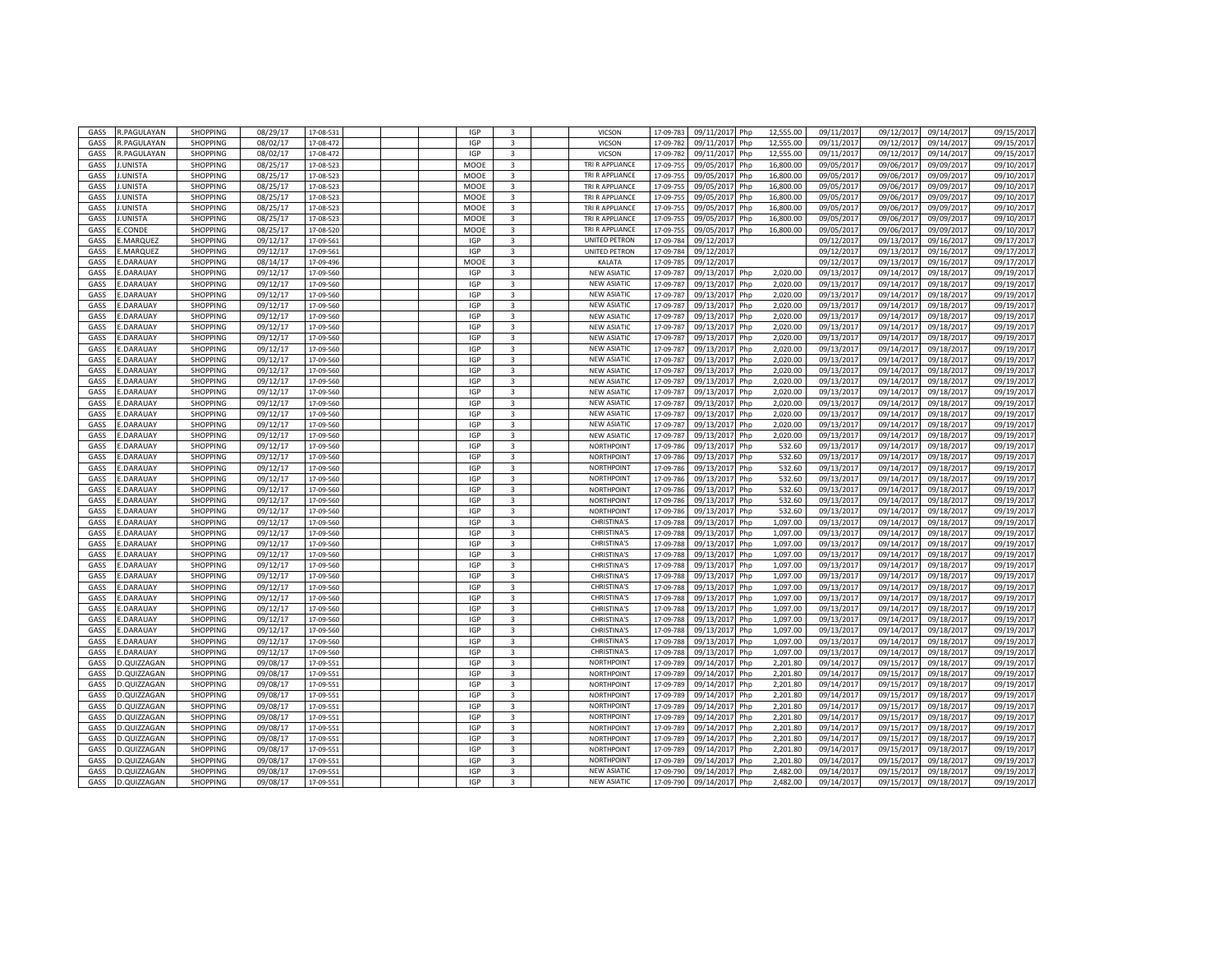| GASS | <b>R.PAGULAYAN</b> | SHOPPING        | 08/29/17 | 17-08-531 |  | <b>IGP</b> | $\overline{3}$          | VICSON             | 17-09-783 | 09/11/201<br>Php  | 12,555.00 | 09/11/201  | 09/12/201  | 09/14/201  | 09/15/2017 |
|------|--------------------|-----------------|----------|-----------|--|------------|-------------------------|--------------------|-----------|-------------------|-----------|------------|------------|------------|------------|
| GASS | .PAGULAYAN         | <b>SHOPPING</b> | 08/02/17 | 17-08-472 |  | <b>IGP</b> | $\overline{3}$          | VICSON             | 17-09-782 | 09/11/2017<br>Php | 12,555.00 | 09/11/2017 | 09/12/2017 | 09/14/2017 | 09/15/2017 |
| GASS | <b>LPAGULAYAN</b>  | <b>SHOPPING</b> | 08/02/17 | 17-08-472 |  | <b>IGP</b> | $\overline{\mathbf{3}}$ | VICSON             | 17-09-78  | 09/11/201<br>Php  | 12,555.00 | 09/11/2017 | 09/12/201  | 09/14/2017 | 09/15/2017 |
| GASS | .UNISTA            | <b>SHOPPING</b> | 08/25/17 | 17-08-523 |  | MOOE       | 3                       | TRI R APPLIANCE    | 17-09-75  | 09/05/2017<br>Php | 16,800.00 | 09/05/2017 | 09/06/201  | 09/09/2017 | 09/10/2017 |
|      |                    |                 |          |           |  |            |                         | TRI R APPLIANCE    |           |                   |           |            |            |            |            |
| GASS | .UNISTA            | SHOPPING        | 08/25/17 | 17-08-52  |  | MOOE       | 3                       |                    | 17-09-75  | 09/05/201<br>Php  | 16,800.00 | 09/05/201  | 09/06/201  | 09/09/201  | 09/10/2017 |
| GASS | .UNISTA            | SHOPPING        | 08/25/17 | 17-08-52  |  | MOOE       | $\overline{3}$          | TRI R APPLIANCE    | 17-09-75  | 09/05/201<br>Php  | 16,800.00 | 09/05/201  | 09/06/201  | 09/09/201  | 09/10/2017 |
| GASS | .UNISTA            | SHOPPING        | 08/25/17 | 17-08-523 |  | MOOE       | 3                       | TRI R APPLIANCE    | 17-09-75  | 09/05/201<br>Php  | 16,800.00 | 09/05/2017 | 09/06/201  | 09/09/201  | 09/10/2017 |
| GASS | UNISTA             | SHOPPING        | 08/25/17 | 17-08-52  |  | MOOE       | 3                       | TRI R APPLIANCE    | 17-09-75  | 09/05/201<br>Php  | 16,800.00 | 09/05/201  | 09/06/201  | 09/09/201  | 09/10/2017 |
| GASS | .UNISTA            | <b>SHOPPING</b> | 08/25/17 | 17-08-523 |  | MOOE       | $\overline{\mathbf{3}}$ | TRI R APPLIANCE    | 17-09-75  | 09/05/2017<br>Php | 16,800.00 | 09/05/2017 | 09/06/201  | 09/09/2017 | 09/10/2017 |
| GASS | .CONDE             | <b>SHOPPING</b> | 08/25/17 | 17-08-520 |  | MOOE       | $\overline{3}$          | TRI R APPLIANCE    | 17-09-75  | 09/05/201<br>Php  | 16,800.00 | 09/05/201  | 09/06/201  | 09/09/201  | 09/10/2017 |
| GASS | MARQUEZ            | <b>SHOPPING</b> | 09/12/17 | 17-09-561 |  | <b>IGP</b> | $\mathbf{3}$            | UNITED PETRON      | 17-09-784 | 09/12/201         |           | 09/12/2017 | 09/13/201  | 09/16/2017 | 09/17/2017 |
| GASS | .MARQUEZ           | <b>SHOPPING</b> | 09/12/17 | 17-09-561 |  | <b>IGP</b> | $\overline{\mathbf{3}}$ | UNITED PETRON      | 17-09-784 | 09/12/201         |           | 09/12/201  | 09/13/201  | 09/16/201  | 09/17/2017 |
| GASS | .DARAUAY           | <b>SHOPPING</b> | 08/14/17 | 17-09-496 |  | MOOE       | 3                       | KALATA             | 17-09-785 | 09/12/201         |           | 09/12/2017 | 09/13/201  | 09/16/2017 | 09/17/2017 |
| GASS | .DARAUAY           | <b>SHOPPING</b> | 09/12/17 | 17-09-560 |  | <b>IGP</b> | 3                       | <b>NEW ASIATIC</b> | 17-09-78  | 09/13/2017<br>Php | 2.020.00  | 09/13/2017 | 09/14/201  | 09/18/201  | 09/19/2017 |
| GASS | <b>DARAUAY</b>     | <b>SHOPPING</b> | 09/12/17 | 17-09-560 |  | <b>IGP</b> | $\overline{3}$          | <b>NEW ASIATIC</b> | 17-09-78  | 09/13/201<br>Php  | 2,020.00  | 09/13/2017 | 09/14/201  | 09/18/201  | 09/19/2017 |
| GASS | .DARAUAY           | SHOPPING        | 09/12/17 | 17-09-560 |  | <b>IGP</b> | 3                       | <b>NEW ASIATIC</b> | 17-09-78  | 09/13/201<br>Php  | 2,020.00  | 09/13/201  | 09/14/201  | 09/18/201  | 09/19/2017 |
| GASS | DARAUAY            | <b>SHOPPING</b> | 09/12/17 | 17-09-560 |  | IGP        | $\overline{3}$          | <b>NEW ASIATIC</b> | 17-09-78  | 09/13/201<br>Php  | 2,020.00  | 09/13/201  | 09/14/201  | 09/18/201  | 09/19/2017 |
| GASS | .DARAUAY           | <b>SHOPPING</b> | 09/12/17 | 17-09-560 |  | <b>IGP</b> | $\overline{3}$          | <b>NEW ASIATIC</b> | 17-09-787 | 09/13/2017<br>Php | 2.020.00  | 09/13/2017 | 09/14/2017 | 09/18/2017 | 09/19/2017 |
|      |                    |                 |          |           |  |            |                         |                    |           |                   |           |            |            |            |            |
| GASS | .DARAUAY           | SHOPPING        | 09/12/17 | 17-09-560 |  | <b>IGP</b> | $\overline{3}$          | <b>NEW ASIATIC</b> | 17-09-78  | 09/13/201<br>Php  | 2,020.00  | 09/13/2017 | 09/14/201  | 09/18/201  | 09/19/2017 |
| GASS | .DARAUAY           | <b>SHOPPING</b> | 09/12/17 | 17-09-560 |  | <b>IGP</b> | $\overline{3}$          | <b>NEW ASIATIC</b> | 17-09-787 | 09/13/201<br>Php  | 2.020.00  | 09/13/2017 | 09/14/201  | 09/18/2017 | 09/19/2017 |
| GASS | .DARAUAY           | <b>SHOPPING</b> | 09/12/17 | 17-09-560 |  | <b>IGP</b> | $\overline{\mathbf{3}}$ | <b>NEW ASIATIC</b> | 17-09-787 | 09/13/201<br>Php  | 2.020.00  | 09/13/201  | 09/14/201  | 09/18/201  | 09/19/2017 |
| GASS | .DARAUAY           | <b>SHOPPING</b> | 09/12/17 | 17-09-560 |  | <b>IGP</b> | $\overline{3}$          | <b>NEW ASIATIC</b> | 17-09-78  | 09/13/2017<br>Php | 2,020.00  | 09/13/201  | 09/14/201  | 09/18/201  | 09/19/2017 |
| GASS | .DARAUAY           | <b>SHOPPING</b> | 09/12/17 | 17-09-560 |  | <b>IGP</b> | 3                       | <b>NEW ASIATIC</b> | 17-09-78  | 09/13/201<br>Php  | 2.020.00  | 09/13/2017 | 09/14/2017 | 09/18/2017 | 09/19/2017 |
| GASS | <b>DARAUAY</b>     | <b>SHOPPING</b> | 09/12/17 | 17-09-560 |  | <b>IGP</b> | $\overline{3}$          | <b>NEW ASIATIC</b> | 17-09-78  | 09/13/201<br>Php  | 2.020.00  | 09/13/2017 | 09/14/201  | 09/18/201  | 09/19/2017 |
| GASS | .DARAUAY           | <b>SHOPPING</b> | 09/12/17 | 17-09-560 |  | <b>IGP</b> | 3                       | <b>NEW ASIATIC</b> | 17-09-78  | 09/13/201<br>Php  | 2,020.00  | 09/13/201  | 09/14/201  | 09/18/201  | 09/19/2017 |
| GASS | <b>DARAUAY</b>     | SHOPPING        | 09/12/17 | 17-09-560 |  | <b>IGP</b> | $\overline{\mathbf{3}}$ | <b>NEW ASIATIC</b> | 17-09-78  | 09/13/201<br>Php  | 2,020.00  | 09/13/201  | 09/14/201  | 09/18/201  | 09/19/201  |
| GASS | .DARAUAY           | <b>SHOPPING</b> | 09/12/17 | 17-09-560 |  | <b>IGP</b> | 3                       | <b>NEW ASIATIC</b> | 17-09-78  | 09/13/2017<br>Php | 2,020.00  | 09/13/2017 | 09/14/201  | 09/18/201  | 09/19/2017 |
| GASS | .DARAUAY           | SHOPPING        | 09/12/17 | 17-09-560 |  | <b>IGP</b> | 3                       | <b>NEW ASIATIC</b> | 17-09-78  | 09/13/201<br>Php  | 2,020.00  | 09/13/2017 | 09/14/201  | 09/18/201  | 09/19/2017 |
| GASS | .DARAUAY           | <b>SHOPPING</b> | 09/12/17 | 17-09-560 |  | <b>IGP</b> | 3                       | <b>NEW ASIATIC</b> | 17-09-787 | 09/13/201<br>Php  | 2,020.00  | 09/13/2017 | 09/14/201  | 09/18/201  | 09/19/2017 |
| GASS | .DARAUAY           | SHOPPING        | 09/12/17 | 17-09-560 |  | <b>IGP</b> | 3                       | NORTHPOINT         | 17-09-78  | 09/13/201<br>Php  | 532.60    | 09/13/201  | 09/14/201  | 09/18/201  | 09/19/2017 |
| GASS | .DARAUAY           | <b>SHOPPING</b> | 09/12/17 | 17-09-560 |  | IGP        | $\overline{3}$          | <b>NORTHPOINT</b>  | 17-09-78  | 09/13/201<br>Php  | 532.60    | 09/13/201  | 09/14/201  | 09/18/201  | 09/19/2017 |
| GASS | .DARAUAY           | SHOPPING        | 09/12/17 | 17-09-560 |  | <b>IGP</b> | 3                       | NORTHPOINT         | 17-09-78  | 09/13/201<br>Php  | 532.60    | 09/13/201  | 09/14/201  | 09/18/201  | 09/19/2017 |
|      |                    |                 |          |           |  |            |                         |                    |           |                   |           |            |            |            |            |
| GASS | .DARAUAY           | SHOPPING        | 09/12/17 | 17-09-560 |  | <b>IGP</b> | $\overline{3}$          | <b>NORTHPOINT</b>  | 17-09-786 | 09/13/201<br>Php  | 532.60    | 09/13/2017 | 09/14/201  | 09/18/201  | 09/19/2017 |
| GASS | .DARAUAY           | SHOPPING        | 09/12/17 | 17-09-560 |  | <b>IGP</b> | $\overline{\mathbf{3}}$ | NORTHPOINT         | 17-09-786 | 09/13/201<br>Php  | 532.60    | 09/13/2017 | 09/14/201  | 09/18/201  | 09/19/2017 |
| GASS | <b>DARAUAY</b>     | SHOPPING        | 09/12/17 | 17-09-560 |  | <b>IGP</b> | 3                       | NORTHPOINT         | 17-09-78  | 09/13/201<br>Php  | 532.60    | 09/13/201  | 09/14/201  | 09/18/201  | 09/19/2017 |
| GASS | .DARAUAY           | <b>SHOPPING</b> | 09/12/17 | 17-09-560 |  | <b>IGP</b> | 3                       | NORTHPOINT         | 17-09-78  | 09/13/201<br>Php  | 532.60    | 09/13/201  | 09/14/201  | 09/18/201  | 09/19/2017 |
| GASS | .DARAUAY           | <b>SHOPPING</b> | 09/12/17 | 17-09-560 |  | <b>IGP</b> | 3                       | CHRISTINA'S        | 17-09-78  | 09/13/201<br>Php  | 1.097.00  | 09/13/2017 | 09/14/201  | 09/18/201  | 09/19/201  |
| GASS | .DARAUAY           | <b>SHOPPING</b> | 09/12/17 | 17-09-560 |  | <b>IGP</b> | 3                       | CHRISTINA'S        | 17-09-788 | 09/13/2017<br>Php | 1,097.00  | 09/13/2017 | 09/14/201  | 09/18/201  | 09/19/2017 |
| GASS | .DARAUAY           | <b>SHOPPING</b> | 09/12/17 | 17-09-560 |  | <b>IGP</b> | 3                       | CHRISTINA'S        | 17-09-78  | 09/13/201<br>Php  | 1,097.00  | 09/13/2017 | 09/14/201  | 09/18/201  | 09/19/2017 |
| GASS | .DARAUAY           | <b>SHOPPING</b> | 09/12/17 | 17-09-560 |  | <b>IGP</b> | $\overline{3}$          | CHRISTINA'S        | 17-09-78  | 09/13/201<br>Php  | 1,097.00  | 09/13/201  | 09/14/201  | 09/18/201  | 09/19/2017 |
| GASS | .DARAUAY           | <b>SHOPPING</b> | 09/12/17 | 17-09-560 |  | <b>IGP</b> | 3                       | <b>CHRISTINA'S</b> | 17-09-788 | 09/13/201<br>Php  | 1,097.00  | 09/13/201  | 09/14/2017 | 09/18/201  | 09/19/2017 |
| GASS | <b>DARAUAY</b>     | <b>SHOPPING</b> | 09/12/17 | 17-09-560 |  | <b>IGP</b> | $\overline{3}$          | <b>CHRISTINA'S</b> | 17-09-788 | 09/13/201<br>Php  | 1,097.00  | 09/13/2017 | 09/14/201  | 09/18/201  | 09/19/2017 |
| GASS | .DARAUAY           | <b>SHOPPING</b> | 09/12/17 | 17-09-560 |  | IGP        | $\overline{3}$          | <b>CHRISTINA'S</b> | 17-09-788 | 09/13/2017<br>Php | 1.097.00  | 09/13/2017 | 09/14/2017 | 09/18/2017 | 09/19/2017 |
| GASS | .DARAUAY           | <b>SHOPPING</b> | 09/12/17 | 17-09-560 |  | <b>IGP</b> | $\overline{3}$          | <b>CHRISTINA'S</b> | 17-09-78  | 09/13/201<br>Php  | 1,097.00  | 09/13/2017 | 09/14/201  | 09/18/201  | 09/19/2017 |
| GASS | .DARAUAY           | <b>SHOPPING</b> | 09/12/17 | 17-09-560 |  | <b>IGP</b> | 3                       | <b>CHRISTINA'S</b> | 17-09-788 | 09/13/201<br>Php  | 1.097.00  | 09/13/201  | 09/14/201  | 09/18/201  | 09/19/2017 |
| GASS | .DARAUAY           | <b>SHOPPING</b> | 09/12/17 | 17-09-560 |  | <b>IGP</b> | 3                       | <b>CHRISTINA'S</b> | 17-09-788 | 09/13/201<br>Php  | 1.097.00  | 09/13/2017 | 09/14/201  | 09/18/201  | 09/19/2017 |
| GASS | .DARAUAY           | <b>SHOPPING</b> | 09/12/17 | 17-09-560 |  | <b>IGP</b> | $\overline{3}$          | CHRISTINA'S        | 17-09-788 | 09/13/2017<br>Php | 1.097.00  | 09/13/2017 | 09/14/2017 | 09/18/201  | 09/19/2017 |
| GASS | .DARAUAY           | <b>SHOPPING</b> | 09/12/17 | 17-09-560 |  | <b>IGP</b> | 3                       | <b>CHRISTINA'S</b> | 17-09-788 | 09/13/201<br>Php  | 1.097.00  | 09/13/2017 | 09/14/201  | 09/18/201  | 09/19/2017 |
|      |                    |                 |          |           |  |            |                         |                    |           |                   |           |            |            |            |            |
| GASS | DARAUAY            | <b>SHOPPING</b> | 09/12/17 | 17-09-560 |  | <b>IGP</b> | $\overline{3}$          | CHRISTINA'S        | 17-09-78  | 09/13/201<br>Php  | 1,097.00  | 09/13/201  | 09/14/201  | 09/18/201  | 09/19/2017 |
| GASS | .QUIZZAGAN         | <b>SHOPPING</b> | 09/08/17 | 17-09-551 |  | <b>IGP</b> | 3                       | NORTHPOINT         | 17-09-789 | 09/14/201<br>Php  | 2,201.80  | 09/14/201  | 09/15/201  | 09/18/201  | 09/19/2017 |
| GASS | .QUIZZAGAN         | SHOPPING        | 09/08/17 | 17-09-551 |  | IGP        | $\overline{3}$          | NORTHPOINT         | 17-09-789 | 09/14/201<br>Php  | 2,201.80  | 09/14/201  | 09/15/201  | 09/18/201  | 09/19/2017 |
| GASS | .QUIZZAGAN         | <b>SHOPPING</b> | 09/08/17 | 17-09-551 |  | <b>IGP</b> | $\overline{3}$          | NORTHPOINT         | 17-09-789 | 09/14/2017<br>Php | 2,201.80  | 09/14/2017 | 09/15/2017 | 09/18/2017 | 09/19/2017 |
| GASS | .QUIZZAGAN         | SHOPPING        | 09/08/17 | 17-09-551 |  | <b>IGP</b> | $\overline{3}$          | NORTHPOINT         | 17-09-789 | 09/14/201<br>Php  | 2,201.80  | 09/14/2017 | 09/15/201  | 09/18/2017 | 09/19/2017 |
| GASS | .QUIZZAGAN         | <b>SHOPPING</b> | 09/08/17 | 17-09-551 |  | <b>IGP</b> | $\overline{3}$          | NORTHPOINT         | 17-09-789 | 09/14/201<br>Php  | 2,201.80  | 09/14/201  | 09/15/201  | 09/18/201  | 09/19/2017 |
| GASS | .QUIZZAGAN         | SHOPPING        | 09/08/17 | 17-09-55  |  | <b>IGP</b> | 3                       | NORTHPOINT         | 17-09-789 | 09/14/201<br>Php  | 2,201.80  | 09/14/201  | 09/15/201  | 09/18/201  | 09/19/2017 |
| GASS | .QUIZZAGAN         | SHOPPING        | 09/08/17 | 17-09-551 |  | IGP        | $\overline{3}$          | NORTHPOINT         | 17-09-789 | 09/14/201<br>Php  | 2,201.80  | 09/14/2017 | 09/15/201  | 09/18/201  | 09/19/2017 |
| GASS | .QUIZZAGAN         | SHOPPING        | 09/08/17 | 17-09-55  |  | <b>IGP</b> | 3                       | NORTHPOINT         | 17-09-789 | 09/14/201<br>Php  | 2,201.80  | 09/14/201  | 09/15/201  | 09/18/201  | 09/19/2017 |
| GASS | .QUIZZAGAN         | <b>SHOPPING</b> | 09/08/17 | 17-09-55  |  | IGP        | $\overline{\mathbf{3}}$ | <b>NORTHPOINT</b>  | 17-09-78  | 09/14/201<br>Php  | 2,201.80  | 09/14/201  | 09/15/201  | 09/18/201  | 09/19/2017 |
| GASS | .QUIZZAGAN         | SHOPPING        | 09/08/17 | 17-09-551 |  | <b>IGP</b> | $\overline{\mathbf{3}}$ | NORTHPOINT         | 17-09-789 | 09/14/201<br>Php  | 2,201.80  | 09/14/2017 | 09/15/201  | 09/18/201  | 09/19/2017 |
| GASS | .QUIZZAGAN         | <b>SHOPPING</b> | 09/08/17 | 17-09-55  |  | IGP        | 3                       | <b>NEW ASIATIC</b> | 17-09-790 | 09/14/201<br>Php  | 2,482.00  | 09/14/201  | 09/15/201  | 09/18/201  | 09/19/201  |
| GASS | D.QUIZZAGAN        | <b>SHOPPING</b> | 09/08/17 | 17-09-551 |  | <b>IGP</b> | $\overline{3}$          | <b>NEW ASIATIC</b> | 17-09-790 | 09/14/2017<br>Php | 2,482.00  | 09/14/2017 | 09/15/2017 | 09/18/2017 | 09/19/2017 |
|      |                    |                 |          |           |  |            |                         |                    |           |                   |           |            |            |            |            |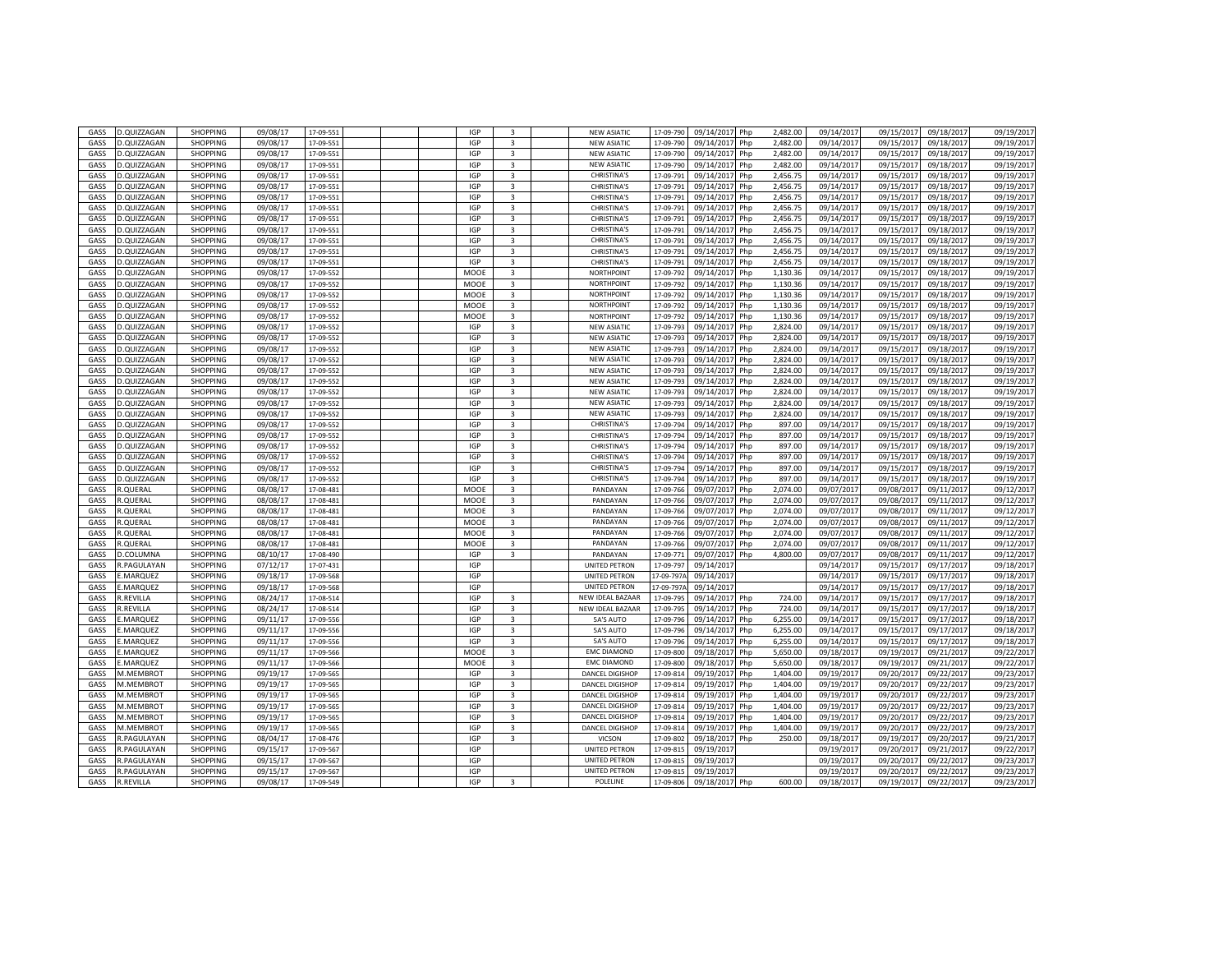| GASS        | D.QUIZZAGAN       | SHOPPING        | 09/08/17 | 17-09-55  |  | <b>IGP</b> | $\overline{3}$          | <b>NEW ASIATIC</b>     | 17-09-790 | 09/14/201<br>Php  | 2,482.00 | 09/14/201  | 09/15/201  | 09/18/201  | 09/19/2017 |
|-------------|-------------------|-----------------|----------|-----------|--|------------|-------------------------|------------------------|-----------|-------------------|----------|------------|------------|------------|------------|
| GASS        | D.QUIZZAGAN       | <b>SHOPPING</b> | 09/08/17 | 17-09-551 |  | <b>IGP</b> | $\overline{3}$          | <b>NEW ASIATIC</b>     | 17-09-790 | 09/14/2017<br>Php | 2,482.00 | 09/14/2017 | 09/15/2017 | 09/18/2017 | 09/19/2017 |
| GASS        | D.QUIZZAGAN       | <b>SHOPPING</b> | 09/08/17 | 17-09-551 |  | <b>IGP</b> | $\overline{\mathbf{3}}$ | <b>NEW ASIATIC</b>     | 17-09-79  | 09/14/201<br>Php  | 2,482.00 | 09/14/2017 | 09/15/201  | 09/18/2017 | 09/19/2017 |
| GASS        | D.QUIZZAGAN       | <b>SHOPPING</b> | 09/08/17 | 17-09-551 |  | IGP        | 3                       | <b>NEW ASIATIC</b>     | 17-09-790 | 09/14/2017<br>Php | 2,482.00 | 09/14/201  | 09/15/201  | 09/18/2017 | 09/19/2017 |
| <b>GASS</b> | D.QUIZZAGAN       | <b>SHOPPING</b> | 09/08/17 | 17-09-55  |  | IGP        | 3                       | <b>CHRISTINA'S</b>     | 17-09-79  | 09/14/201<br>Php  | 2,456.75 | 09/14/201  | 09/15/201  | 09/18/201  | 09/19/2017 |
|             |                   |                 |          |           |  |            |                         |                        |           |                   |          |            |            |            |            |
| GASS        | D.QUIZZAGAN       | SHOPPING        | 09/08/17 | 17-09-55  |  | IGP        | $\overline{3}$          | <b>CHRISTINA'S</b>     | 17-09-79  | 09/14/201<br>Php  | 2,456.75 | 09/14/201  | 09/15/201  | 09/18/201  | 09/19/2017 |
| GASS        | D.QUIZZAGAN       | <b>SHOPPING</b> | 09/08/17 | 17-09-55  |  | <b>IGP</b> | 3                       | <b>CHRISTINA'S</b>     | 17-09-79  | 09/14/201<br>Php  | 2,456.75 | 09/14/201  | 09/15/201  | 09/18/201  | 09/19/2017 |
| GASS        | D.QUIZZAGAN       | SHOPPING        | 09/08/17 | 17-09-55  |  | <b>IGP</b> | $\overline{\mathbf{3}}$ | <b>CHRISTINA'S</b>     | 17-09-79  | 09/14/201<br>Php  | 2,456.75 | 09/14/201  | 09/15/201  | 09/18/201  | 09/19/2017 |
| GASS        | D.QUIZZAGAN       | SHOPPING        | 09/08/17 | 17-09-55  |  | <b>IGP</b> | $\overline{3}$          | <b>CHRISTINA'S</b>     | 17-09-79  | 09/14/2017<br>Php | 2,456.75 | 09/14/2017 | 09/15/201  | 09/18/2017 | 09/19/2017 |
| GASS        | D.QUIZZAGAN       | <b>SHOPPING</b> | 09/08/17 | 17-09-55  |  | <b>IGP</b> | $\overline{3}$          | <b>CHRISTINA'S</b>     | 17-09-79  | 09/14/201<br>Php  | 2,456.75 | 09/14/201  | 09/15/201  | 09/18/201  | 09/19/2017 |
| GASS        | D.QUIZZAGAN       | <b>SHOPPING</b> | 09/08/17 | 17-09-551 |  | <b>IGP</b> | 3                       | <b>CHRISTINA'S</b>     | 17-09-79: | 09/14/2017<br>Php | 2,456.75 | 09/14/2017 | 09/15/201  | 09/18/2017 | 09/19/2017 |
|             |                   |                 |          |           |  |            |                         |                        |           |                   |          |            |            |            |            |
| GASS        | D.QUIZZAGAN       | <b>SHOPPING</b> | 09/08/17 | 17-09-55  |  | <b>IGP</b> | $\overline{\mathbf{3}}$ | CHRISTINA'S            | 17-09-79  | 09/14/201<br>Php  | 2,456.75 | 09/14/201  | 09/15/201  | 09/18/201  | 09/19/2017 |
| GASS        | D.QUIZZAGAN       | <b>SHOPPING</b> | 09/08/17 | 17-09-551 |  | <b>IGP</b> | 3                       | <b>CHRISTINA'S</b>     | 17-09-79  | 09/14/2017<br>Php | 2,456.75 | 09/14/201  | 09/15/201  | 09/18/2017 | 09/19/2017 |
| GASS        | D.QUIZZAGAN       | <b>SHOPPING</b> | 09/08/17 | 17-09-552 |  | MOOE       | 3                       | NORTHPOINT             | 17-09-79  | 09/14/201<br>Php  | 1,130.36 | 09/14/2017 | 09/15/2017 | 09/18/2017 | 09/19/2017 |
| GASS        | .QUIZZAGAN        | SHOPPING        | 09/08/17 | 17-09-552 |  | MOOE       | 3                       | <b>NORTHPOINT</b>      | 17-09-79  | 09/14/201<br>Php  | 1,130.36 | 09/14/201  | 09/15/201  | 09/18/201  | 09/19/2017 |
| GASS        | D.QUIZZAGAN       | <b>SHOPPING</b> | 09/08/17 | 17-09-552 |  | MOOE       | 3                       | <b>NORTHPOINT</b>      | 17-09-79  | 09/14/201<br>Php  | 1,130.36 | 09/14/201  | 09/15/201  | 09/18/201  | 09/19/2017 |
| GASS        |                   |                 | 09/08/17 |           |  |            | 3                       | <b>NORTHPOINT</b>      |           |                   |          |            | 09/15/201  |            |            |
|             | D.QUIZZAGAN       | <b>SHOPPING</b> |          | 17-09-55  |  | MOOE       |                         |                        | 17-09-79  | 09/14/201<br>Php  | 1,130.36 | 09/14/201  |            | 09/18/201  | 09/19/2017 |
| GASS        | D.QUIZZAGAN       | <b>SHOPPING</b> | 09/08/17 | 17-09-552 |  | MOOE       | $\overline{3}$          | NORTHPOINT             | 17-09-792 | 09/14/2017<br>Php | 1,130.36 | 09/14/2017 | 09/15/201  | 09/18/2017 | 09/19/2017 |
| GASS        | D.QUIZZAGAN       | <b>SHOPPING</b> | 09/08/17 | 17-09-55  |  | <b>IGP</b> | 3                       | <b>NEW ASIATIC</b>     | 17-09-79  | 09/14/201<br>Php  | 2.824.00 | 09/14/201  | 09/15/201  | 09/18/201  | 09/19/2017 |
| GASS        | D.QUIZZAGAN       | <b>SHOPPING</b> | 09/08/17 | 17-09-552 |  | <b>IGP</b> | 3                       | <b>NEW ASIATIC</b>     | 17-09-79  | 09/14/201<br>Php  | 2.824.00 | 09/14/201  | 09/15/201  | 09/18/2017 | 09/19/2017 |
| GASS        | D.QUIZZAGAN       | <b>SHOPPING</b> | 09/08/17 | 17-09-552 |  | <b>IGP</b> | 3                       | <b>NEW ASIATIO</b>     | 17-09-79  | 09/14/201<br>Php  | 2.824.00 | 09/14/201  | 09/15/201  | 09/18/201  | 09/19/2017 |
| GASS        | D.QUIZZAGAN       | <b>SHOPPING</b> | 09/08/17 | 17-09-552 |  | <b>IGP</b> | 3                       | <b>NEW ASIATIO</b>     | 17-09-79  | 09/14/201<br>Php  | 2,824.00 | 09/14/201  | 09/15/201  | 09/18/201  | 09/19/2017 |
| GASS        | D.QUIZZAGAN       | <b>SHOPPING</b> | 09/08/17 | 17-09-552 |  | <b>IGP</b> | 3                       | <b>NEW ASIATIC</b>     | 17-09-79  | 09/14/201<br>Php  | 2.824.00 | 09/14/2017 | 09/15/2017 | 09/18/2017 | 09/19/2017 |
|             |                   |                 |          |           |  |            |                         |                        |           |                   |          |            |            |            |            |
| GASS        | D.QUIZZAGAN       | <b>SHOPPING</b> | 09/08/17 | 17-09-55  |  | <b>IGP</b> | $\overline{3}$          | <b>NEW ASIATIC</b>     | 17-09-79  | 09/14/201<br>Php  | 2.824.00 | 09/14/201  | 09/15/201  | 09/18/201  | 09/19/2017 |
| GASS        | D.QUIZZAGAN       | <b>SHOPPING</b> | 09/08/17 | 17-09-55  |  | <b>IGP</b> | 3                       | <b>NEW ASIATIC</b>     | 17-09-79  | 09/14/201<br>Php  | 2,824.00 | 09/14/201  | 09/15/201  | 09/18/201  | 09/19/2017 |
| GASS        | D.QUIZZAGAN       | SHOPPING        | 09/08/17 | 17-09-55  |  | IGP        | $\overline{3}$          | <b>NEW ASIATIO</b>     | 17-09-79  | 09/14/201<br>Php  | 2,824.00 | 09/14/201  | 09/15/201  | 09/18/201  | 09/19/2017 |
| GASS        | D.QUIZZAGAN       | <b>SHOPPING</b> | 09/08/17 | 17-09-552 |  | <b>IGP</b> | 3                       | <b>NEW ASIATIC</b>     | 17-09-79  | 09/14/2017<br>Php | 2,824.00 | 09/14/2017 | 09/15/201  | 09/18/2017 | 09/19/2017 |
| GASS        | D.QUIZZAGAN       | <b>SHOPPING</b> | 09/08/17 | 17-09-552 |  | <b>IGP</b> | 3                       | <b>CHRISTINA'S</b>     | 17-09-79  | 09/14/201<br>Php  | 897.00   | 09/14/2017 | 09/15/201  | 09/18/2017 | 09/19/2017 |
| GASS        | D.QUIZZAGAN       | <b>SHOPPING</b> | 09/08/17 | 17-09-552 |  | <b>IGP</b> | 3                       | <b>CHRISTINA'S</b>     | 17-09-794 | 09/14/201<br>Php  | 897.00   | 09/14/201  | 09/15/201  | 09/18/2017 | 09/19/2017 |
|             |                   |                 |          |           |  |            |                         |                        |           |                   |          |            |            |            |            |
| <b>GASS</b> | D.QUIZZAGAN       | <b>SHOPPING</b> | 09/08/17 | 17-09-55  |  | IGP        | 3                       | <b>CHRISTINA'S</b>     | 17-09-79  | 09/14/201<br>Php  | 897.00   | 09/14/201  | 09/15/201  | 09/18/201  | 09/19/2017 |
| GASS        | D.QUIZZAGAN       | <b>SHOPPING</b> | 09/08/17 | 17-09-552 |  | IGP        | $\overline{3}$          | <b>CHRISTINA'S</b>     | 17-09-79  | 09/14/201<br>Php  | 897.00   | 09/14/201  | 09/15/201  | 09/18/201  | 09/19/2017 |
| GASS        | D.QUIZZAGAN       | <b>SHOPPING</b> | 09/08/17 | 17-09-552 |  | <b>IGP</b> | 3                       | <b>CHRISTINA'S</b>     | 17-09-794 | 09/14/201<br>Php  | 897.00   | 09/14/201  | 09/15/2017 | 09/18/201  | 09/19/2017 |
| GASS        | .QUIZZAGAN        | SHOPPING        | 09/08/17 | 17-09-55  |  | <b>IGP</b> | $\overline{3}$          | <b>CHRISTINA'S</b>     | 17-09-79  | 09/14/201<br>Php  | 897.00   | 09/14/201  | 09/15/201  | 09/18/201  | 09/19/2017 |
| GASS        | LQUERAL           | <b>SHOPPING</b> | 08/08/17 | 17-08-481 |  | MOOE       | $\overline{3}$          | PANDAYAN               | 17-09-766 | 09/07/2017<br>Php | 2,074.00 | 09/07/2017 | 09/08/201  | 09/11/201  | 09/12/2017 |
| GASS        | LQUERAL           | <b>SHOPPING</b> | 08/08/17 | 17-08-481 |  | MOOE       | 3                       | PANDAYAN               | 17-09-76  | 09/07/201<br>Php  | 2,074.00 | 09/07/201  | 09/08/201  | 09/11/201  | 09/12/2017 |
|             |                   |                 |          |           |  |            |                         |                        |           |                   |          |            |            |            |            |
| GASS        | R.QUERAL          | <b>SHOPPING</b> | 08/08/17 | 17-08-481 |  | MOOE       | 3                       | PANDAYAN               | 17-09-766 | 09/07/2017<br>Php | 2,074.00 | 09/07/2017 | 09/08/201  | 09/11/2017 | 09/12/2017 |
| GASS        | R.QUERAL          | SHOPPING        | 08/08/17 | 17-08-481 |  | MOOE       | $\overline{\mathbf{3}}$ | PANDAYAN               | 17-09-76  | 09/07/201<br>Php  | 2,074.00 | 09/07/201  | 09/08/201  | 09/11/201  | 09/12/2017 |
| GASS        | .QUERAL           | <b>SHOPPING</b> | 08/08/17 | 17-08-481 |  | MOOE       | 3                       | PANDAYAN               | 17-09-766 | 09/07/201<br>Php  | 2,074.00 | 09/07/2017 | 09/08/201  | 09/11/201  | 09/12/2017 |
| GASS        | <b>.OUERAL</b>    | <b>SHOPPING</b> | 08/08/17 | 17-08-481 |  | MOOE       | 3                       | PANDAYAN               | 17-09-766 | 09/07/2017<br>Php | 2,074.00 | 09/07/2017 | 09/08/201  | 09/11/201  | 09/12/2017 |
| GASS        | .COLUMNA          | <b>SHOPPING</b> | 08/10/17 | 17-08-490 |  | <b>IGP</b> | $\overline{\mathbf{3}}$ | PANDAYAN               | 17-09-77  | 09/07/201<br>Php  | 4,800.00 | 09/07/201  | 09/08/201  | 09/11/201  | 09/12/2017 |
| GASS        | .PAGULAYAN        | <b>SHOPPING</b> | 07/12/17 | 17-07-431 |  | IGP        |                         | UNITED PETRON          | 17-09-79  | 09/14/201         |          | 09/14/201  | 09/15/201  | 09/17/201  | 09/18/2017 |
|             |                   |                 | 09/18/17 |           |  | IGP        |                         | UNITED PETRON          |           | 09/14/201         |          | 09/14/201  | 09/15/201  |            | 09/18/2017 |
| GASS        | .MARQUEZ          | <b>SHOPPING</b> |          | 17-09-568 |  |            |                         |                        | 17-09-797 |                   |          |            |            | 09/17/201  |            |
| GASS        | MARQUEZ           | <b>SHOPPING</b> | 09/18/17 | 17-09-568 |  | IGP        |                         | <b>UNITED PETRON</b>   | 17-09-797 | 09/14/2017        |          | 09/14/2017 | 09/15/201  | 09/17/2017 | 09/18/2017 |
| GASS        | <b>REVILLA</b>    | <b>SHOPPING</b> | 08/24/17 | 17-08-514 |  | <b>IGP</b> | $\overline{3}$          | NEW IDEAL BAZAAR       | 17-09-79  | 09/14/201<br>Php  | 724.00   | 09/14/201  | 09/15/201  | 09/17/201  | 09/18/2017 |
| GASS        | <b>R.REVILLA</b>  | <b>SHOPPING</b> | 08/24/17 | 17-08-514 |  | <b>IGP</b> | 3                       | NEW IDEAL BAZAAR       | 17-09-79  | 09/14/2017<br>Php | 724.00   | 09/14/201  | 09/15/201  | 09/17/2017 | 09/18/2017 |
| GASS        | <b>MARQUEZ</b>    | <b>SHOPPING</b> | 09/11/17 | 17-09-556 |  | <b>IGP</b> | 3                       | 5A'S AUTO              | 17-09-79  | 09/14/201<br>Php  | 6.255.00 | 09/14/201  | 09/15/201  | 09/17/201  | 09/18/2017 |
| GASS        | .MARQUEZ          | <b>SHOPPING</b> | 09/11/17 | 17-09-556 |  | <b>IGP</b> | 3                       | 5A'S AUTO              | 17-09-79  | 09/14/201<br>Php  | 6,255.00 | 09/14/201  | 09/15/201  | 09/17/201  | 09/18/2017 |
| GASS        | .MARQUEZ          | <b>SHOPPING</b> | 09/11/17 | 17-09-556 |  | <b>IGP</b> | 3                       | <b>5A'S AUTO</b>       | 17-09-79  | 09/14/201<br>Php  | 6.255.00 | 09/14/2017 | 09/15/2017 | 09/17/2017 | 09/18/2017 |
|             |                   |                 |          |           |  |            |                         |                        |           |                   |          |            |            |            |            |
| GASS        | .MARQUEZ          | <b>SHOPPING</b> | 09/11/17 | 17-09-566 |  | MOOE       | $\overline{3}$          | <b>EMC DIAMOND</b>     | 17-09-80  | 09/18/201<br>Php  | 5,650.00 | 09/18/201  | 09/19/201  | 09/21/201  | 09/22/2017 |
| GASS        | MARQUEZ           | <b>SHOPPING</b> | 09/11/17 | 17-09-566 |  | MOOE       | 3                       | <b>EMC DIAMOND</b>     | 17-09-800 | 09/18/201<br>Php  | 5,650.00 | 09/18/201  | 09/19/201  | 09/21/201  | 09/22/2017 |
| GASS        | M.MEMBROT         | SHOPPING        | 09/19/17 | 17-09-565 |  | IGP        | $\overline{3}$          | <b>DANCEL DIGISHOP</b> | 17-09-81  | 09/19/201<br>Php  | 1,404.00 | 09/19/201  | 09/20/201  | 09/22/201  | 09/23/2017 |
| GASS        | M.MEMBROT         | <b>SHOPPING</b> | 09/19/17 | 17-09-565 |  | <b>IGP</b> | $\overline{3}$          | DANCEL DIGISHOP        | 17-09-81  | 09/19/2017<br>Php | 1.404.00 | 09/19/2017 | 09/20/2017 | 09/22/2017 | 09/23/2017 |
| GASS        | M.MEMBROT         | <b>SHOPPING</b> | 09/19/17 | 17-09-565 |  | <b>IGP</b> | 3                       | DANCEL DIGISHOP        | 17-09-81  | 09/19/201<br>Php  | 1.404.00 | 09/19/201  | 09/20/201  | 09/22/2017 | 09/23/2017 |
| GASS        | M.MEMBROT         | <b>SHOPPING</b> | 09/19/17 | 17-09-565 |  | IGP        | $\overline{3}$          | DANCEL DIGISHOP        | 17-09-81  | 09/19/201<br>Php  | 1,404.00 | 09/19/201  | 09/20/201  | 09/22/201  | 09/23/2017 |
|             |                   |                 |          |           |  |            |                         |                        |           |                   |          |            |            |            |            |
| <b>GASS</b> | M.MEMBROT         | <b>SHOPPING</b> | 09/19/17 | 17-09-565 |  | IGP        | 3                       | DANCEL DIGISHOP        | 17-09-81  | 09/19/201<br>Php  | 1,404.00 | 09/19/201  | 09/20/201  | 09/22/201  | 09/23/2017 |
| GASS        | M.MEMBROT         | SHOPPING        | 09/19/17 | 17-09-565 |  | <b>IGP</b> | $\overline{\mathbf{3}}$ | DANCEL DIGISHOP        | 17-09-81  | 09/19/201<br>Php  | 1,404.00 | 09/19/201  | 09/20/2017 | 09/22/201  | 09/23/2017 |
| GASS        | <b>.PAGULAYAN</b> | <b>SHOPPING</b> | 08/04/17 | 17-08-476 |  | <b>IGP</b> | 3                       | VICSON                 | 17-09-802 | 09/18/201<br>Php  | 250.00   | 09/18/201  | 09/19/201  | 09/20/201  | 09/21/2017 |
| GASS        | .PAGULAYAN        | SHOPPING        | 09/15/17 | 17-09-567 |  | <b>IGP</b> |                         | UNITED PETRON          | 17-09-81  | 09/19/201         |          | 09/19/201  | 09/20/201  | 09/21/201  | 09/22/2017 |
| GASS        | .PAGULAYAN        | <b>SHOPPING</b> | 09/15/17 | 17-09-567 |  | <b>IGP</b> |                         | UNITED PETRON          | 17-09-81  | 09/19/201         |          | 09/19/201  | 09/20/201  | 09/22/201  | 09/23/2017 |
| GASS        | <b>.PAGULAYAN</b> | <b>SHOPPING</b> | 09/15/17 | 17-09-567 |  | <b>IGP</b> |                         | UNITED PETRON          | 17-09-81  | 09/19/201         |          | 09/19/201  | 09/20/201  | 09/22/201  | 09/23/201  |
|             |                   |                 |          |           |  |            |                         |                        |           |                   |          |            |            |            |            |
| GASS        | R.REVILLA         | <b>SHOPPING</b> | 09/08/17 | 17-09-549 |  | <b>IGP</b> | $\overline{3}$          | POLELINE               | 17-09-806 | 09/18/2017<br>Php | 600.00   | 09/18/2017 | 09/19/2017 | 09/22/2017 | 09/23/2017 |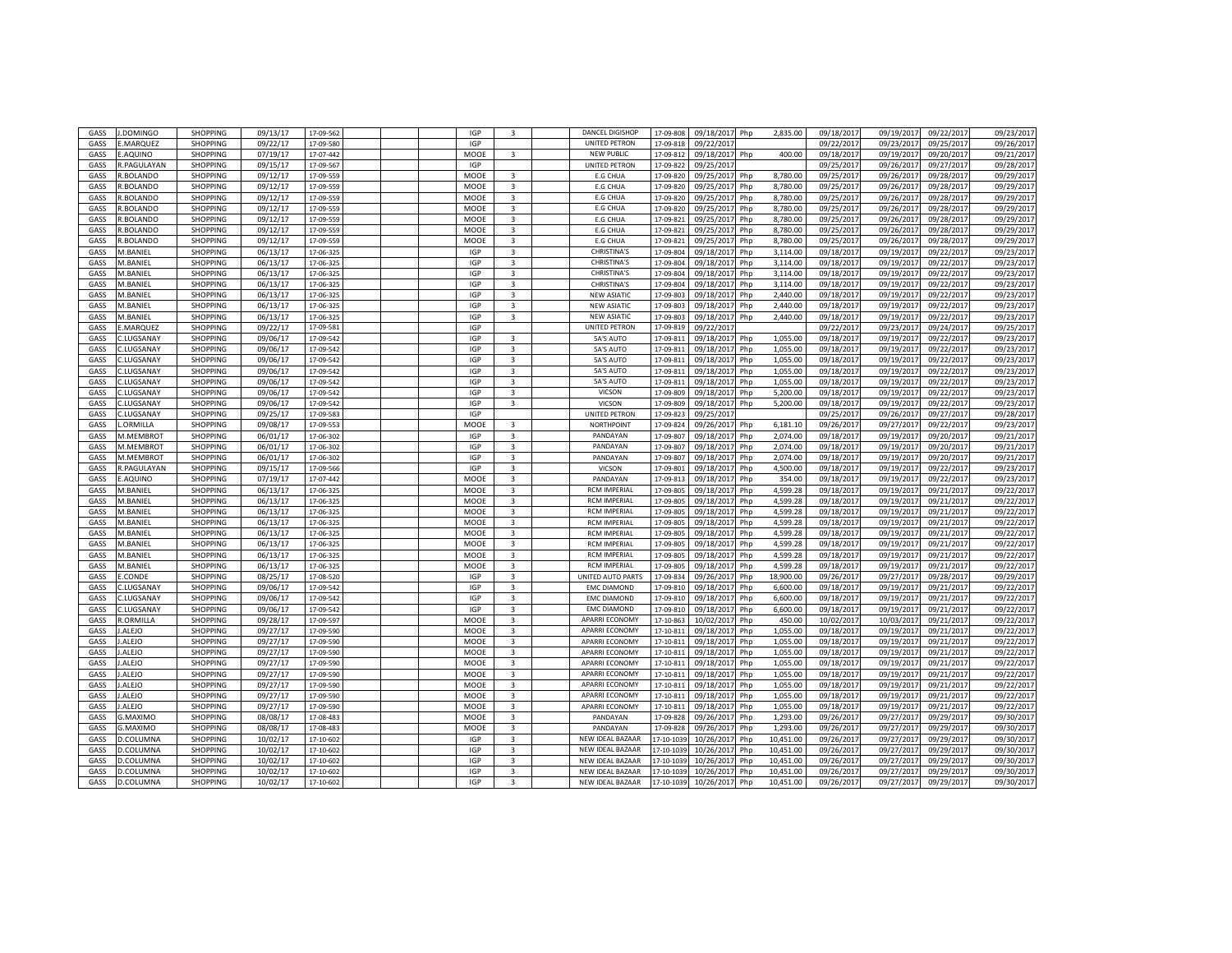| GASS | .DOMINGO           | SHOPPING        | 09/13/17 | 17-09-562 |  | IGP        | 3                       | DANCEL DIGISHOP       | 17-09-808 | 09/18/2017<br>Php             | 2,835.00  | 09/18/2017 | 09/19/2017 | 09/22/2017 | 09/23/2017 |
|------|--------------------|-----------------|----------|-----------|--|------------|-------------------------|-----------------------|-----------|-------------------------------|-----------|------------|------------|------------|------------|
| GASS | .MARQUEZ           | SHOPPING        | 09/22/17 | 17-09-580 |  | IGP        |                         | UNITED PETRON         | 17-09-81  | 09/22/201                     |           | 09/22/2017 | 09/23/201  | 09/25/2017 | 09/26/201  |
| GASS | .AQUINO            | SHOPPING        | 07/19/17 | 17-07-442 |  | MOOE       | 3                       | <b>NEW PUBLIC</b>     | 17-09-81  | 09/18/2017<br>Php             | 400.00    | 09/18/2017 | 09/19/201  | 09/20/201  | 09/21/2017 |
| GASS | <b>R.PAGULAYAN</b> | SHOPPING        | 09/15/17 | 17-09-567 |  | IGP        |                         | UNITED PETRON         | 17-09-82  | 09/25/201                     |           | 09/25/201  | 09/26/201  | 09/27/201  | 09/28/201  |
| GASS | <b>.BOLANDO</b>    | <b>SHOPPING</b> | 09/12/17 | 17-09-559 |  | MOOE       | 3                       | E.G CHUA              | 17-09-82  | 09/25/2017<br>Php             | 8,780.00  | 09/25/2017 | 09/26/201  | 09/28/2017 | 09/29/2017 |
| GASS | <b>.BOLANDO</b>    | SHOPPING        | 09/12/17 | 17-09-559 |  | MOOE       | $\overline{3}$          | <b>E.G CHUA</b>       | 17-09-82  | 09/25/201<br>Php              | 8,780.00  | 09/25/201  | 09/26/201  | 09/28/201  | 09/29/201  |
| GASS | .BOLANDO           | SHOPPING        | 09/12/17 | 17-09-559 |  | MOOE       | $\overline{3}$          | <b>E.G CHUA</b>       | 17-09-82  | 09/25/201<br>Php              | 8,780.00  | 09/25/2017 | 09/26/201  | 09/28/2017 | 09/29/201  |
| GASS | R.BOLANDO          | SHOPPING        | 09/12/17 | 17-09-559 |  | MOOE       | 3                       | E.G CHUA              | 17-09-82  | 09/25/201<br>Php              | 8,780.00  | 09/25/2017 | 09/26/201  | 09/28/2017 | 09/29/201  |
| GASS | R.BOLANDO          | <b>SHOPPING</b> | 09/12/17 | 17-09-559 |  | MOOE       | $\overline{3}$          | <b>E.G CHUA</b>       | 17-09-82  | 09/25/2017<br>Php             | 8,780.00  | 09/25/2017 | 09/26/2017 | 09/28/2017 | 09/29/2017 |
| GASS | R.BOLANDO          | SHOPPING        | 09/12/17 | 17-09-559 |  | MOOE       | 3                       | <b>E.G CHUA</b>       | 17-09-82  | 09/25/201<br>Php              | 8,780.00  | 09/25/201  | 09/26/201  | 09/28/201  | 09/29/201  |
|      |                    |                 | 09/12/17 |           |  |            | $\overline{\mathbf{3}}$ | <b>E.G CHUA</b>       |           | 09/25/201                     |           |            | 09/26/201  |            | 09/29/201  |
| GASS | <b>.BOLANDO</b>    | SHOPPING        |          | 17-09-559 |  | MOOE       |                         |                       | 17-09-82  | Php                           | 8,780.00  | 09/25/201  |            | 09/28/201  |            |
| GASS | VI.BANIEL          | SHOPPING        | 06/13/17 | 17-06-325 |  | IGP        | 3                       | CHRISTINA'S           | 17-09-804 | 09/18/201<br>Php              | 3,114.00  | 09/18/2017 | 09/19/201  | 09/22/2017 | 09/23/2017 |
| GASS | VI.BANIEL          | SHOPPING        | 06/13/17 | 17-06-325 |  | IGP        | $\overline{3}$          | <b>CHRISTINA'S</b>    | 17-09-804 | 09/18/201<br>Php              | 3,114.00  | 09/18/201  | 09/19/201  | 09/22/201  | 09/23/2017 |
| GASS | V.BANIEL           | SHOPPING        | 06/13/17 | 17-06-325 |  | IGP        | 3                       | <b>CHRISTINA'S</b>    | 17-09-804 | 09/18/201<br>Php              | 3,114.00  | 09/18/2017 | 09/19/201  | 09/22/2017 | 09/23/2017 |
| GASS | VI.BANIEL          | SHOPPING        | 06/13/17 | 17-06-325 |  | IGP        | $\overline{\mathbf{3}}$ | <b>CHRISTINA'S</b>    | 17-09-804 | $\overline{09}/18/201$<br>Php | 3,114.00  | 09/18/201  | 09/19/201  | 09/22/201  | 09/23/2017 |
| GASS | VI.BANIEL          | SHOPPING        | 06/13/17 | 17-06-325 |  | <b>IGP</b> | $\overline{\mathbf{3}}$ | <b>NEW ASIATIC</b>    | 17-09-80  | 09/18/201<br>Php              | 2,440.00  | 09/18/2017 | 09/19/201  | 09/22/2017 | 09/23/201  |
| GASS | VI.BANIEL          | SHOPPING        | 06/13/17 | 17-06-325 |  | <b>IGP</b> | $\overline{3}$          | <b>NEW ASIATIC</b>    | 17-09-80  | 09/18/2017<br>Php             | 2.440.00  | 09/18/2017 | 09/19/201  | 09/22/2017 | 09/23/2017 |
| GASS | VI.BANIEL          | <b>SHOPPING</b> | 06/13/17 | 17-06-32  |  | <b>IGP</b> | 3                       | <b>NEW ASIATIC</b>    | 17-09-80  | 09/18/2017<br>Php             | 2,440.00  | 09/18/2017 | 09/19/201  | 09/22/2017 | 09/23/2017 |
| GASS | MARQUEZ            | SHOPPING        | 09/22/17 | 17-09-581 |  | IGP        |                         | <b>UNITED PETRON</b>  | 17-09-81  | 09/22/201                     |           | 09/22/201  | 09/23/201  | 09/24/201  | 09/25/2017 |
| GASS | .LUGSANAY          | SHOPPING        | 09/06/17 | 17-09-542 |  | IGP        | 3                       | 5A'S AUTO             | 17-09-81: | 09/18/201<br>Php              | 1,055.00  | 09/18/2017 | 09/19/201  | 09/22/2017 | 09/23/2017 |
| GASS | .LUGSANAY          | SHOPPING        | 09/06/17 | 17-09-542 |  | IGP        | 3                       | 5A'S AUTO             | 17-09-81  | 09/18/201<br>Php              | 1,055.00  | 09/18/201  | 09/19/201  | 09/22/201  | 09/23/2017 |
| GASS | .LUGSANAY          | SHOPPING        | 09/06/17 | 17-09-542 |  | IGP        | $\overline{3}$          | 5A'S AUTO             | 17-09-81  | 09/18/201<br>Php              | 1,055.00  | 09/18/201  | 09/19/201  | 09/22/201  | 09/23/201  |
| GASS | .LUGSANAY          | SHOPPING        | 09/06/17 | 17-09-542 |  | IGP        | 3                       | 5A'S AUTO             | 17-09-81  | 09/18/201<br>Php              | 1,055.00  | 09/18/2017 | 09/19/2017 | 09/22/2017 | 09/23/2017 |
| GASS | .LUGSANAY          | SHOPPING        | 09/06/17 | 17-09-542 |  | IGP        | $\overline{\mathbf{3}}$ | 5A'S AUTO             | 17-09-81  | 09/18/201<br>Php              | 1,055.00  | 09/18/201  | 09/19/201  | 09/22/201  | 09/23/201  |
| GASS | .LUGSANAY          | SHOPPING        | 09/06/17 | 17-09-542 |  | <b>IGP</b> | $\overline{3}$          | VICSON                | 17-09-809 | 09/18/2017<br>Php             | 5,200.00  | 09/18/2017 | 09/19/201  | 09/22/2017 | 09/23/2017 |
| GASS | C.LUGSANAY         | SHOPPING        | 09/06/17 | 17-09-542 |  | <b>IGP</b> | $\overline{3}$          | VICSON                | 17-09-809 | 09/18/201<br>Php              | 5,200.00  | 09/18/201  | 09/19/201  | 09/22/2017 | 09/23/201  |
| GASS | C.LUGSANAY         | <b>SHOPPING</b> | 09/25/17 | 17-09-583 |  | <b>IGP</b> |                         | UNITED PETRON         | 17-09-82  | 09/25/201                     |           | 09/25/2017 | 09/26/2017 | 09/27/2017 | 09/28/2017 |
| GASS | .ORMILLA           | SHOPPING        | 09/08/17 | 17-09-553 |  | MOOE       | $\overline{\mathbf{3}}$ | <b>NORTHPOINT</b>     | 17-09-82  | 09/26/201<br>Php              | 6,181.10  | 09/26/201  | 09/27/201  | 09/22/201  | 09/23/201  |
| GASS | <b>M.MEMBROT</b>   | SHOPPING        | 06/01/17 | 17-06-302 |  | <b>IGP</b> | 3                       | PANDAYAN              | 17-09-80  | 09/18/201<br>Php              | 2,074.00  | 09/18/201  | 09/19/201  | 09/20/201  | 09/21/201  |
| GASS | <b>M.MEMBROT</b>   | SHOPPING        | 06/01/17 | 17-06-302 |  | <b>IGP</b> | 3                       | PANDAYAN              | 17-09-80  | 09/18/201<br>Php              | 2,074.00  | 09/18/201  | 09/19/201  | 09/20/201  | 09/21/201  |
| GASS | M.MEMBROT          | SHOPPING        | 06/01/17 | 17-06-302 |  | IGP        | $\overline{3}$          | PANDAYAN              | 17-09-80  | 09/18/201<br>Php              | 2,074.00  | 09/18/201  | 09/19/201  | 09/20/201  | 09/21/2017 |
| GASS | <b>R.PAGULAYAN</b> | SHOPPING        | 09/15/17 | 17-09-566 |  | <b>IGP</b> | 3                       | VICSON                | 17-09-80  | 09/18/201<br>Php              | 4,500.00  | 09/18/2017 | 09/19/201  | 09/22/2017 | 09/23/2017 |
| GASS | E.AQUINO           | SHOPPING        | 07/19/17 | 17-07-442 |  | MOOE       | $\overline{3}$          | PANDAYAN              | 17-09-813 | 09/18/201<br>Php              | 354.00    | 09/18/2017 | 09/19/201  | 09/22/2017 | 09/23/201  |
| GASS | VI.BANIEL          | SHOPPING        | 06/13/17 | 17-06-325 |  | MOOE       | $\overline{3}$          | <b>RCM IMPERIAL</b>   | 17-09-80  | 09/18/2017<br>Php             | 4,599.28  | 09/18/2017 | 09/19/201  | 09/21/2017 | 09/22/2017 |
| GASS | <b>M.BANIEL</b>    | <b>SHOPPING</b> | 06/13/17 | 17-06-325 |  | MOOE       | $\overline{3}$          | <b>RCM IMPERIAL</b>   | 17-09-80  | 09/18/201<br>Php              | 4,599.28  | 09/18/2017 | 09/19/201  | 09/21/2017 | 09/22/201  |
| GASS | M.BANIEL           | <b>SHOPPING</b> | 06/13/17 | 17-06-325 |  | MOOE       | $\overline{3}$          | <b>RCM IMPERIAL</b>   | 17-09-80  | 09/18/201<br>Php              | 4,599.28  | 09/18/2017 | 09/19/201  | 09/21/2017 | 09/22/2017 |
| GASS | VI.BANIEL          | SHOPPING        | 06/13/17 | 17-06-325 |  | MOOE       | 3                       | <b>RCM IMPERIAL</b>   | 17-09-80  | 09/18/201<br>Php              | 4,599.28  | 09/18/201  | 09/19/201  | 09/21/201  | 09/22/201  |
| GASS | VI.BANIEL          | SHOPPING        | 06/13/17 | 17-06-325 |  | MOOE       | $\overline{\mathbf{3}}$ | <b>RCM IMPERIAL</b>   | 17-09-80  | 09/18/201<br>Php              | 4,599.28  | 09/18/201  | 09/19/201  | 09/21/201  | 09/22/2017 |
| GASS | <b>M.BANIEI</b>    | SHOPPING        | 06/13/17 | 17-06-325 |  | MOOE       | 3                       | <b>RCM IMPERIAL</b>   | 17-09-80  | 09/18/201<br>Php              | 4,599.28  | 09/18/201  | 09/19/201  | 09/21/201  | 09/22/201  |
| GASS | <b>M.BANIEI</b>    | SHOPPING        | 06/13/17 | 17-06-325 |  | MOOE       | $\overline{\mathbf{3}}$ | <b>RCM IMPERIAL</b>   | 17-09-80  | 09/18/201<br>Php              | 4,599.28  | 09/18/201  | 09/19/201  | 09/21/201  | 09/22/201  |
| GASS | VI.BANIEL          | SHOPPING        | 06/13/17 | 17-06-325 |  | MOOE       | 3                       | <b>RCM IMPERIAL</b>   | 17-09-80  | 09/18/201<br>Php              | 4,599.28  | 09/18/2017 | 09/19/201  | 09/21/2017 | 09/22/2017 |
| GASS | .CONDE             | SHOPPING        | 08/25/17 | 17-08-520 |  | IGP        | $\overline{3}$          | UNITED AUTO PARTS     | 17-09-83  | 09/26/201<br>Php              | 18,900.00 | 09/26/201  | 09/27/201  | 09/28/201  | 09/29/201  |
| GASS | .LUGSANAY          | SHOPPING        | 09/06/17 | 17-09-542 |  | <b>IGP</b> | $\overline{3}$          | <b>EMC DIAMOND</b>    | 17-09-81  | 09/18/2017<br>Php             | 6,600.00  | 09/18/2017 | 09/19/201  | 09/21/2017 | 09/22/2017 |
| GASS | .LUGSANAY          | SHOPPING        | 09/06/17 | 17-09-542 |  | <b>IGP</b> | $\overline{3}$          | <b>EMC DIAMOND</b>    | 17-09-81  | 09/18/201<br>Php              | 6,600.00  | 09/18/201  | 09/19/201  | 09/21/2017 | 09/22/201  |
| GASS | C.LUGSANAY         | SHOPPING        | 09/06/17 | 17-09-542 |  | <b>IGP</b> | $\overline{3}$          | <b>EMC DIAMOND</b>    | 17-09-81  | 09/18/201<br>Php              | 6,600.00  | 09/18/2017 | 09/19/201  | 09/21/2017 | 09/22/2017 |
| GASS | <b>R.ORMILLA</b>   | <b>SHOPPING</b> | 09/28/17 | 17-09-597 |  | MOOE       | $\overline{\mathbf{3}}$ | APARRI ECONOMY        | 17-10-86  | 10/02/201<br>Php              | 450.00    | 10/02/2017 | 10/03/2017 | 09/21/2017 | 09/22/2017 |
|      |                    |                 |          |           |  |            |                         | <b>APARRI ECONOMY</b> |           |                               | 1,055.00  |            |            |            | 09/22/2017 |
| GASS | .ALEJO             | SHOPPING        | 09/27/17 | 17-09-590 |  | MOOE       | 3                       |                       | 17-10-81  | 09/18/201<br>Php              |           | 09/18/201  | 09/19/201  | 09/21/2017 |            |
| GASS | .ALEJO             | SHOPPING        | 09/27/17 | 17-09-59  |  | MOOE       | 3                       | <b>APARRI ECONOMY</b> | 17-10-81  | 09/18/201<br>Php              | 1,055.00  | 09/18/201  | 09/19/201  | 09/21/201  | 09/22/201  |
| GASS | ALEJO              | SHOPPING        | 09/27/17 | 17-09-590 |  | MOOE       | 3                       | <b>APARRI ECONOMY</b> | 17-10-81  | 09/18/201<br>Php              | 1,055.00  | 09/18/201  | 09/19/201  | 09/21/2017 | 09/22/2017 |
| GASS | ALEJO              | SHOPPING        | 09/27/17 | 17-09-590 |  | MOOE       | 3                       | <b>APARRI ECONOMY</b> | 17-10-81  | 09/18/201<br>Php              | 1,055.00  | 09/18/2017 | 09/19/2017 | 09/21/2017 | 09/22/2017 |
| GASS | .ALEJO             | SHOPPING        | 09/27/17 | 17-09-590 |  | MOOE       | $\overline{3}$          | APARRI ECONOMY        | 17-10-81  | 09/18/201<br>Php              | 1,055.00  | 09/18/2017 | 09/19/201  | 09/21/2017 | 09/22/2017 |
| GASS | .ALEJO             | SHOPPING        | 09/27/17 | 17-09-590 |  | MOOE       | $\overline{3}$          | <b>APARRI ECONOMY</b> | 17-10-81  | 09/18/2017<br>Php             | 1,055.00  | 09/18/2017 | 09/19/2017 | 09/21/2017 | 09/22/2017 |
| GASS | .ALEJO             | <b>SHOPPING</b> | 09/27/17 | 17-09-590 |  | MOOE       | $\overline{3}$          | <b>APARRI ECONOMY</b> | 17-10-81  | 09/18/201<br>Php              | 1,055.00  | 09/18/2017 | 09/19/201  | 09/21/2017 | 09/22/201  |
| GASS | .ALEJO             | <b>SHOPPING</b> | 09/27/17 | 17-09-590 |  | MOOE       | 3                       | APARRI ECONOMY        | 17-10-81  | 09/18/201<br>Php              | 1,055.00  | 09/18/2017 | 09/19/201  | 09/21/2017 | 09/22/2017 |
| GASS | <b>G.MAXIMO</b>    | SHOPPING        | 08/08/17 | 17-08-483 |  | MOOE       | $\overline{\mathbf{3}}$ | PANDAYAN              | 17-09-82  | 09/26/201<br>Php              | 1,293.00  | 09/26/201  | 09/27/201  | 09/29/201  | 09/30/201  |
| GASS | <b>G.MAXIMO</b>    | SHOPPING        | 08/08/17 | 17-08-483 |  | MOOE       | 3                       | PANDAYAN              | 17-09-828 | 09/26/201<br>Php              | 1,293.00  | 09/26/201  | 09/27/201  | 09/29/201  | 09/30/2017 |
| GASS | .COLUMNA           | SHOPPING        | 10/02/17 | 17-10-602 |  | IGP        | 3                       | NEW IDEAL BAZAAR      | 17-10-103 | 10/26/201<br>Php              | 10,451.00 | 09/26/201  | 09/27/201  | 09/29/201  | 09/30/2017 |
| GASS | COLUMNA            | SHOPPING        | 10/02/17 | 17-10-602 |  | IGP        | 3                       | NEW IDEAL BAZAAR      | 17-10-103 | 10/26/201<br>Php              | 10,451.00 | 09/26/201  | 09/27/201  | 09/29/201  | 09/30/2017 |
| GASS | .COLUMNA           | SHOPPING        | 10/02/17 | 17-10-602 |  | <b>IGP</b> | $\overline{3}$          | NEW IDEAL BAZAAR      | 17-10-103 | 10/26/201<br>Php              | 10,451.00 | 09/26/2017 | 09/27/201  | 09/29/201  | 09/30/2017 |
| GASS | D.COLUMNA          | SHOPPING        | 10/02/17 | 17-10-602 |  | <b>IGP</b> | $\overline{3}$          | NEW IDEAL BAZAAR      | 17-10-103 | 10/26/201<br>Php              | 10,451.00 | 09/26/201  | 09/27/201  | 09/29/201  | 09/30/2017 |
| GASS | D.COLUMNA          | SHOPPING        | 10/02/17 | 17-10-602 |  | <b>IGP</b> | $\overline{3}$          | NEW IDEAL BAZAAR      | 17-10-103 | 10/26/2017<br>Php             | 10,451.00 | 09/26/2017 | 09/27/2017 | 09/29/2017 | 09/30/2017 |